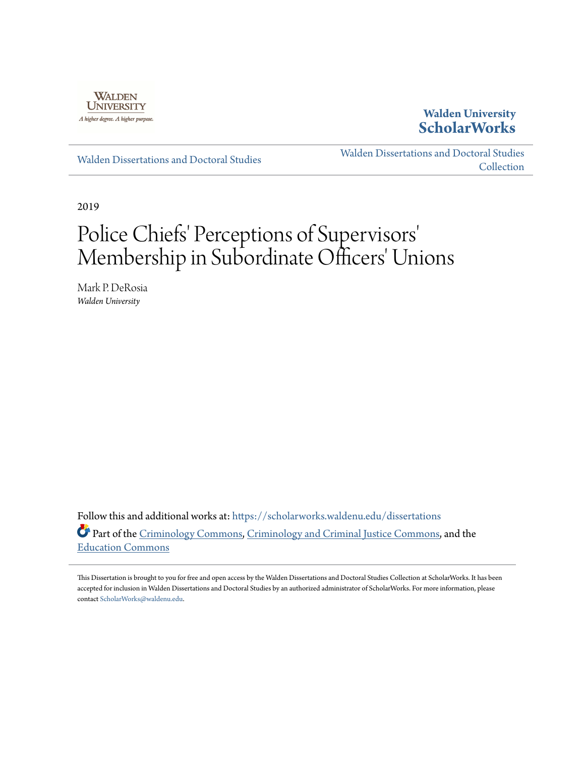

## **Walden University [ScholarWorks](https://scholarworks.waldenu.edu?utm_source=scholarworks.waldenu.edu%2Fdissertations%2F6415&utm_medium=PDF&utm_campaign=PDFCoverPages)**

[Walden Dissertations and Doctoral Studies](https://scholarworks.waldenu.edu/dissertations?utm_source=scholarworks.waldenu.edu%2Fdissertations%2F6415&utm_medium=PDF&utm_campaign=PDFCoverPages)

[Walden Dissertations and Doctoral Studies](https://scholarworks.waldenu.edu/dissanddoc?utm_source=scholarworks.waldenu.edu%2Fdissertations%2F6415&utm_medium=PDF&utm_campaign=PDFCoverPages) [Collection](https://scholarworks.waldenu.edu/dissanddoc?utm_source=scholarworks.waldenu.edu%2Fdissertations%2F6415&utm_medium=PDF&utm_campaign=PDFCoverPages)

2019

# Police Chiefs' Perceptions of Supervisors 'Membership in Subordinate Officers' Unions

Mark P. DeRosia *Walden University*

Follow this and additional works at: [https://scholarworks.waldenu.edu/dissertations](https://scholarworks.waldenu.edu/dissertations?utm_source=scholarworks.waldenu.edu%2Fdissertations%2F6415&utm_medium=PDF&utm_campaign=PDFCoverPages) Part of the [Criminology Commons,](http://network.bepress.com/hgg/discipline/417?utm_source=scholarworks.waldenu.edu%2Fdissertations%2F6415&utm_medium=PDF&utm_campaign=PDFCoverPages) [Criminology and Criminal Justice Commons](http://network.bepress.com/hgg/discipline/367?utm_source=scholarworks.waldenu.edu%2Fdissertations%2F6415&utm_medium=PDF&utm_campaign=PDFCoverPages), and the [Education Commons](http://network.bepress.com/hgg/discipline/784?utm_source=scholarworks.waldenu.edu%2Fdissertations%2F6415&utm_medium=PDF&utm_campaign=PDFCoverPages)

This Dissertation is brought to you for free and open access by the Walden Dissertations and Doctoral Studies Collection at ScholarWorks. It has been accepted for inclusion in Walden Dissertations and Doctoral Studies by an authorized administrator of ScholarWorks. For more information, please contact [ScholarWorks@waldenu.edu](mailto:ScholarWorks@waldenu.edu).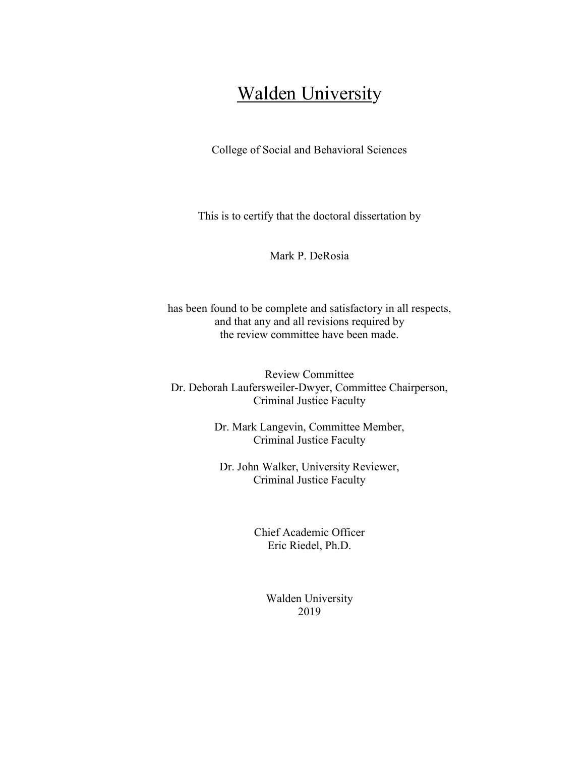## **Walden University**

College of Social and Behavioral Sciences

This is to certify that the doctoral dissertation by

Mark P. DeRosia

has been found to be complete and satisfactory in all respects, and that any and all revisions required by the review committee have been made.

Review Committee Dr. Deborah Laufersweiler-Dwyer, Committee Chairperson, Criminal Justice Faculty

> Dr. Mark Langevin, Committee Member, Criminal Justice Faculty

Dr. John Walker, University Reviewer, Criminal Justice Faculty

> Chief Academic Officer Eric Riedel, Ph.D.

> > Walden University 2019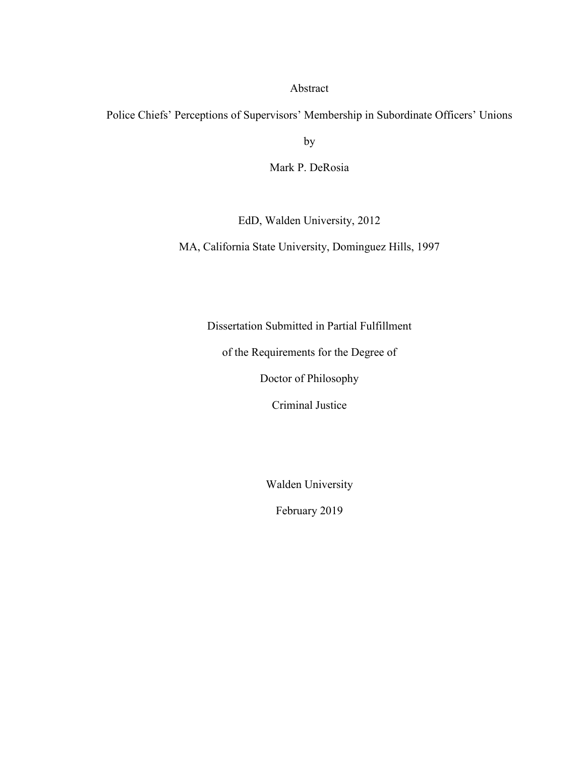#### Abstract

Police Chiefs' Perceptions of Supervisors' Membership in Subordinate Officers' Unions

by

Mark P. DeRosia

EdD, Walden University, 2012

MA, California State University, Dominguez Hills, 1997

Dissertation Submitted in Partial Fulfillment

of the Requirements for the Degree of

Doctor of Philosophy

Criminal Justice

Walden University

February 2019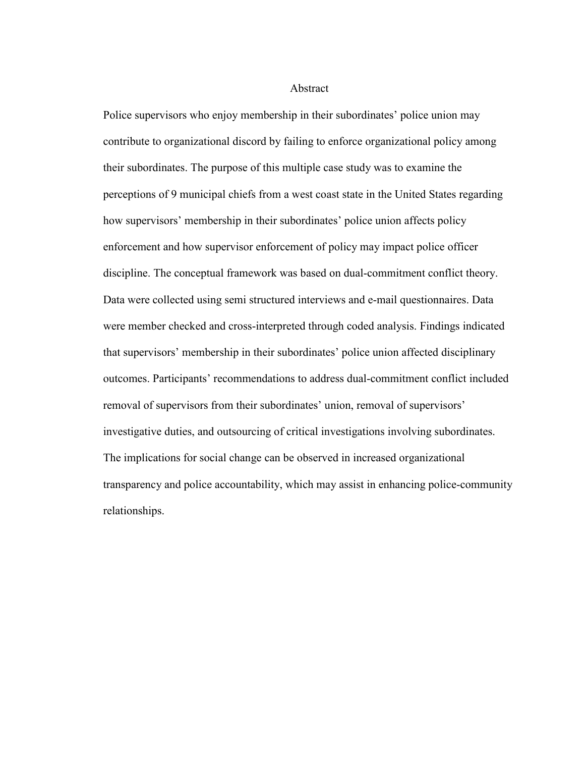Abstract

Police supervisors who enjoy membership in their subordinates' police union may contribute to organizational discord by failing to enforce organizational policy among their subordinates. The purpose of this multiple case study was to examine the perceptions of 9 municipal chiefs from a west coast state in the United States regarding how supervisors' membership in their subordinates' police union affects policy enforcement and how supervisor enforcement of policy may impact police officer discipline. The conceptual framework was based on dual-commitment conflict theory. Data were collected using semi structured interviews and e-mail questionnaires. Data were member checked and cross-interpreted through coded analysis. Findings indicated that supervisors' membership in their subordinates' police union affected disciplinary outcomes. Participants' recommendations to address dual-commitment conflict included removal of supervisors from their subordinates' union, removal of supervisors' investigative duties, and outsourcing of critical investigations involving subordinates. The implications for social change can be observed in increased organizational transparency and police accountability, which may assist in enhancing police-community relationships.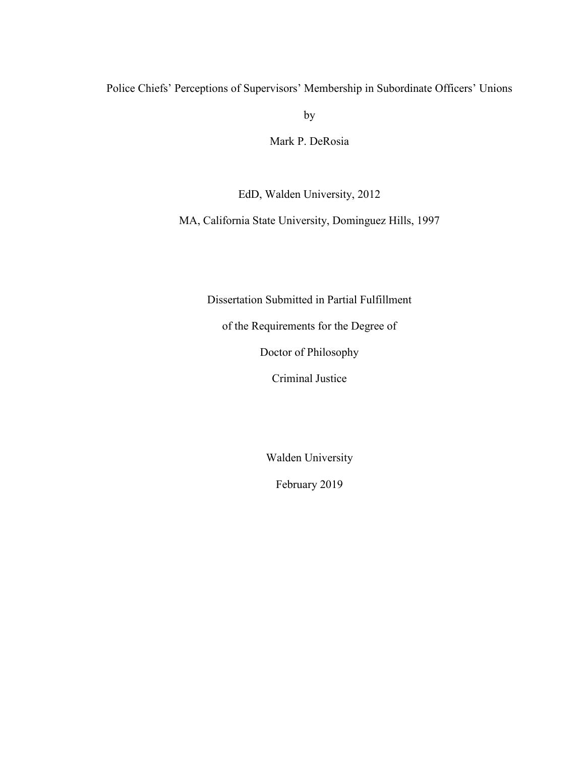Police Chiefs' Perceptions of Supervisors' Membership in Subordinate Officers' Unions

by

Mark P. DeRosia

EdD, Walden University, 2012

MA, California State University, Dominguez Hills, 1997

Dissertation Submitted in Partial Fulfillment

of the Requirements for the Degree of

Doctor of Philosophy

Criminal Justice

Walden University

February 2019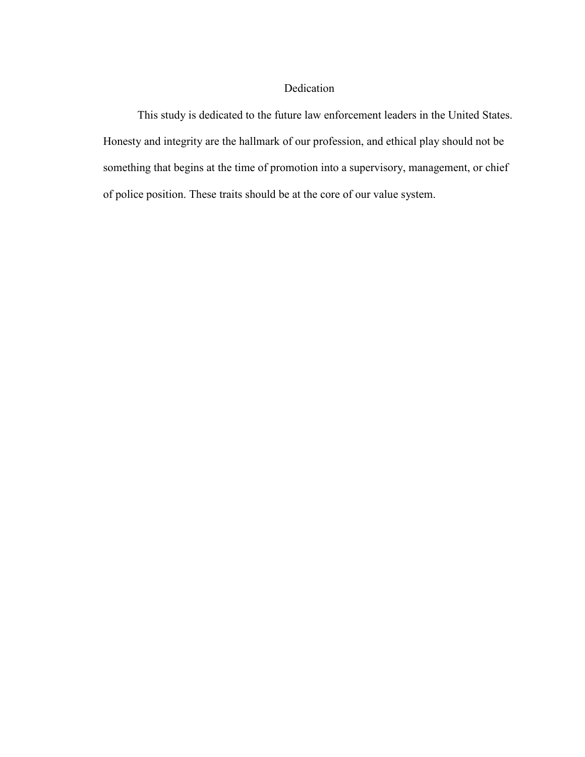### Dedication

This study is dedicated to the future law enforcement leaders in the United States. Honesty and integrity are the hallmark of our profession, and ethical play should not be something that begins at the time of promotion into a supervisory, management, or chief of police position. These traits should be at the core of our value system.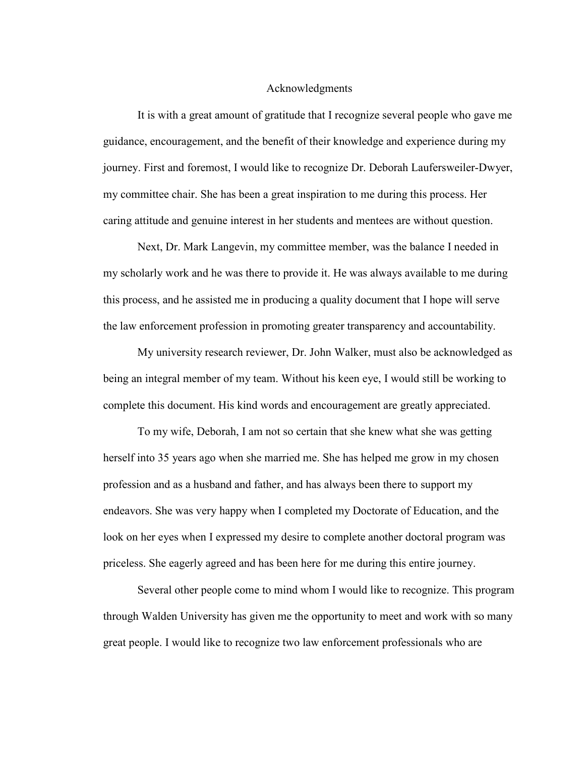#### Acknowledgments

It is with a great amount of gratitude that I recognize several people who gave me guidance, encouragement, and the benefit of their knowledge and experience during my journey. First and foremost, I would like to recognize Dr. Deborah Laufersweiler-Dwyer, my committee chair. She has been a great inspiration to me during this process. Her caring attitude and genuine interest in her students and mentees are without question.

Next, Dr. Mark Langevin, my committee member, was the balance I needed in my scholarly work and he was there to provide it. He was always available to me during this process, and he assisted me in producing a quality document that I hope will serve the law enforcement profession in promoting greater transparency and accountability.

My university research reviewer, Dr. John Walker, must also be acknowledged as being an integral member of my team. Without his keen eye, I would still be working to complete this document. His kind words and encouragement are greatly appreciated.

To my wife, Deborah, I am not so certain that she knew what she was getting herself into 35 years ago when she married me. She has helped me grow in my chosen profession and as a husband and father, and has always been there to support my endeavors. She was very happy when I completed my Doctorate of Education, and the look on her eyes when I expressed my desire to complete another doctoral program was priceless. She eagerly agreed and has been here for me during this entire journey.

Several other people come to mind whom I would like to recognize. This program through Walden University has given me the opportunity to meet and work with so many great people. I would like to recognize two law enforcement professionals who are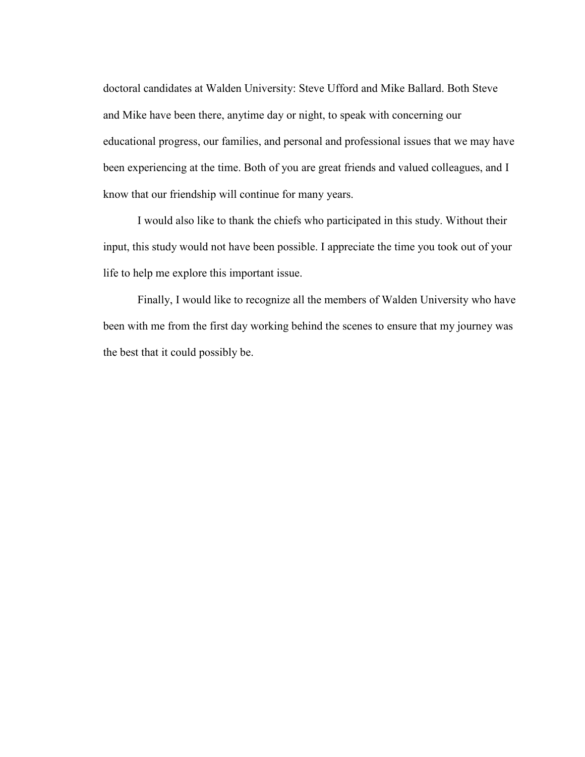doctoral candidates at Walden University: Steve Ufford and Mike Ballard. Both Steve and Mike have been there, anytime day or night, to speak with concerning our educational progress, our families, and personal and professional issues that we may have been experiencing at the time. Both of you are great friends and valued colleagues, and I know that our friendship will continue for many years.

I would also like to thank the chiefs who participated in this study. Without their input, this study would not have been possible. I appreciate the time you took out of your life to help me explore this important issue.

Finally, I would like to recognize all the members of Walden University who have been with me from the first day working behind the scenes to ensure that my journey was the best that it could possibly be.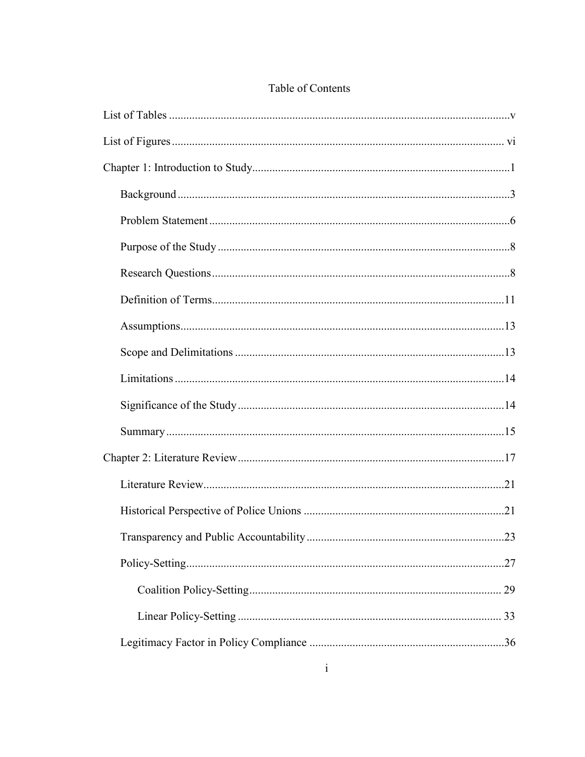## Table of Contents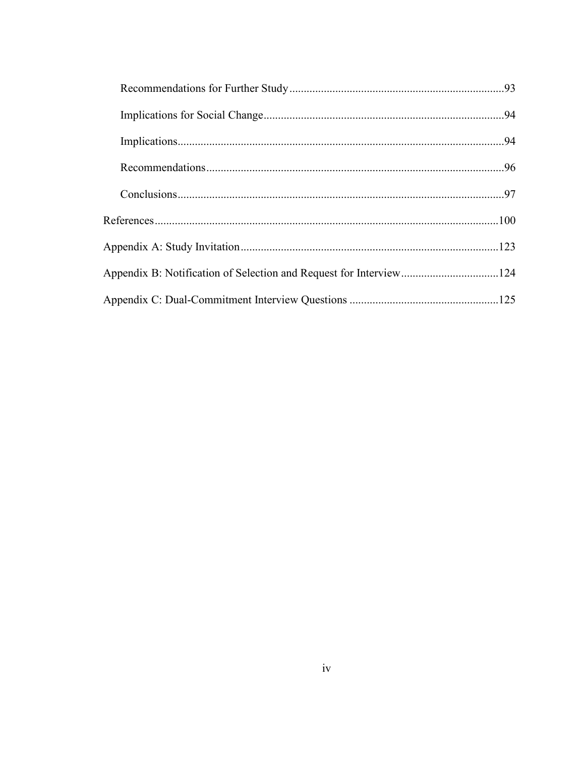| Appendix B: Notification of Selection and Request for Interview124 |  |
|--------------------------------------------------------------------|--|
|                                                                    |  |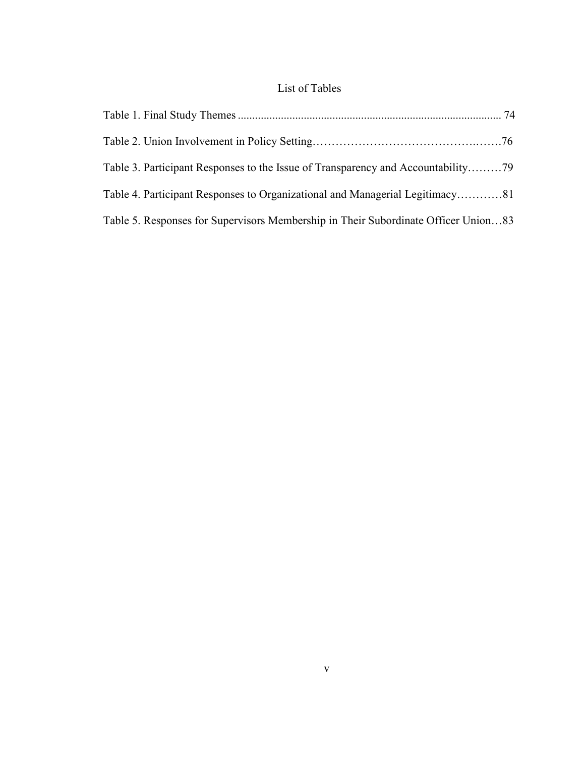### List of Tables

| Table 4. Participant Responses to Organizational and Managerial Legitimacy81       |  |
|------------------------------------------------------------------------------------|--|
| Table 5. Responses for Supervisors Membership in Their Subordinate Officer Union83 |  |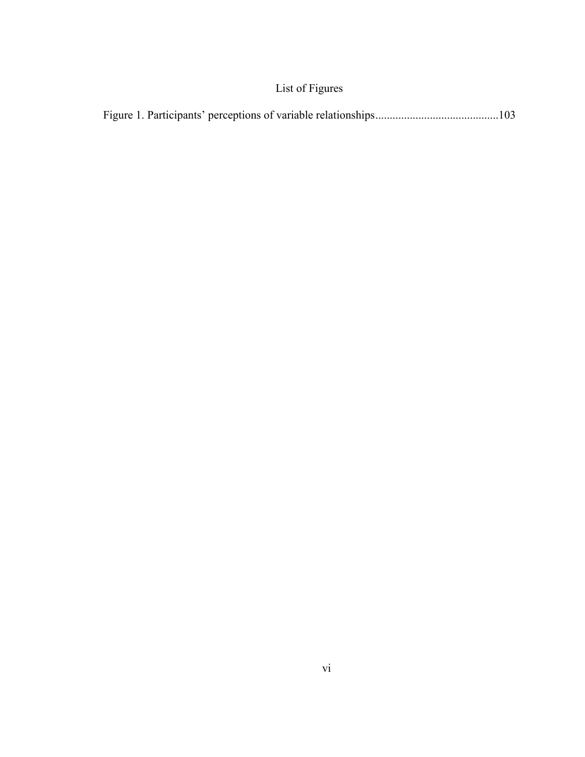## List of Figures

|--|--|--|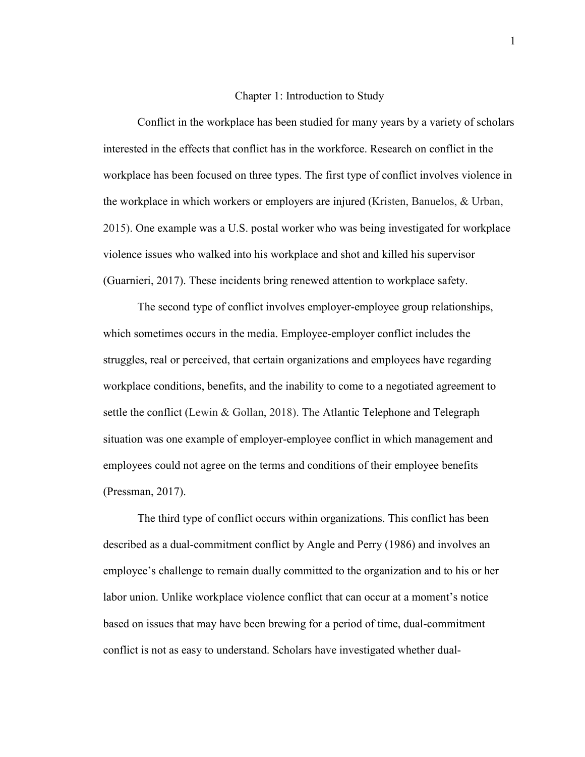#### Chapter 1: Introduction to Study

Conflict in the workplace has been studied for many years by a variety of scholars interested in the effects that conflict has in the workforce. Research on conflict in the workplace has been focused on three types. The first type of conflict involves violence in the workplace in which workers or employers are injured (Kristen, Banuelos, & Urban, 2015). One example was a U.S. postal worker who was being investigated for workplace violence issues who walked into his workplace and shot and killed his supervisor (Guarnieri, 2017). These incidents bring renewed attention to workplace safety.

The second type of conflict involves employer-employee group relationships, which sometimes occurs in the media. Employee-employer conflict includes the struggles, real or perceived, that certain organizations and employees have regarding workplace conditions, benefits, and the inability to come to a negotiated agreement to settle the conflict (Lewin & Gollan, 2018). The Atlantic Telephone and Telegraph situation was one example of employer-employee conflict in which management and employees could not agree on the terms and conditions of their employee benefits (Pressman, 2017).

The third type of conflict occurs within organizations. This conflict has been described as a dual-commitment conflict by Angle and Perry (1986) and involves an employee's challenge to remain dually committed to the organization and to his or her labor union. Unlike workplace violence conflict that can occur at a moment's notice based on issues that may have been brewing for a period of time, dual-commitment conflict is not as easy to understand. Scholars have investigated whether dual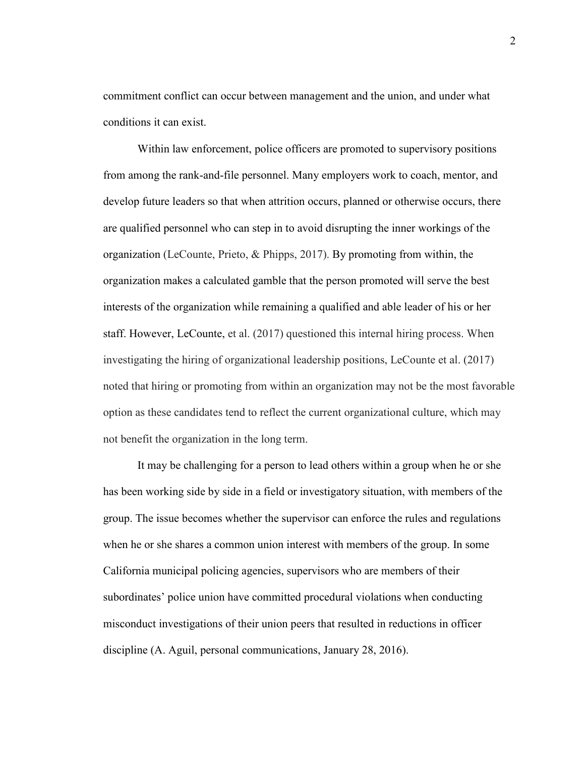commitment conflict can occur between management and the union, and under what conditions it can exist.

Within law enforcement, police officers are promoted to supervisory positions from among the rank-and-file personnel. Many employers work to coach, mentor, and develop future leaders so that when attrition occurs, planned or otherwise occurs, there are qualified personnel who can step in to avoid disrupting the inner workings of the organization (LeCounte, Prieto, & Phipps, 2017). By promoting from within, the organization makes a calculated gamble that the person promoted will serve the best interests of the organization while remaining a qualified and able leader of his or her staff. However, LeCounte, et al. (2017) questioned this internal hiring process. When investigating the hiring of organizational leadership positions, LeCounte et al. (2017) noted that hiring or promoting from within an organization may not be the most favorable option as these candidates tend to reflect the current organizational culture, which may not benefit the organization in the long term.

It may be challenging for a person to lead others within a group when he or she has been working side by side in a field or investigatory situation, with members of the group. The issue becomes whether the supervisor can enforce the rules and regulations when he or she shares a common union interest with members of the group. In some California municipal policing agencies, supervisors who are members of their subordinates' police union have committed procedural violations when conducting misconduct investigations of their union peers that resulted in reductions in officer discipline (A. Aguil, personal communications, January 28, 2016).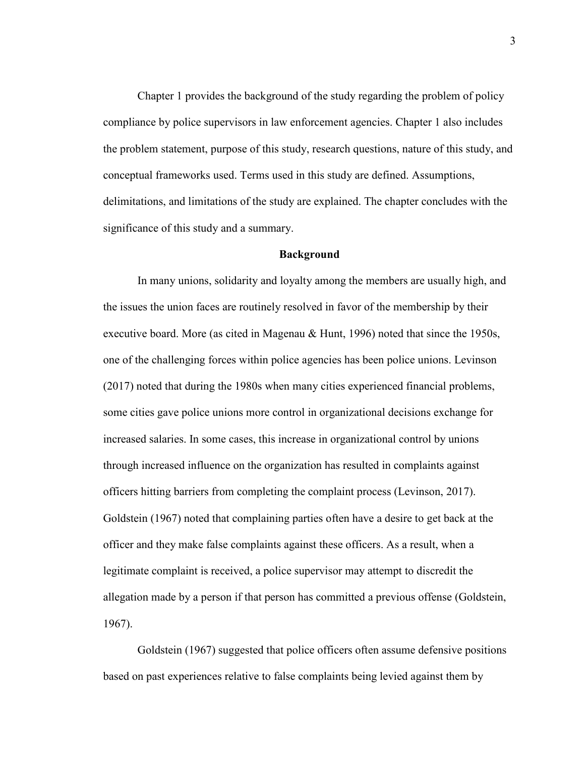Chapter 1 provides the background of the study regarding the problem of policy compliance by police supervisors in law enforcement agencies. Chapter 1 also includes the problem statement, purpose of this study, research questions, nature of this study, and conceptual frameworks used. Terms used in this study are defined. Assumptions, delimitations, and limitations of the study are explained. The chapter concludes with the significance of this study and a summary.

#### **Background**

In many unions, solidarity and loyalty among the members are usually high, and the issues the union faces are routinely resolved in favor of the membership by their executive board. More (as cited in Magenau & Hunt, 1996) noted that since the 1950s, one of the challenging forces within police agencies has been police unions. Levinson (2017) noted that during the 1980s when many cities experienced financial problems, some cities gave police unions more control in organizational decisions exchange for increased salaries. In some cases, this increase in organizational control by unions through increased influence on the organization has resulted in complaints against officers hitting barriers from completing the complaint process (Levinson, 2017). Goldstein (1967) noted that complaining parties often have a desire to get back at the officer and they make false complaints against these officers. As a result, when a legitimate complaint is received, a police supervisor may attempt to discredit the allegation made by a person if that person has committed a previous offense (Goldstein, 1967).

Goldstein (1967) suggested that police officers often assume defensive positions based on past experiences relative to false complaints being levied against them by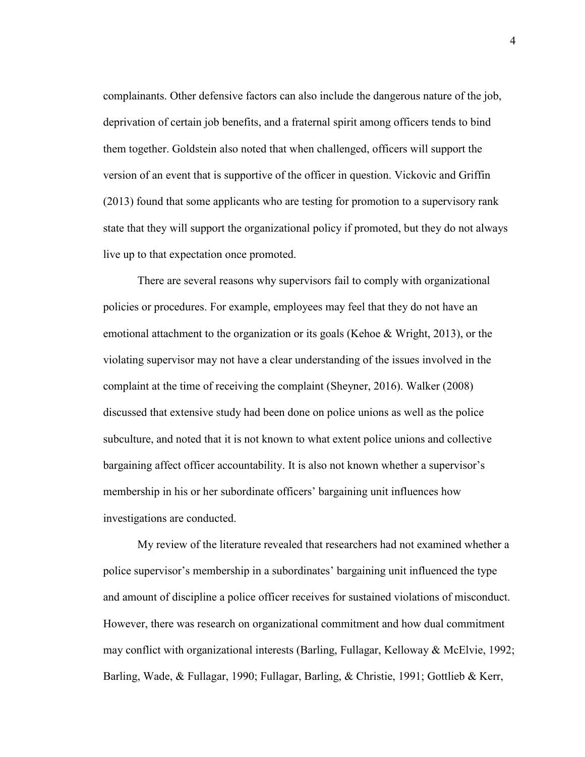complainants. Other defensive factors can also include the dangerous nature of the job, deprivation of certain job benefits, and a fraternal spirit among officers tends to bind them together. Goldstein also noted that when challenged, officers will support the version of an event that is supportive of the officer in question. Vickovic and Griffin (2013) found that some applicants who are testing for promotion to a supervisory rank state that they will support the organizational policy if promoted, but they do not always live up to that expectation once promoted.

There are several reasons why supervisors fail to comply with organizational policies or procedures. For example, employees may feel that they do not have an emotional attachment to the organization or its goals (Kehoe & Wright, 2013), or the violating supervisor may not have a clear understanding of the issues involved in the complaint at the time of receiving the complaint (Sheyner, 2016). Walker (2008) discussed that extensive study had been done on police unions as well as the police subculture, and noted that it is not known to what extent police unions and collective bargaining affect officer accountability. It is also not known whether a supervisor's membership in his or her subordinate officers' bargaining unit influences how investigations are conducted.

My review of the literature revealed that researchers had not examined whether a police supervisor's membership in a subordinates' bargaining unit influenced the type and amount of discipline a police officer receives for sustained violations of misconduct. However, there was research on organizational commitment and how dual commitment may conflict with organizational interests (Barling, Fullagar, Kelloway & McElvie, 1992; Barling, Wade, & Fullagar, 1990; Fullagar, Barling, & Christie, 1991; Gottlieb & Kerr,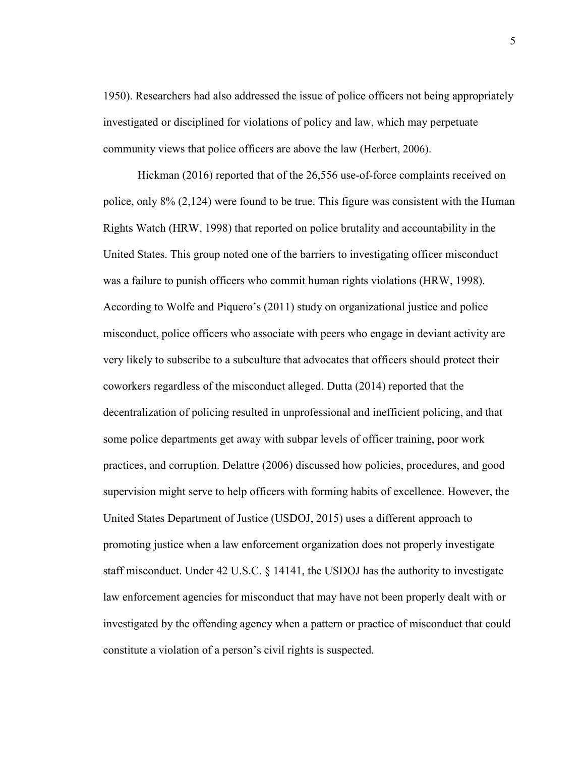1950). Researchers had also addressed the issue of police officers not being appropriately investigated or disciplined for violations of policy and law, which may perpetuate community views that police officers are above the law (Herbert, 2006).

Hickman (2016) reported that of the 26,556 use-of-force complaints received on police, only 8% (2,124) were found to be true. This figure was consistent with the Human Rights Watch (HRW, 1998) that reported on police brutality and accountability in the United States. This group noted one of the barriers to investigating officer misconduct was a failure to punish officers who commit human rights violations (HRW, 1998). According to Wolfe and Piquero's (2011) study on organizational justice and police misconduct, police officers who associate with peers who engage in deviant activity are very likely to subscribe to a subculture that advocates that officers should protect their coworkers regardless of the misconduct alleged. Dutta (2014) reported that the decentralization of policing resulted in unprofessional and inefficient policing, and that some police departments get away with subpar levels of officer training, poor work practices, and corruption. Delattre (2006) discussed how policies, procedures, and good supervision might serve to help officers with forming habits of excellence. However, the United States Department of Justice (USDOJ, 2015) uses a different approach to promoting justice when a law enforcement organization does not properly investigate staff misconduct. Under 42 U.S.C. § 14141, the USDOJ has the authority to investigate law enforcement agencies for misconduct that may have not been properly dealt with or investigated by the offending agency when a pattern or practice of misconduct that could constitute a violation of a person's civil rights is suspected.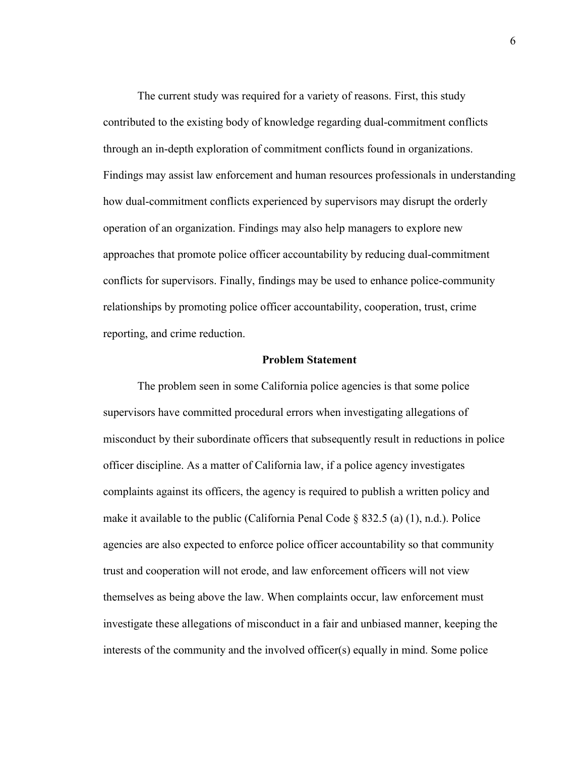The current study was required for a variety of reasons. First, this study contributed to the existing body of knowledge regarding dual-commitment conflicts through an in-depth exploration of commitment conflicts found in organizations. Findings may assist law enforcement and human resources professionals in understanding how dual-commitment conflicts experienced by supervisors may disrupt the orderly operation of an organization. Findings may also help managers to explore new approaches that promote police officer accountability by reducing dual-commitment conflicts for supervisors. Finally, findings may be used to enhance police-community relationships by promoting police officer accountability, cooperation, trust, crime reporting, and crime reduction.

#### **Problem Statement**

The problem seen in some California police agencies is that some police supervisors have committed procedural errors when investigating allegations of misconduct by their subordinate officers that subsequently result in reductions in police officer discipline. As a matter of California law, if a police agency investigates complaints against its officers, the agency is required to publish a written policy and make it available to the public (California Penal Code  $\S$  832.5 (a) (1), n.d.). Police agencies are also expected to enforce police officer accountability so that community trust and cooperation will not erode, and law enforcement officers will not view themselves as being above the law. When complaints occur, law enforcement must investigate these allegations of misconduct in a fair and unbiased manner, keeping the interests of the community and the involved officer(s) equally in mind. Some police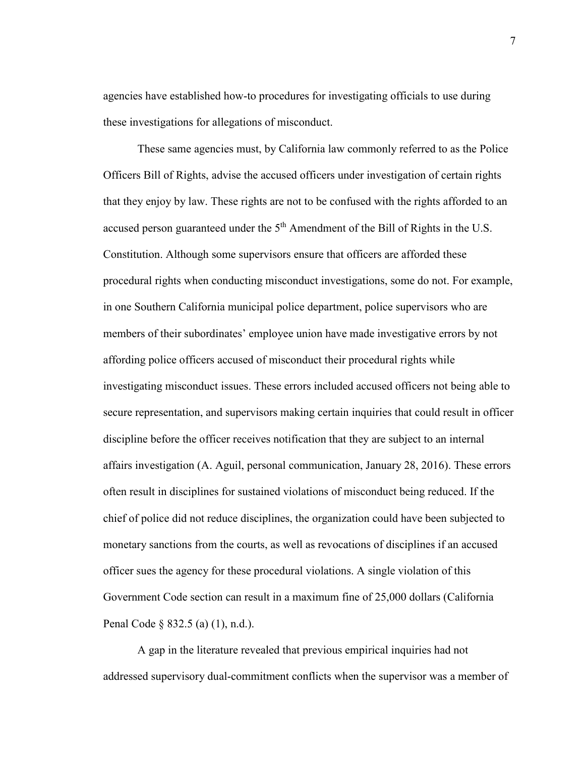agencies have established how-to procedures for investigating officials to use during these investigations for allegations of misconduct.

These same agencies must, by California law commonly referred to as the Police Officers Bill of Rights, advise the accused officers under investigation of certain rights that they enjoy by law. These rights are not to be confused with the rights afforded to an accused person guaranteed under the 5<sup>th</sup> Amendment of the Bill of Rights in the U.S. Constitution. Although some supervisors ensure that officers are afforded these procedural rights when conducting misconduct investigations, some do not. For example, in one Southern California municipal police department, police supervisors who are members of their subordinates' employee union have made investigative errors by not affording police officers accused of misconduct their procedural rights while investigating misconduct issues. These errors included accused officers not being able to secure representation, and supervisors making certain inquiries that could result in officer discipline before the officer receives notification that they are subject to an internal affairs investigation (A. Aguil, personal communication, January 28, 2016). These errors often result in disciplines for sustained violations of misconduct being reduced. If the chief of police did not reduce disciplines, the organization could have been subjected to monetary sanctions from the courts, as well as revocations of disciplines if an accused officer sues the agency for these procedural violations. A single violation of this Government Code section can result in a maximum fine of 25,000 dollars (California Penal Code § 832.5 (a) (1), n.d.).

A gap in the literature revealed that previous empirical inquiries had not addressed supervisory dual-commitment conflicts when the supervisor was a member of

7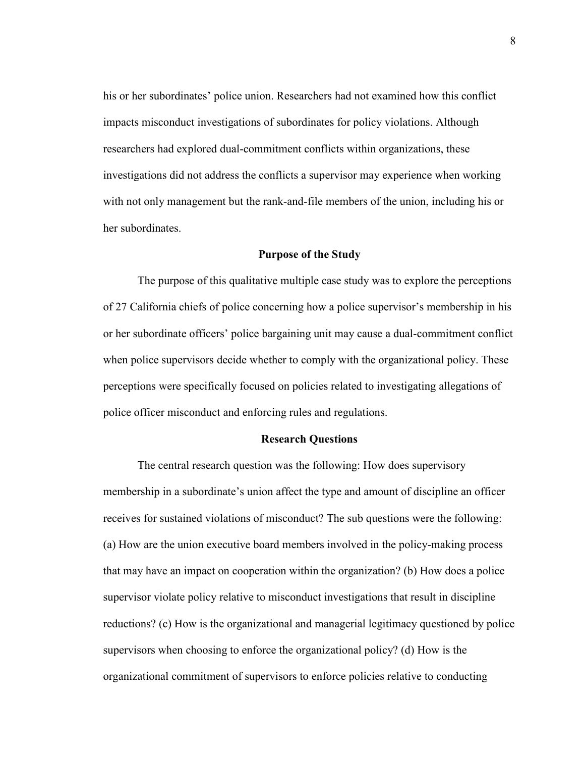his or her subordinates' police union. Researchers had not examined how this conflict impacts misconduct investigations of subordinates for policy violations. Although researchers had explored dual-commitment conflicts within organizations, these investigations did not address the conflicts a supervisor may experience when working with not only management but the rank-and-file members of the union, including his or her subordinates.

#### **Purpose of the Study**

The purpose of this qualitative multiple case study was to explore the perceptions of 27 California chiefs of police concerning how a police supervisor's membership in his or her subordinate officers' police bargaining unit may cause a dual-commitment conflict when police supervisors decide whether to comply with the organizational policy. These perceptions were specifically focused on policies related to investigating allegations of police officer misconduct and enforcing rules and regulations.

#### **Research Questions**

The central research question was the following: How does supervisory membership in a subordinate's union affect the type and amount of discipline an officer receives for sustained violations of misconduct? The sub questions were the following: (a) How are the union executive board members involved in the policy-making process that may have an impact on cooperation within the organization? (b) How does a police supervisor violate policy relative to misconduct investigations that result in discipline reductions? (c) How is the organizational and managerial legitimacy questioned by police supervisors when choosing to enforce the organizational policy? (d) How is the organizational commitment of supervisors to enforce policies relative to conducting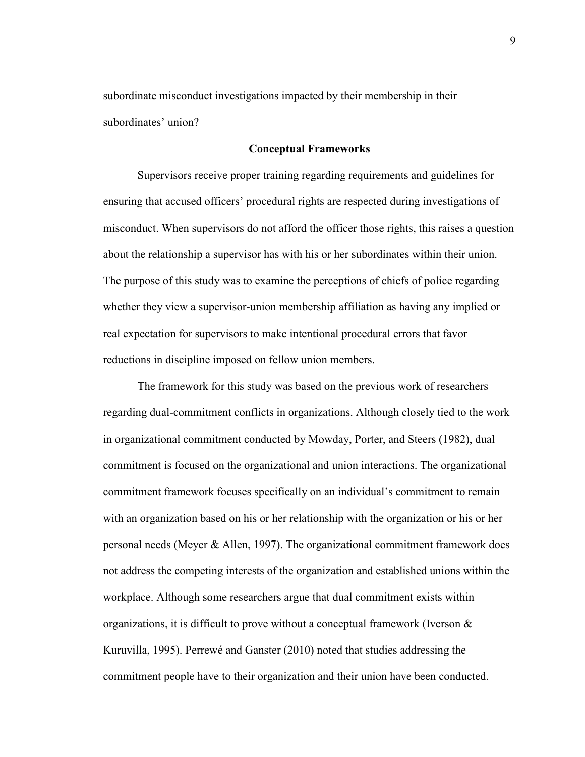subordinate misconduct investigations impacted by their membership in their subordinates' union?

#### **Conceptual Frameworks**

Supervisors receive proper training regarding requirements and guidelines for ensuring that accused officers' procedural rights are respected during investigations of misconduct. When supervisors do not afford the officer those rights, this raises a question about the relationship a supervisor has with his or her subordinates within their union. The purpose of this study was to examine the perceptions of chiefs of police regarding whether they view a supervisor-union membership affiliation as having any implied or real expectation for supervisors to make intentional procedural errors that favor reductions in discipline imposed on fellow union members.

The framework for this study was based on the previous work of researchers regarding dual-commitment conflicts in organizations. Although closely tied to the work in organizational commitment conducted by Mowday, Porter, and Steers (1982), dual commitment is focused on the organizational and union interactions. The organizational commitment framework focuses specifically on an individual's commitment to remain with an organization based on his or her relationship with the organization or his or her personal needs (Meyer & Allen, 1997). The organizational commitment framework does not address the competing interests of the organization and established unions within the workplace. Although some researchers argue that dual commitment exists within organizations, it is difficult to prove without a conceptual framework (Iverson  $\&$ Kuruvilla, 1995). Perrewé and Ganster (2010) noted that studies addressing the commitment people have to their organization and their union have been conducted.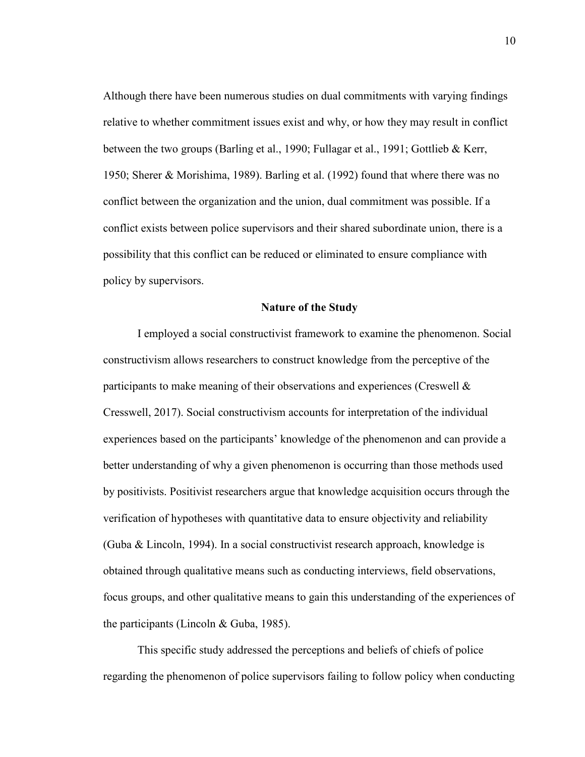Although there have been numerous studies on dual commitments with varying findings relative to whether commitment issues exist and why, or how they may result in conflict between the two groups (Barling et al., 1990; Fullagar et al., 1991; Gottlieb & Kerr, 1950; Sherer & Morishima, 1989). Barling et al. (1992) found that where there was no conflict between the organization and the union, dual commitment was possible. If a conflict exists between police supervisors and their shared subordinate union, there is a possibility that this conflict can be reduced or eliminated to ensure compliance with policy by supervisors.

#### **Nature of the Study**

I employed a social constructivist framework to examine the phenomenon. Social constructivism allows researchers to construct knowledge from the perceptive of the participants to make meaning of their observations and experiences (Creswell & Cresswell, 2017). Social constructivism accounts for interpretation of the individual experiences based on the participants' knowledge of the phenomenon and can provide a better understanding of why a given phenomenon is occurring than those methods used by positivists. Positivist researchers argue that knowledge acquisition occurs through the verification of hypotheses with quantitative data to ensure objectivity and reliability (Guba & Lincoln, 1994). In a social constructivist research approach, knowledge is obtained through qualitative means such as conducting interviews, field observations, focus groups, and other qualitative means to gain this understanding of the experiences of the participants (Lincoln & Guba, 1985).

This specific study addressed the perceptions and beliefs of chiefs of police regarding the phenomenon of police supervisors failing to follow policy when conducting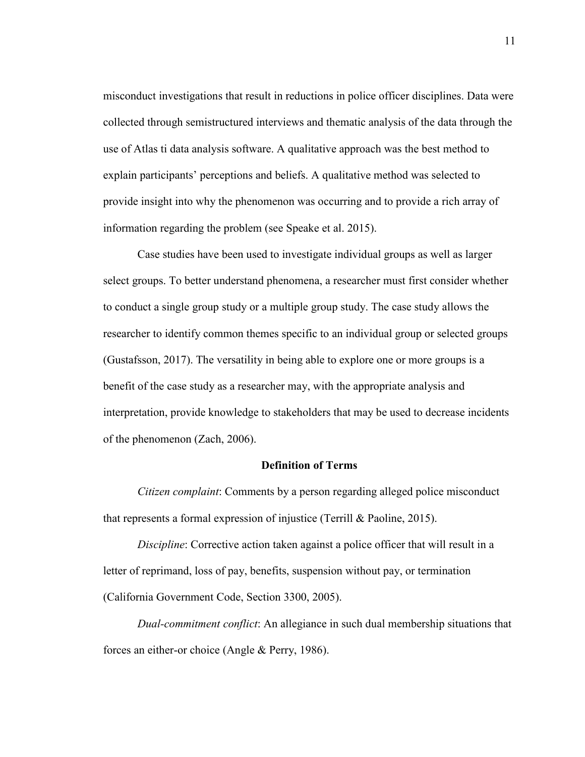misconduct investigations that result in reductions in police officer disciplines. Data were collected through semistructured interviews and thematic analysis of the data through the use of Atlas ti data analysis software. A qualitative approach was the best method to explain participants' perceptions and beliefs. A qualitative method was selected to provide insight into why the phenomenon was occurring and to provide a rich array of information regarding the problem (see Speake et al. 2015).

Case studies have been used to investigate individual groups as well as larger select groups. To better understand phenomena, a researcher must first consider whether to conduct a single group study or a multiple group study. The case study allows the researcher to identify common themes specific to an individual group or selected groups (Gustafsson, 2017). The versatility in being able to explore one or more groups is a benefit of the case study as a researcher may, with the appropriate analysis and interpretation, provide knowledge to stakeholders that may be used to decrease incidents of the phenomenon (Zach, 2006).

#### **Definition of Terms**

*Citizen complaint*: Comments by a person regarding alleged police misconduct that represents a formal expression of injustice (Terrill & Paoline, 2015).

*Discipline*: Corrective action taken against a police officer that will result in a letter of reprimand, loss of pay, benefits, suspension without pay, or termination (California Government Code, Section 3300, 2005).

*Dual-commitment conflict*: An allegiance in such dual membership situations that forces an either-or choice (Angle & Perry, 1986).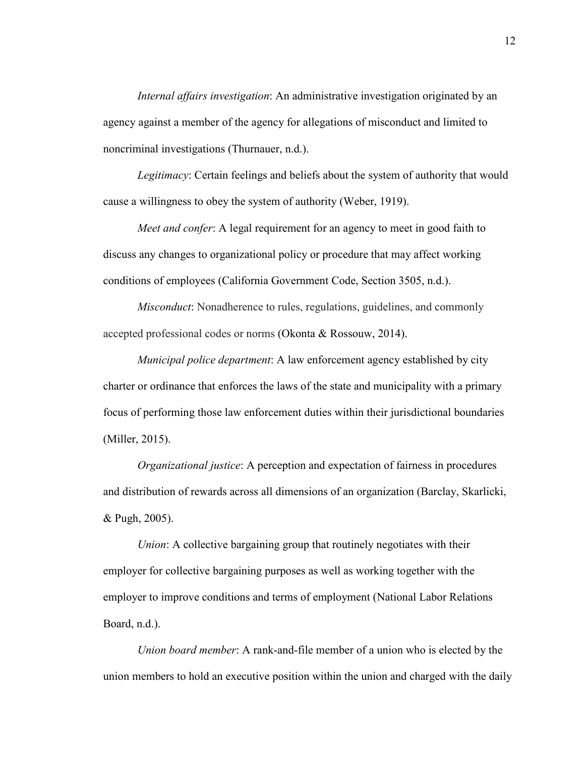*Internal affairs investigation*: An administrative investigation originated by an agency against a member of the agency for allegations of misconduct and limited to noncriminal investigations (Thurnauer, n.d.).

*Legitimacy*: Certain feelings and beliefs about the system of authority that would cause a willingness to obey the system of authority (Weber, 1919).

*Meet and confer*: A legal requirement for an agency to meet in good faith to discuss any changes to organizational policy or procedure that may affect working conditions of employees (California Government Code, Section 3505, n.d.).

*Misconduct*: Nonadherence to rules, regulations, guidelines, and commonly accepted professional codes or norms (Okonta & Rossouw, 2014).

*Municipal police department*: A law enforcement agency established by city charter or ordinance that enforces the laws of the state and municipality with a primary focus of performing those law enforcement duties within their jurisdictional boundaries (Miller, 2015).

*Organizational justice*: A perception and expectation of fairness in procedures and distribution of rewards across all dimensions of an organization (Barclay, Skarlicki, & Pugh, 2005).

*Union*: A collective bargaining group that routinely negotiates with their employer for collective bargaining purposes as well as working together with the employer to improve conditions and terms of employment (National Labor Relations Board, n.d.).

*Union board member*: A rank-and-file member of a union who is elected by the union members to hold an executive position within the union and charged with the daily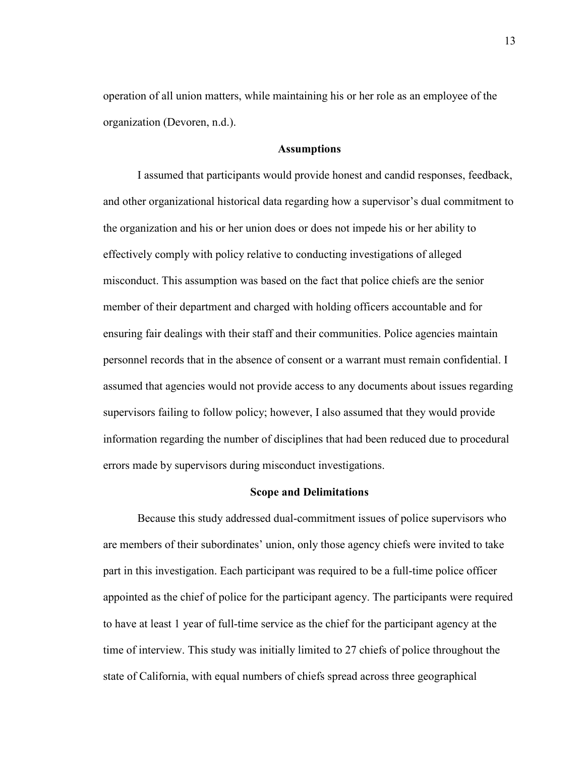operation of all union matters, while maintaining his or her role as an employee of the organization (Devoren, n.d.).

#### **Assumptions**

I assumed that participants would provide honest and candid responses, feedback, and other organizational historical data regarding how a supervisor's dual commitment to the organization and his or her union does or does not impede his or her ability to effectively comply with policy relative to conducting investigations of alleged misconduct. This assumption was based on the fact that police chiefs are the senior member of their department and charged with holding officers accountable and for ensuring fair dealings with their staff and their communities. Police agencies maintain personnel records that in the absence of consent or a warrant must remain confidential. I assumed that agencies would not provide access to any documents about issues regarding supervisors failing to follow policy; however, I also assumed that they would provide information regarding the number of disciplines that had been reduced due to procedural errors made by supervisors during misconduct investigations.

#### **Scope and Delimitations**

Because this study addressed dual-commitment issues of police supervisors who are members of their subordinates' union, only those agency chiefs were invited to take part in this investigation. Each participant was required to be a full-time police officer appointed as the chief of police for the participant agency. The participants were required to have at least 1 year of full-time service as the chief for the participant agency at the time of interview. This study was initially limited to 27 chiefs of police throughout the state of California, with equal numbers of chiefs spread across three geographical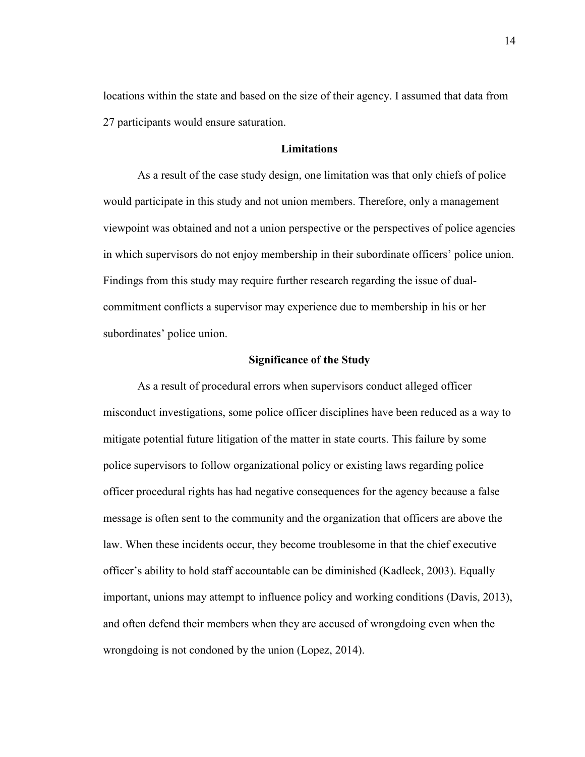locations within the state and based on the size of their agency. I assumed that data from 27 participants would ensure saturation.

#### **Limitations**

As a result of the case study design, one limitation was that only chiefs of police would participate in this study and not union members. Therefore, only a management viewpoint was obtained and not a union perspective or the perspectives of police agencies in which supervisors do not enjoy membership in their subordinate officers' police union. Findings from this study may require further research regarding the issue of dualcommitment conflicts a supervisor may experience due to membership in his or her subordinates' police union.

#### **Significance of the Study**

As a result of procedural errors when supervisors conduct alleged officer misconduct investigations, some police officer disciplines have been reduced as a way to mitigate potential future litigation of the matter in state courts. This failure by some police supervisors to follow organizational policy or existing laws regarding police officer procedural rights has had negative consequences for the agency because a false message is often sent to the community and the organization that officers are above the law. When these incidents occur, they become troublesome in that the chief executive officer's ability to hold staff accountable can be diminished (Kadleck, 2003). Equally important, unions may attempt to influence policy and working conditions (Davis, 2013), and often defend their members when they are accused of wrongdoing even when the wrongdoing is not condoned by the union (Lopez, 2014).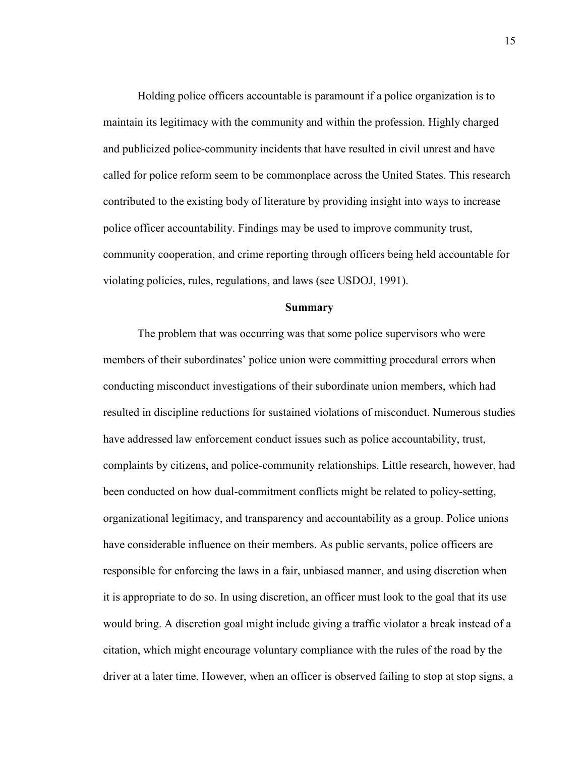Holding police officers accountable is paramount if a police organization is to maintain its legitimacy with the community and within the profession. Highly charged and publicized police-community incidents that have resulted in civil unrest and have called for police reform seem to be commonplace across the United States. This research contributed to the existing body of literature by providing insight into ways to increase police officer accountability. Findings may be used to improve community trust, community cooperation, and crime reporting through officers being held accountable for violating policies, rules, regulations, and laws (see USDOJ, 1991).

#### **Summary**

The problem that was occurring was that some police supervisors who were members of their subordinates' police union were committing procedural errors when conducting misconduct investigations of their subordinate union members, which had resulted in discipline reductions for sustained violations of misconduct. Numerous studies have addressed law enforcement conduct issues such as police accountability, trust, complaints by citizens, and police-community relationships. Little research, however, had been conducted on how dual-commitment conflicts might be related to policy-setting, organizational legitimacy, and transparency and accountability as a group. Police unions have considerable influence on their members. As public servants, police officers are responsible for enforcing the laws in a fair, unbiased manner, and using discretion when it is appropriate to do so. In using discretion, an officer must look to the goal that its use would bring. A discretion goal might include giving a traffic violator a break instead of a citation, which might encourage voluntary compliance with the rules of the road by the driver at a later time. However, when an officer is observed failing to stop at stop signs, a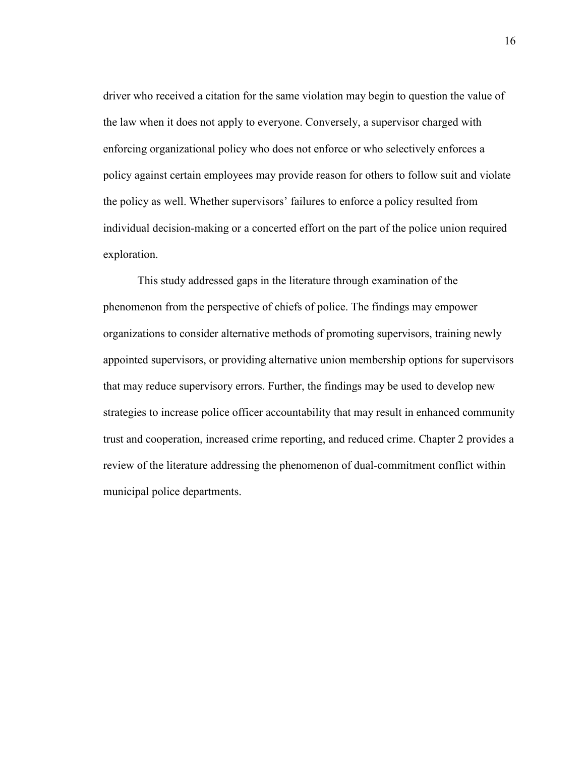driver who received a citation for the same violation may begin to question the value of the law when it does not apply to everyone. Conversely, a supervisor charged with enforcing organizational policy who does not enforce or who selectively enforces a policy against certain employees may provide reason for others to follow suit and violate the policy as well. Whether supervisors' failures to enforce a policy resulted from individual decision-making or a concerted effort on the part of the police union required exploration.

This study addressed gaps in the literature through examination of the phenomenon from the perspective of chiefs of police. The findings may empower organizations to consider alternative methods of promoting supervisors, training newly appointed supervisors, or providing alternative union membership options for supervisors that may reduce supervisory errors. Further, the findings may be used to develop new strategies to increase police officer accountability that may result in enhanced community trust and cooperation, increased crime reporting, and reduced crime. Chapter 2 provides a review of the literature addressing the phenomenon of dual-commitment conflict within municipal police departments.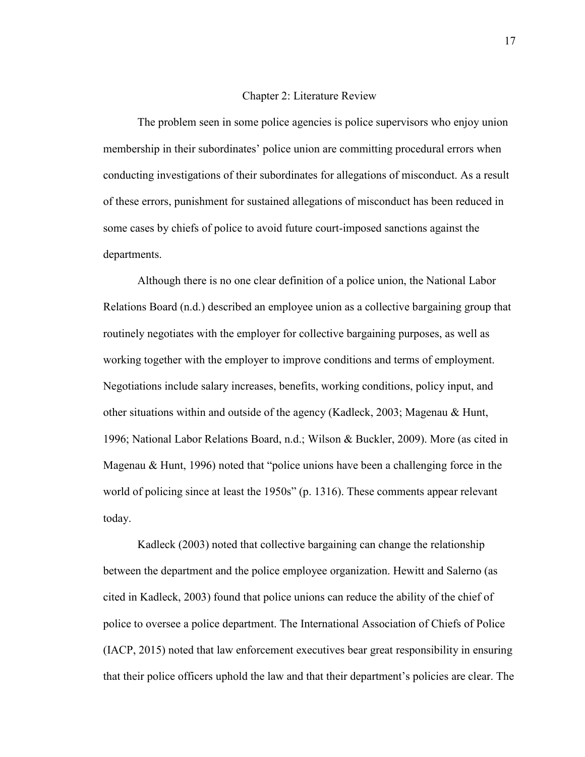#### Chapter 2: Literature Review

The problem seen in some police agencies is police supervisors who enjoy union membership in their subordinates' police union are committing procedural errors when conducting investigations of their subordinates for allegations of misconduct. As a result of these errors, punishment for sustained allegations of misconduct has been reduced in some cases by chiefs of police to avoid future court-imposed sanctions against the departments.

Although there is no one clear definition of a police union, the National Labor Relations Board (n.d.) described an employee union as a collective bargaining group that routinely negotiates with the employer for collective bargaining purposes, as well as working together with the employer to improve conditions and terms of employment. Negotiations include salary increases, benefits, working conditions, policy input, and other situations within and outside of the agency (Kadleck, 2003; Magenau & Hunt, 1996; National Labor Relations Board, n.d.; Wilson & Buckler, 2009). More (as cited in Magenau & Hunt, 1996) noted that "police unions have been a challenging force in the world of policing since at least the 1950s" (p. 1316). These comments appear relevant today.

Kadleck (2003) noted that collective bargaining can change the relationship between the department and the police employee organization. Hewitt and Salerno (as cited in Kadleck, 2003) found that police unions can reduce the ability of the chief of police to oversee a police department. The International Association of Chiefs of Police (IACP, 2015) noted that law enforcement executives bear great responsibility in ensuring that their police officers uphold the law and that their department's policies are clear. The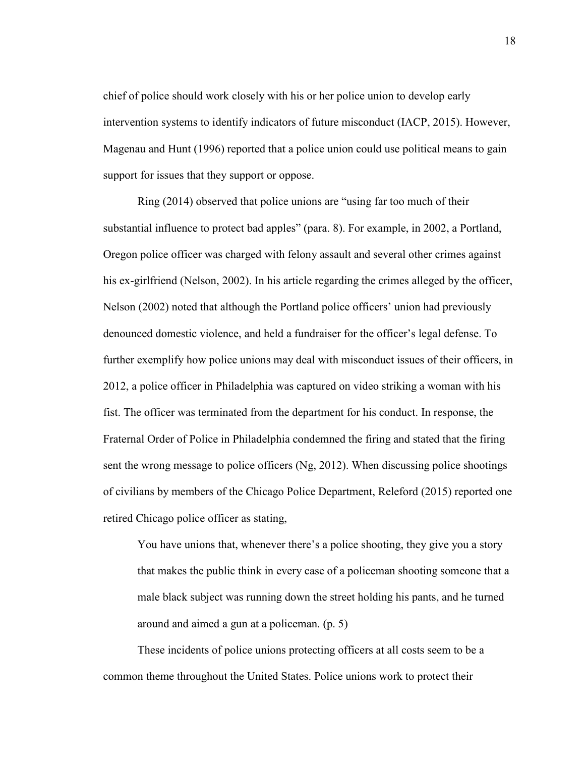chief of police should work closely with his or her police union to develop early intervention systems to identify indicators of future misconduct (IACP, 2015). However, Magenau and Hunt (1996) reported that a police union could use political means to gain support for issues that they support or oppose.

Ring (2014) observed that police unions are "using far too much of their substantial influence to protect bad apples" (para. 8). For example, in 2002, a Portland, Oregon police officer was charged with felony assault and several other crimes against his ex-girlfriend (Nelson, 2002). In his article regarding the crimes alleged by the officer, Nelson (2002) noted that although the Portland police officers' union had previously denounced domestic violence, and held a fundraiser for the officer's legal defense. To further exemplify how police unions may deal with misconduct issues of their officers, in 2012, a police officer in Philadelphia was captured on video striking a woman with his fist. The officer was terminated from the department for his conduct. In response, the Fraternal Order of Police in Philadelphia condemned the firing and stated that the firing sent the wrong message to police officers (Ng, 2012). When discussing police shootings of civilians by members of the Chicago Police Department, Releford (2015) reported one retired Chicago police officer as stating,

You have unions that, whenever there's a police shooting, they give you a story that makes the public think in every case of a policeman shooting someone that a male black subject was running down the street holding his pants, and he turned around and aimed a gun at a policeman. (p. 5)

These incidents of police unions protecting officers at all costs seem to be a common theme throughout the United States. Police unions work to protect their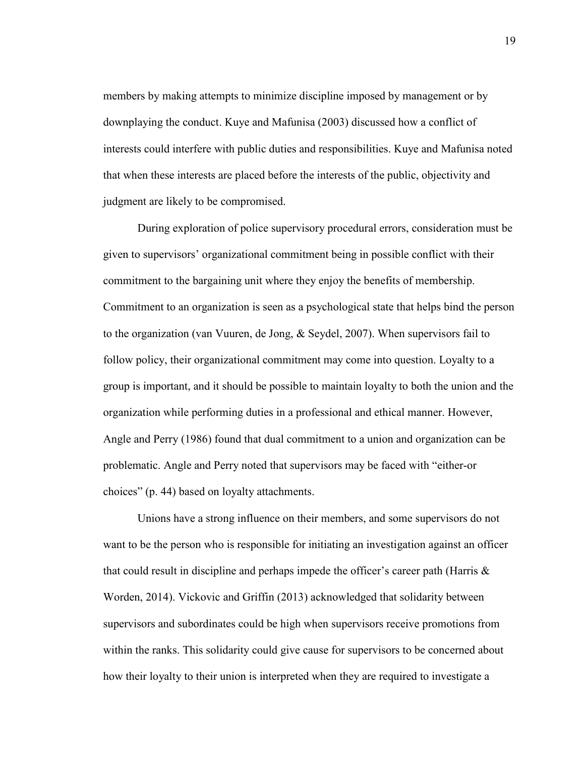members by making attempts to minimize discipline imposed by management or by downplaying the conduct. Kuye and Mafunisa (2003) discussed how a conflict of interests could interfere with public duties and responsibilities. Kuye and Mafunisa noted that when these interests are placed before the interests of the public, objectivity and judgment are likely to be compromised.

During exploration of police supervisory procedural errors, consideration must be given to supervisors' organizational commitment being in possible conflict with their commitment to the bargaining unit where they enjoy the benefits of membership. Commitment to an organization is seen as a psychological state that helps bind the person to the organization (van Vuuren, de Jong, & Seydel, 2007). When supervisors fail to follow policy, their organizational commitment may come into question. Loyalty to a group is important, and it should be possible to maintain loyalty to both the union and the organization while performing duties in a professional and ethical manner. However, Angle and Perry (1986) found that dual commitment to a union and organization can be problematic. Angle and Perry noted that supervisors may be faced with "either-or choices" (p. 44) based on loyalty attachments.

Unions have a strong influence on their members, and some supervisors do not want to be the person who is responsible for initiating an investigation against an officer that could result in discipline and perhaps impede the officer's career path (Harris  $\&$ Worden, 2014). Vickovic and Griffin (2013) acknowledged that solidarity between supervisors and subordinates could be high when supervisors receive promotions from within the ranks. This solidarity could give cause for supervisors to be concerned about how their loyalty to their union is interpreted when they are required to investigate a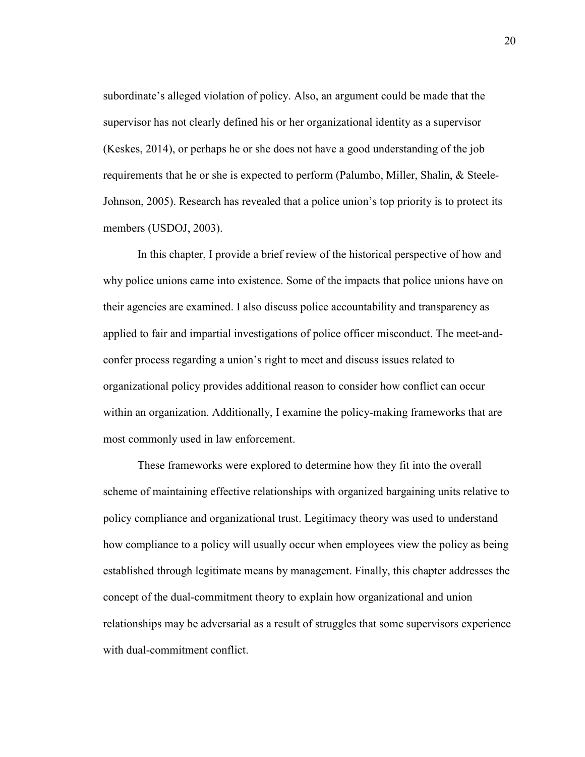subordinate's alleged violation of policy. Also, an argument could be made that the supervisor has not clearly defined his or her organizational identity as a supervisor (Keskes, 2014), or perhaps he or she does not have a good understanding of the job requirements that he or she is expected to perform (Palumbo, Miller, Shalin, & Steele-Johnson, 2005). Research has revealed that a police union's top priority is to protect its members (USDOJ, 2003).

In this chapter, I provide a brief review of the historical perspective of how and why police unions came into existence. Some of the impacts that police unions have on their agencies are examined. I also discuss police accountability and transparency as applied to fair and impartial investigations of police officer misconduct. The meet-andconfer process regarding a union's right to meet and discuss issues related to organizational policy provides additional reason to consider how conflict can occur within an organization. Additionally, I examine the policy-making frameworks that are most commonly used in law enforcement.

These frameworks were explored to determine how they fit into the overall scheme of maintaining effective relationships with organized bargaining units relative to policy compliance and organizational trust. Legitimacy theory was used to understand how compliance to a policy will usually occur when employees view the policy as being established through legitimate means by management. Finally, this chapter addresses the concept of the dual-commitment theory to explain how organizational and union relationships may be adversarial as a result of struggles that some supervisors experience with dual-commitment conflict.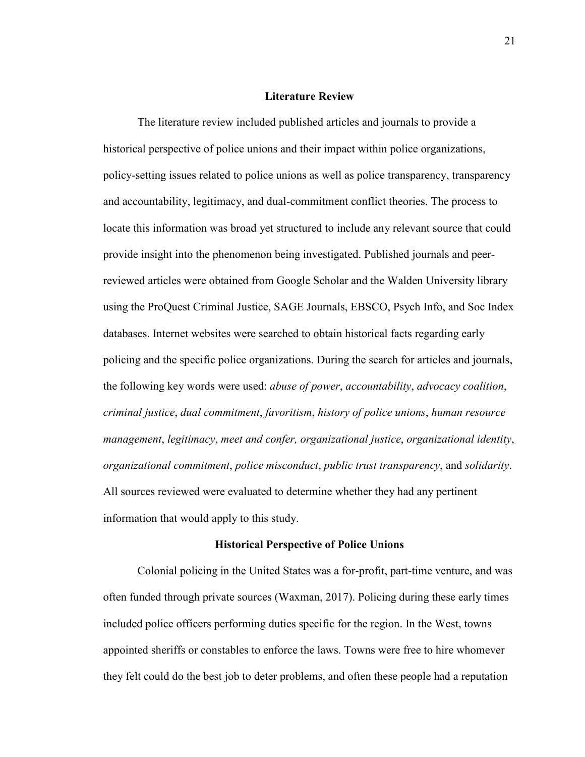#### **Literature Review**

The literature review included published articles and journals to provide a historical perspective of police unions and their impact within police organizations, policy-setting issues related to police unions as well as police transparency, transparency and accountability, legitimacy, and dual-commitment conflict theories. The process to locate this information was broad yet structured to include any relevant source that could provide insight into the phenomenon being investigated. Published journals and peerreviewed articles were obtained from Google Scholar and the Walden University library using the ProQuest Criminal Justice, SAGE Journals, EBSCO, Psych Info, and Soc Index databases. Internet websites were searched to obtain historical facts regarding early policing and the specific police organizations. During the search for articles and journals, the following key words were used: *abuse of power*, *accountability*, *advocacy coalition*, *criminal justice*, *dual commitment*, *favoritism*, *history of police unions*, *human resource management*, *legitimacy*, *meet and confer, organizational justice*, *organizational identity*, *organizational commitment*, *police misconduct*, *public trust transparency*, and *solidarity*. All sources reviewed were evaluated to determine whether they had any pertinent information that would apply to this study.

#### **Historical Perspective of Police Unions**

Colonial policing in the United States was a for-profit, part-time venture, and was often funded through private sources (Waxman, 2017). Policing during these early times included police officers performing duties specific for the region. In the West, towns appointed sheriffs or constables to enforce the laws. Towns were free to hire whomever they felt could do the best job to deter problems, and often these people had a reputation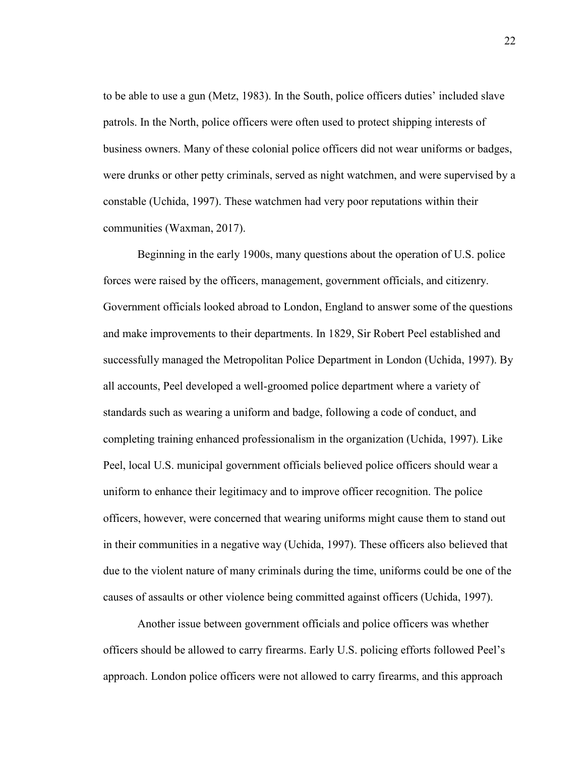to be able to use a gun (Metz, 1983). In the South, police officers duties' included slave patrols. In the North, police officers were often used to protect shipping interests of business owners. Many of these colonial police officers did not wear uniforms or badges, were drunks or other petty criminals, served as night watchmen, and were supervised by a constable (Uchida, 1997). These watchmen had very poor reputations within their communities (Waxman, 2017).

Beginning in the early 1900s, many questions about the operation of U.S. police forces were raised by the officers, management, government officials, and citizenry. Government officials looked abroad to London, England to answer some of the questions and make improvements to their departments. In 1829, Sir Robert Peel established and successfully managed the Metropolitan Police Department in London (Uchida, 1997). By all accounts, Peel developed a well-groomed police department where a variety of standards such as wearing a uniform and badge, following a code of conduct, and completing training enhanced professionalism in the organization (Uchida, 1997). Like Peel, local U.S. municipal government officials believed police officers should wear a uniform to enhance their legitimacy and to improve officer recognition. The police officers, however, were concerned that wearing uniforms might cause them to stand out in their communities in a negative way (Uchida, 1997). These officers also believed that due to the violent nature of many criminals during the time, uniforms could be one of the causes of assaults or other violence being committed against officers (Uchida, 1997).

Another issue between government officials and police officers was whether officers should be allowed to carry firearms. Early U.S. policing efforts followed Peel's approach. London police officers were not allowed to carry firearms, and this approach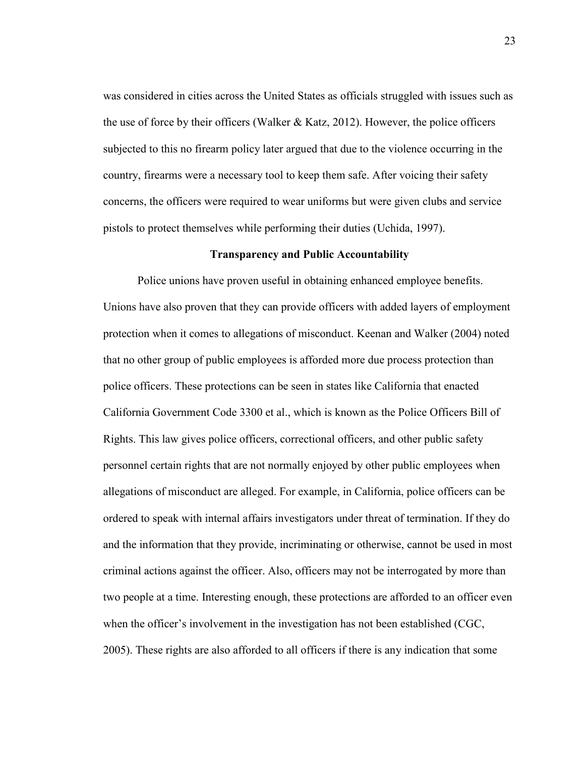was considered in cities across the United States as officials struggled with issues such as the use of force by their officers (Walker & Katz, 2012). However, the police officers subjected to this no firearm policy later argued that due to the violence occurring in the country, firearms were a necessary tool to keep them safe. After voicing their safety concerns, the officers were required to wear uniforms but were given clubs and service pistols to protect themselves while performing their duties (Uchida, 1997).

# **Transparency and Public Accountability**

Police unions have proven useful in obtaining enhanced employee benefits. Unions have also proven that they can provide officers with added layers of employment protection when it comes to allegations of misconduct. Keenan and Walker (2004) noted that no other group of public employees is afforded more due process protection than police officers. These protections can be seen in states like California that enacted California Government Code 3300 et al., which is known as the Police Officers Bill of Rights. This law gives police officers, correctional officers, and other public safety personnel certain rights that are not normally enjoyed by other public employees when allegations of misconduct are alleged. For example, in California, police officers can be ordered to speak with internal affairs investigators under threat of termination. If they do and the information that they provide, incriminating or otherwise, cannot be used in most criminal actions against the officer. Also, officers may not be interrogated by more than two people at a time. Interesting enough, these protections are afforded to an officer even when the officer's involvement in the investigation has not been established (CGC, 2005). These rights are also afforded to all officers if there is any indication that some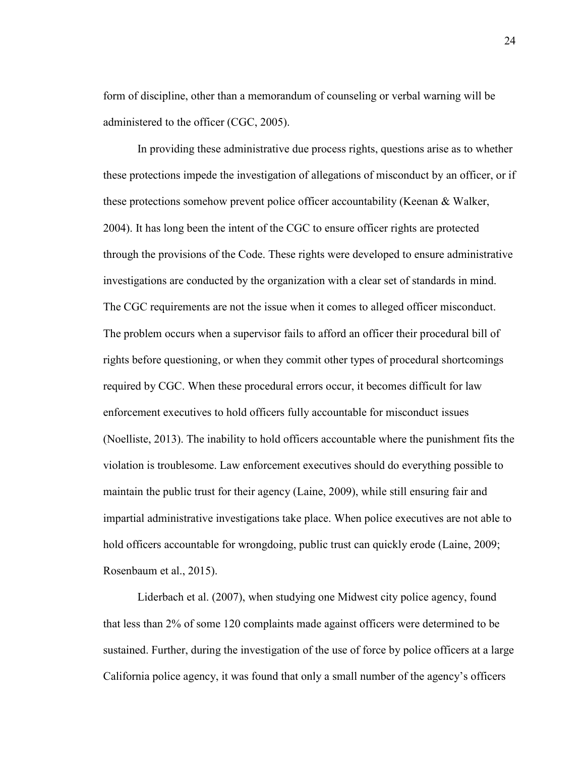form of discipline, other than a memorandum of counseling or verbal warning will be administered to the officer (CGC, 2005).

In providing these administrative due process rights, questions arise as to whether these protections impede the investigation of allegations of misconduct by an officer, or if these protections somehow prevent police officer accountability (Keenan & Walker, 2004). It has long been the intent of the CGC to ensure officer rights are protected through the provisions of the Code. These rights were developed to ensure administrative investigations are conducted by the organization with a clear set of standards in mind. The CGC requirements are not the issue when it comes to alleged officer misconduct. The problem occurs when a supervisor fails to afford an officer their procedural bill of rights before questioning, or when they commit other types of procedural shortcomings required by CGC. When these procedural errors occur, it becomes difficult for law enforcement executives to hold officers fully accountable for misconduct issues (Noelliste, 2013). The inability to hold officers accountable where the punishment fits the violation is troublesome. Law enforcement executives should do everything possible to maintain the public trust for their agency (Laine, 2009), while still ensuring fair and impartial administrative investigations take place. When police executives are not able to hold officers accountable for wrongdoing, public trust can quickly erode (Laine, 2009; Rosenbaum et al., 2015).

Liderbach et al. (2007), when studying one Midwest city police agency, found that less than 2% of some 120 complaints made against officers were determined to be sustained. Further, during the investigation of the use of force by police officers at a large California police agency, it was found that only a small number of the agency's officers

24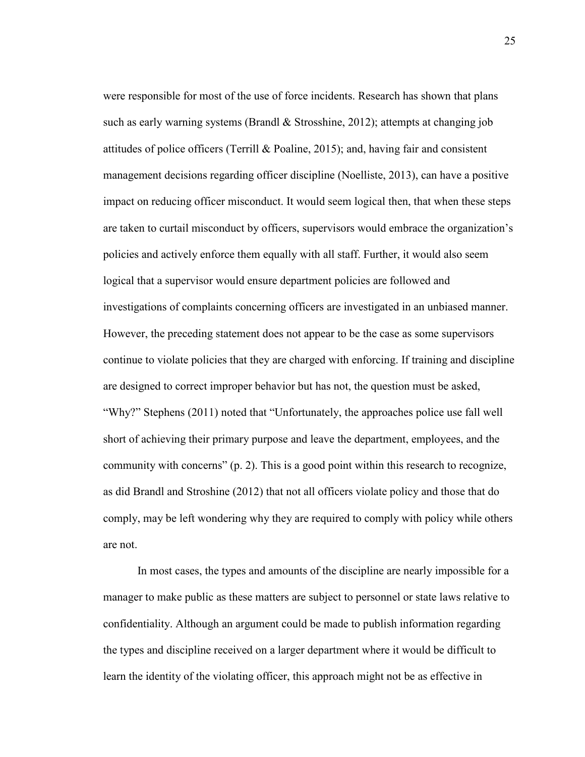were responsible for most of the use of force incidents. Research has shown that plans such as early warning systems (Brandl  $\&$  Strosshine, 2012); attempts at changing job attitudes of police officers (Terrill  $\&$  Poaline, 2015); and, having fair and consistent management decisions regarding officer discipline (Noelliste, 2013), can have a positive impact on reducing officer misconduct. It would seem logical then, that when these steps are taken to curtail misconduct by officers, supervisors would embrace the organization's policies and actively enforce them equally with all staff. Further, it would also seem logical that a supervisor would ensure department policies are followed and investigations of complaints concerning officers are investigated in an unbiased manner. However, the preceding statement does not appear to be the case as some supervisors continue to violate policies that they are charged with enforcing. If training and discipline are designed to correct improper behavior but has not, the question must be asked, "Why?" Stephens (2011) noted that "Unfortunately, the approaches police use fall well short of achieving their primary purpose and leave the department, employees, and the community with concerns" (p. 2). This is a good point within this research to recognize, as did Brandl and Stroshine (2012) that not all officers violate policy and those that do comply, may be left wondering why they are required to comply with policy while others are not.

In most cases, the types and amounts of the discipline are nearly impossible for a manager to make public as these matters are subject to personnel or state laws relative to confidentiality. Although an argument could be made to publish information regarding the types and discipline received on a larger department where it would be difficult to learn the identity of the violating officer, this approach might not be as effective in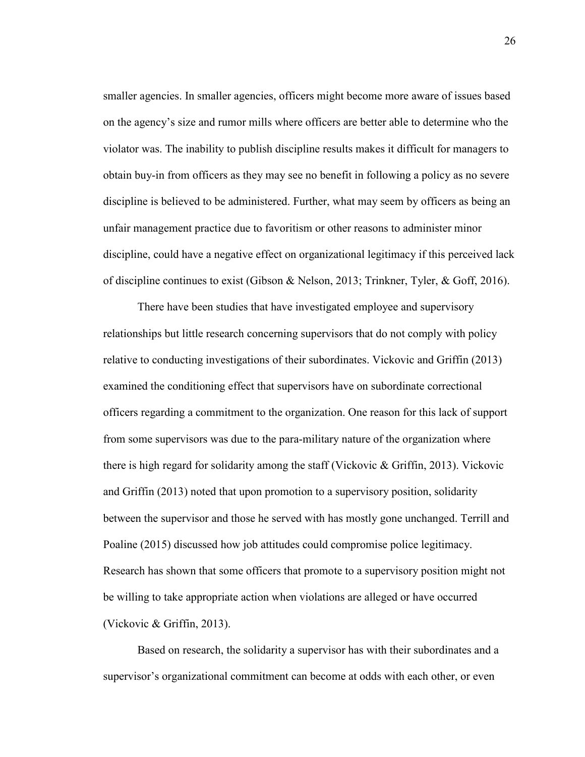smaller agencies. In smaller agencies, officers might become more aware of issues based on the agency's size and rumor mills where officers are better able to determine who the violator was. The inability to publish discipline results makes it difficult for managers to obtain buy-in from officers as they may see no benefit in following a policy as no severe discipline is believed to be administered. Further, what may seem by officers as being an unfair management practice due to favoritism or other reasons to administer minor discipline, could have a negative effect on organizational legitimacy if this perceived lack of discipline continues to exist (Gibson & Nelson, 2013; Trinkner, Tyler, & Goff, 2016).

There have been studies that have investigated employee and supervisory relationships but little research concerning supervisors that do not comply with policy relative to conducting investigations of their subordinates. Vickovic and Griffin (2013) examined the conditioning effect that supervisors have on subordinate correctional officers regarding a commitment to the organization. One reason for this lack of support from some supervisors was due to the para-military nature of the organization where there is high regard for solidarity among the staff (Vickovic & Griffin, 2013). Vickovic and Griffin (2013) noted that upon promotion to a supervisory position, solidarity between the supervisor and those he served with has mostly gone unchanged. Terrill and Poaline (2015) discussed how job attitudes could compromise police legitimacy. Research has shown that some officers that promote to a supervisory position might not be willing to take appropriate action when violations are alleged or have occurred (Vickovic & Griffin, 2013).

Based on research, the solidarity a supervisor has with their subordinates and a supervisor's organizational commitment can become at odds with each other, or even

26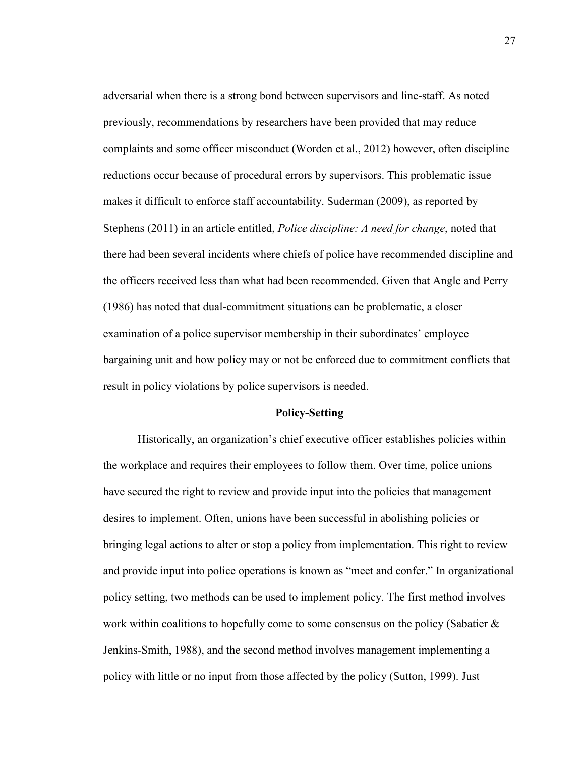adversarial when there is a strong bond between supervisors and line-staff. As noted previously, recommendations by researchers have been provided that may reduce complaints and some officer misconduct (Worden et al., 2012) however, often discipline reductions occur because of procedural errors by supervisors. This problematic issue makes it difficult to enforce staff accountability. Suderman (2009), as reported by Stephens (2011) in an article entitled, *Police discipline: A need for change*, noted that there had been several incidents where chiefs of police have recommended discipline and the officers received less than what had been recommended. Given that Angle and Perry (1986) has noted that dual-commitment situations can be problematic, a closer examination of a police supervisor membership in their subordinates' employee bargaining unit and how policy may or not be enforced due to commitment conflicts that result in policy violations by police supervisors is needed.

# **Policy-Setting**

Historically, an organization's chief executive officer establishes policies within the workplace and requires their employees to follow them. Over time, police unions have secured the right to review and provide input into the policies that management desires to implement. Often, unions have been successful in abolishing policies or bringing legal actions to alter or stop a policy from implementation. This right to review and provide input into police operations is known as "meet and confer." In organizational policy setting, two methods can be used to implement policy. The first method involves work within coalitions to hopefully come to some consensus on the policy (Sabatier  $\&$ Jenkins-Smith, 1988), and the second method involves management implementing a policy with little or no input from those affected by the policy (Sutton, 1999). Just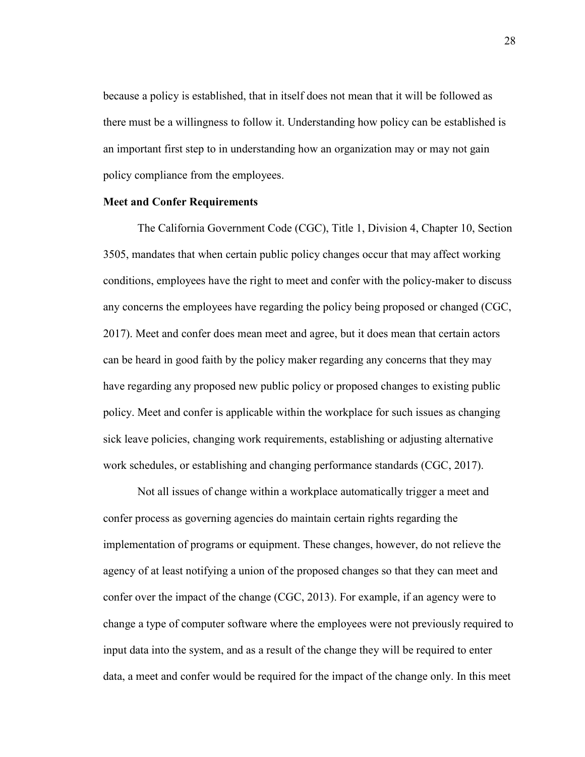because a policy is established, that in itself does not mean that it will be followed as there must be a willingness to follow it. Understanding how policy can be established is an important first step to in understanding how an organization may or may not gain policy compliance from the employees.

## **Meet and Confer Requirements**

The California Government Code (CGC), Title 1, Division 4, Chapter 10, Section 3505, mandates that when certain public policy changes occur that may affect working conditions, employees have the right to meet and confer with the policy-maker to discuss any concerns the employees have regarding the policy being proposed or changed (CGC, 2017). Meet and confer does mean meet and agree, but it does mean that certain actors can be heard in good faith by the policy maker regarding any concerns that they may have regarding any proposed new public policy or proposed changes to existing public policy. Meet and confer is applicable within the workplace for such issues as changing sick leave policies, changing work requirements, establishing or adjusting alternative work schedules, or establishing and changing performance standards (CGC, 2017).

Not all issues of change within a workplace automatically trigger a meet and confer process as governing agencies do maintain certain rights regarding the implementation of programs or equipment. These changes, however, do not relieve the agency of at least notifying a union of the proposed changes so that they can meet and confer over the impact of the change (CGC, 2013). For example, if an agency were to change a type of computer software where the employees were not previously required to input data into the system, and as a result of the change they will be required to enter data, a meet and confer would be required for the impact of the change only. In this meet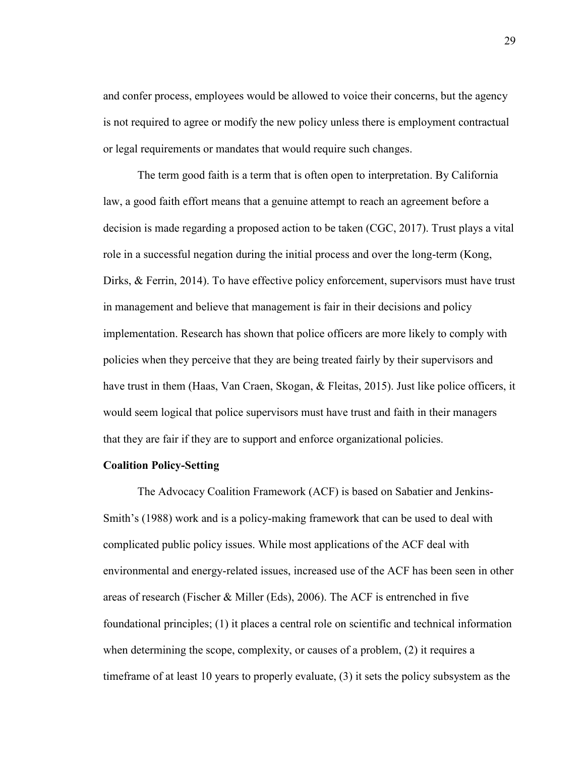and confer process, employees would be allowed to voice their concerns, but the agency is not required to agree or modify the new policy unless there is employment contractual or legal requirements or mandates that would require such changes.

The term good faith is a term that is often open to interpretation. By California law, a good faith effort means that a genuine attempt to reach an agreement before a decision is made regarding a proposed action to be taken (CGC, 2017). Trust plays a vital role in a successful negation during the initial process and over the long-term (Kong, Dirks, & Ferrin, 2014). To have effective policy enforcement, supervisors must have trust in management and believe that management is fair in their decisions and policy implementation. Research has shown that police officers are more likely to comply with policies when they perceive that they are being treated fairly by their supervisors and have trust in them (Haas, Van Craen, Skogan, & Fleitas, 2015). Just like police officers, it would seem logical that police supervisors must have trust and faith in their managers that they are fair if they are to support and enforce organizational policies.

### **Coalition Policy-Setting**

The Advocacy Coalition Framework (ACF) is based on Sabatier and Jenkins-Smith's (1988) work and is a policy-making framework that can be used to deal with complicated public policy issues. While most applications of the ACF deal with environmental and energy-related issues, increased use of the ACF has been seen in other areas of research (Fischer & Miller (Eds), 2006). The ACF is entrenched in five foundational principles; (1) it places a central role on scientific and technical information when determining the scope, complexity, or causes of a problem, (2) it requires a timeframe of at least 10 years to properly evaluate, (3) it sets the policy subsystem as the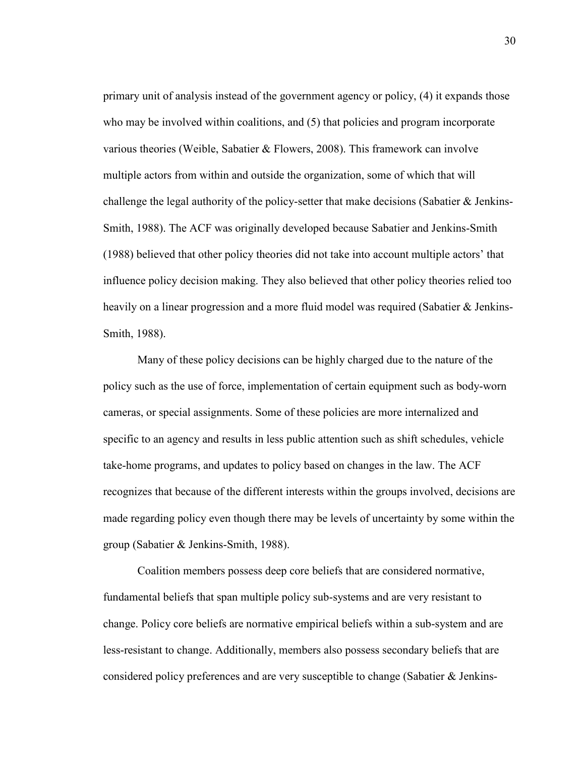primary unit of analysis instead of the government agency or policy, (4) it expands those who may be involved within coalitions, and (5) that policies and program incorporate various theories (Weible, Sabatier & Flowers, 2008). This framework can involve multiple actors from within and outside the organization, some of which that will challenge the legal authority of the policy-setter that make decisions (Sabatier & Jenkins-Smith, 1988). The ACF was originally developed because Sabatier and Jenkins-Smith (1988) believed that other policy theories did not take into account multiple actors' that influence policy decision making. They also believed that other policy theories relied too heavily on a linear progression and a more fluid model was required (Sabatier & Jenkins-Smith, 1988).

Many of these policy decisions can be highly charged due to the nature of the policy such as the use of force, implementation of certain equipment such as body-worn cameras, or special assignments. Some of these policies are more internalized and specific to an agency and results in less public attention such as shift schedules, vehicle take-home programs, and updates to policy based on changes in the law. The ACF recognizes that because of the different interests within the groups involved, decisions are made regarding policy even though there may be levels of uncertainty by some within the group (Sabatier & Jenkins-Smith, 1988).

Coalition members possess deep core beliefs that are considered normative, fundamental beliefs that span multiple policy sub-systems and are very resistant to change. Policy core beliefs are normative empirical beliefs within a sub-system and are less-resistant to change. Additionally, members also possess secondary beliefs that are considered policy preferences and are very susceptible to change (Sabatier & Jenkins-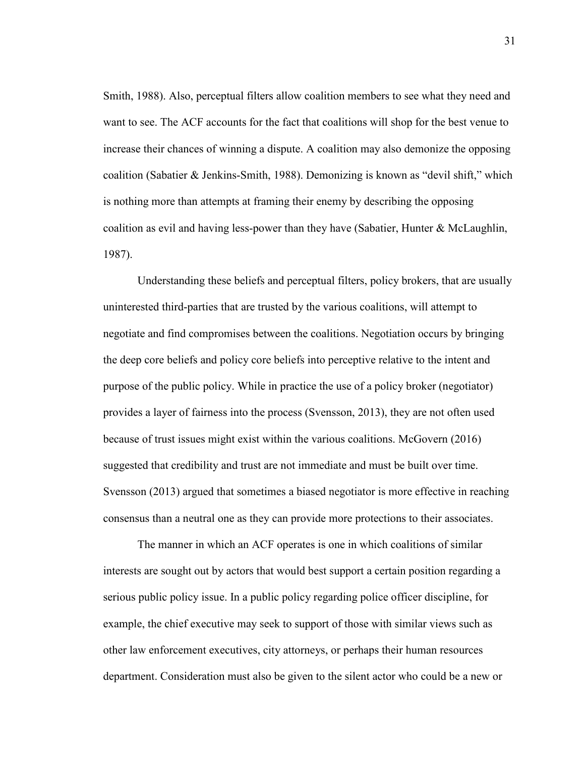Smith, 1988). Also, perceptual filters allow coalition members to see what they need and want to see. The ACF accounts for the fact that coalitions will shop for the best venue to increase their chances of winning a dispute. A coalition may also demonize the opposing coalition (Sabatier & Jenkins-Smith, 1988). Demonizing is known as "devil shift," which is nothing more than attempts at framing their enemy by describing the opposing coalition as evil and having less-power than they have (Sabatier, Hunter & McLaughlin, 1987).

Understanding these beliefs and perceptual filters, policy brokers, that are usually uninterested third-parties that are trusted by the various coalitions, will attempt to negotiate and find compromises between the coalitions. Negotiation occurs by bringing the deep core beliefs and policy core beliefs into perceptive relative to the intent and purpose of the public policy. While in practice the use of a policy broker (negotiator) provides a layer of fairness into the process (Svensson, 2013), they are not often used because of trust issues might exist within the various coalitions. McGovern (2016) suggested that credibility and trust are not immediate and must be built over time. Svensson (2013) argued that sometimes a biased negotiator is more effective in reaching consensus than a neutral one as they can provide more protections to their associates.

The manner in which an ACF operates is one in which coalitions of similar interests are sought out by actors that would best support a certain position regarding a serious public policy issue. In a public policy regarding police officer discipline, for example, the chief executive may seek to support of those with similar views such as other law enforcement executives, city attorneys, or perhaps their human resources department. Consideration must also be given to the silent actor who could be a new or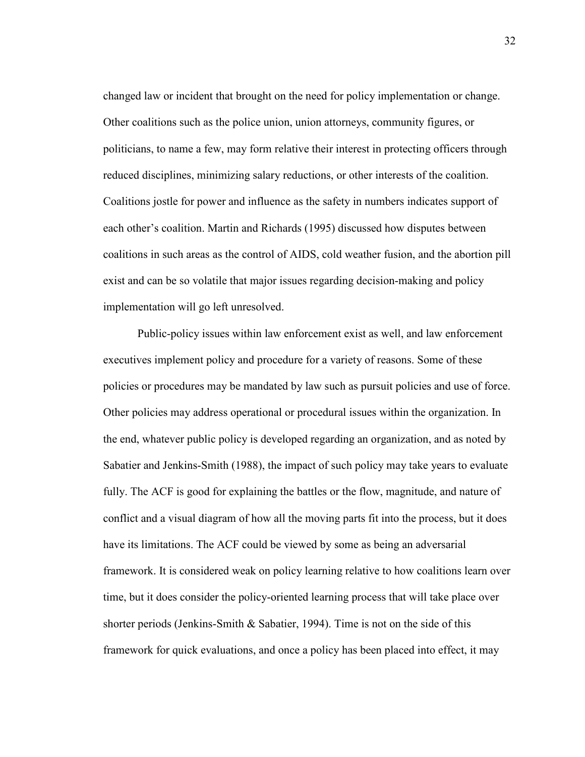changed law or incident that brought on the need for policy implementation or change. Other coalitions such as the police union, union attorneys, community figures, or politicians, to name a few, may form relative their interest in protecting officers through reduced disciplines, minimizing salary reductions, or other interests of the coalition. Coalitions jostle for power and influence as the safety in numbers indicates support of each other's coalition. Martin and Richards (1995) discussed how disputes between coalitions in such areas as the control of AIDS, cold weather fusion, and the abortion pill exist and can be so volatile that major issues regarding decision-making and policy implementation will go left unresolved.

Public-policy issues within law enforcement exist as well, and law enforcement executives implement policy and procedure for a variety of reasons. Some of these policies or procedures may be mandated by law such as pursuit policies and use of force. Other policies may address operational or procedural issues within the organization. In the end, whatever public policy is developed regarding an organization, and as noted by Sabatier and Jenkins-Smith (1988), the impact of such policy may take years to evaluate fully. The ACF is good for explaining the battles or the flow, magnitude, and nature of conflict and a visual diagram of how all the moving parts fit into the process, but it does have its limitations. The ACF could be viewed by some as being an adversarial framework. It is considered weak on policy learning relative to how coalitions learn over time, but it does consider the policy-oriented learning process that will take place over shorter periods (Jenkins-Smith & Sabatier, 1994). Time is not on the side of this framework for quick evaluations, and once a policy has been placed into effect, it may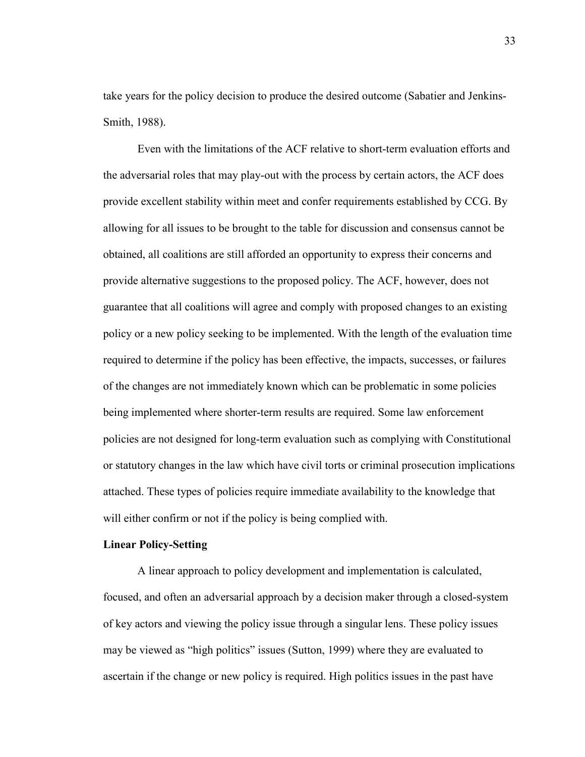take years for the policy decision to produce the desired outcome (Sabatier and Jenkins-Smith, 1988).

Even with the limitations of the ACF relative to short-term evaluation efforts and the adversarial roles that may play-out with the process by certain actors, the ACF does provide excellent stability within meet and confer requirements established by CCG. By allowing for all issues to be brought to the table for discussion and consensus cannot be obtained, all coalitions are still afforded an opportunity to express their concerns and provide alternative suggestions to the proposed policy. The ACF, however, does not guarantee that all coalitions will agree and comply with proposed changes to an existing policy or a new policy seeking to be implemented. With the length of the evaluation time required to determine if the policy has been effective, the impacts, successes, or failures of the changes are not immediately known which can be problematic in some policies being implemented where shorter-term results are required. Some law enforcement policies are not designed for long-term evaluation such as complying with Constitutional or statutory changes in the law which have civil torts or criminal prosecution implications attached. These types of policies require immediate availability to the knowledge that will either confirm or not if the policy is being complied with.

## **Linear Policy-Setting**

A linear approach to policy development and implementation is calculated, focused, and often an adversarial approach by a decision maker through a closed-system of key actors and viewing the policy issue through a singular lens. These policy issues may be viewed as "high politics" issues (Sutton, 1999) where they are evaluated to ascertain if the change or new policy is required. High politics issues in the past have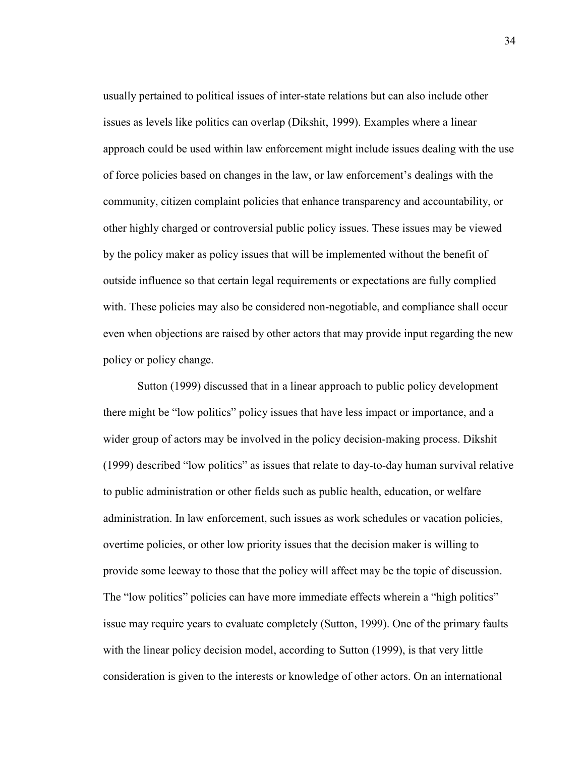usually pertained to political issues of inter-state relations but can also include other issues as levels like politics can overlap (Dikshit, 1999). Examples where a linear approach could be used within law enforcement might include issues dealing with the use of force policies based on changes in the law, or law enforcement's dealings with the community, citizen complaint policies that enhance transparency and accountability, or other highly charged or controversial public policy issues. These issues may be viewed by the policy maker as policy issues that will be implemented without the benefit of outside influence so that certain legal requirements or expectations are fully complied with. These policies may also be considered non-negotiable, and compliance shall occur even when objections are raised by other actors that may provide input regarding the new policy or policy change.

Sutton (1999) discussed that in a linear approach to public policy development there might be "low politics" policy issues that have less impact or importance, and a wider group of actors may be involved in the policy decision-making process. Dikshit (1999) described "low politics" as issues that relate to day-to-day human survival relative to public administration or other fields such as public health, education, or welfare administration. In law enforcement, such issues as work schedules or vacation policies, overtime policies, or other low priority issues that the decision maker is willing to provide some leeway to those that the policy will affect may be the topic of discussion. The "low politics" policies can have more immediate effects wherein a "high politics" issue may require years to evaluate completely (Sutton, 1999). One of the primary faults with the linear policy decision model, according to Sutton (1999), is that very little consideration is given to the interests or knowledge of other actors. On an international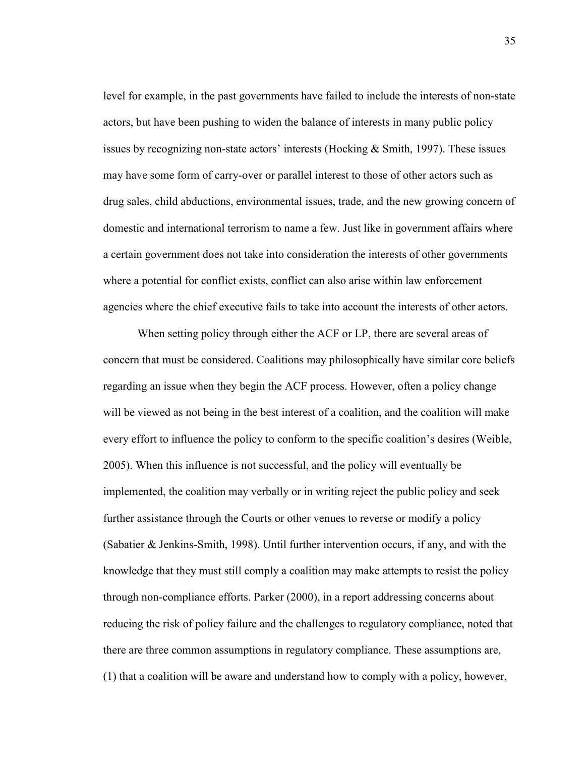level for example, in the past governments have failed to include the interests of non-state actors, but have been pushing to widen the balance of interests in many public policy issues by recognizing non-state actors' interests (Hocking  $& Smith, 1997$ ). These issues may have some form of carry-over or parallel interest to those of other actors such as drug sales, child abductions, environmental issues, trade, and the new growing concern of domestic and international terrorism to name a few. Just like in government affairs where a certain government does not take into consideration the interests of other governments where a potential for conflict exists, conflict can also arise within law enforcement agencies where the chief executive fails to take into account the interests of other actors.

When setting policy through either the ACF or LP, there are several areas of concern that must be considered. Coalitions may philosophically have similar core beliefs regarding an issue when they begin the ACF process. However, often a policy change will be viewed as not being in the best interest of a coalition, and the coalition will make every effort to influence the policy to conform to the specific coalition's desires (Weible, 2005). When this influence is not successful, and the policy will eventually be implemented, the coalition may verbally or in writing reject the public policy and seek further assistance through the Courts or other venues to reverse or modify a policy (Sabatier & Jenkins-Smith, 1998). Until further intervention occurs, if any, and with the knowledge that they must still comply a coalition may make attempts to resist the policy through non-compliance efforts. Parker (2000), in a report addressing concerns about reducing the risk of policy failure and the challenges to regulatory compliance, noted that there are three common assumptions in regulatory compliance. These assumptions are, (1) that a coalition will be aware and understand how to comply with a policy, however,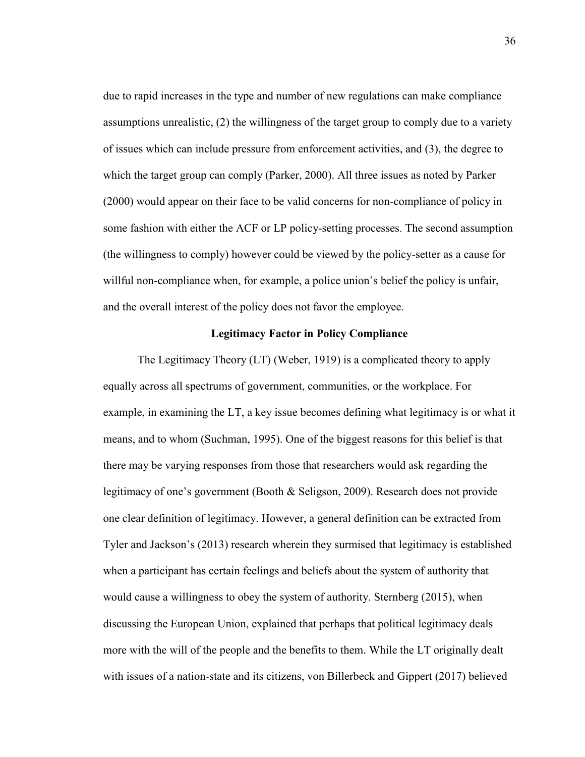due to rapid increases in the type and number of new regulations can make compliance assumptions unrealistic, (2) the willingness of the target group to comply due to a variety of issues which can include pressure from enforcement activities, and (3), the degree to which the target group can comply (Parker, 2000). All three issues as noted by Parker (2000) would appear on their face to be valid concerns for non-compliance of policy in some fashion with either the ACF or LP policy-setting processes. The second assumption (the willingness to comply) however could be viewed by the policy-setter as a cause for willful non-compliance when, for example, a police union's belief the policy is unfair, and the overall interest of the policy does not favor the employee.

# **Legitimacy Factor in Policy Compliance**

The Legitimacy Theory (LT) (Weber, 1919) is a complicated theory to apply equally across all spectrums of government, communities, or the workplace. For example, in examining the LT, a key issue becomes defining what legitimacy is or what it means, and to whom (Suchman, 1995). One of the biggest reasons for this belief is that there may be varying responses from those that researchers would ask regarding the legitimacy of one's government (Booth & Seligson, 2009). Research does not provide one clear definition of legitimacy. However, a general definition can be extracted from Tyler and Jackson's (2013) research wherein they surmised that legitimacy is established when a participant has certain feelings and beliefs about the system of authority that would cause a willingness to obey the system of authority. Sternberg (2015), when discussing the European Union, explained that perhaps that political legitimacy deals more with the will of the people and the benefits to them. While the LT originally dealt with issues of a nation-state and its citizens, von Billerbeck and Gippert (2017) believed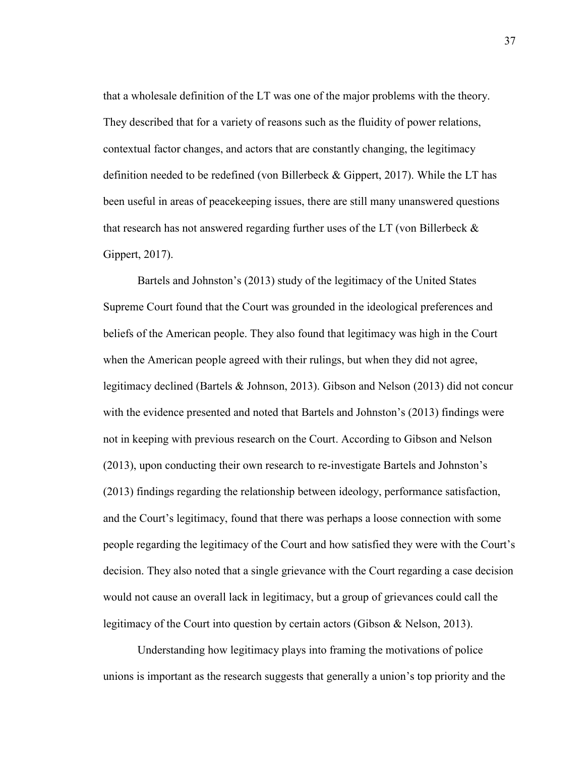that a wholesale definition of the LT was one of the major problems with the theory. They described that for a variety of reasons such as the fluidity of power relations, contextual factor changes, and actors that are constantly changing, the legitimacy definition needed to be redefined (von Billerbeck & Gippert, 2017). While the LT has been useful in areas of peacekeeping issues, there are still many unanswered questions that research has not answered regarding further uses of the LT (von Billerbeck & Gippert, 2017).

Bartels and Johnston's (2013) study of the legitimacy of the United States Supreme Court found that the Court was grounded in the ideological preferences and beliefs of the American people. They also found that legitimacy was high in the Court when the American people agreed with their rulings, but when they did not agree, legitimacy declined (Bartels & Johnson, 2013). Gibson and Nelson (2013) did not concur with the evidence presented and noted that Bartels and Johnston's (2013) findings were not in keeping with previous research on the Court. According to Gibson and Nelson (2013), upon conducting their own research to re-investigate Bartels and Johnston's (2013) findings regarding the relationship between ideology, performance satisfaction, and the Court's legitimacy, found that there was perhaps a loose connection with some people regarding the legitimacy of the Court and how satisfied they were with the Court's decision. They also noted that a single grievance with the Court regarding a case decision would not cause an overall lack in legitimacy, but a group of grievances could call the legitimacy of the Court into question by certain actors (Gibson & Nelson, 2013).

Understanding how legitimacy plays into framing the motivations of police unions is important as the research suggests that generally a union's top priority and the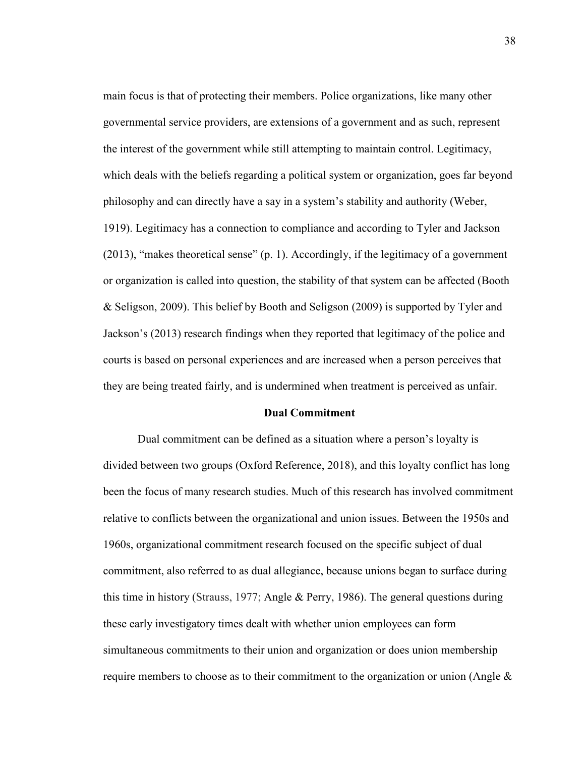main focus is that of protecting their members. Police organizations, like many other governmental service providers, are extensions of a government and as such, represent the interest of the government while still attempting to maintain control. Legitimacy, which deals with the beliefs regarding a political system or organization, goes far beyond philosophy and can directly have a say in a system's stability and authority (Weber, 1919). Legitimacy has a connection to compliance and according to Tyler and Jackson  $(2013)$ , "makes theoretical sense"  $(p, 1)$ . Accordingly, if the legitimacy of a government or organization is called into question, the stability of that system can be affected (Booth & Seligson, 2009). This belief by Booth and Seligson (2009) is supported by Tyler and Jackson's (2013) research findings when they reported that legitimacy of the police and courts is based on personal experiences and are increased when a person perceives that they are being treated fairly, and is undermined when treatment is perceived as unfair.

# **Dual Commitment**

Dual commitment can be defined as a situation where a person's loyalty is divided between two groups (Oxford Reference, 2018), and this loyalty conflict has long been the focus of many research studies. Much of this research has involved commitment relative to conflicts between the organizational and union issues. Between the 1950s and 1960s, organizational commitment research focused on the specific subject of dual commitment, also referred to as dual allegiance, because unions began to surface during this time in history (Strauss, 1977; Angle & Perry, 1986). The general questions during these early investigatory times dealt with whether union employees can form simultaneous commitments to their union and organization or does union membership require members to choose as to their commitment to the organization or union (Angle  $\&$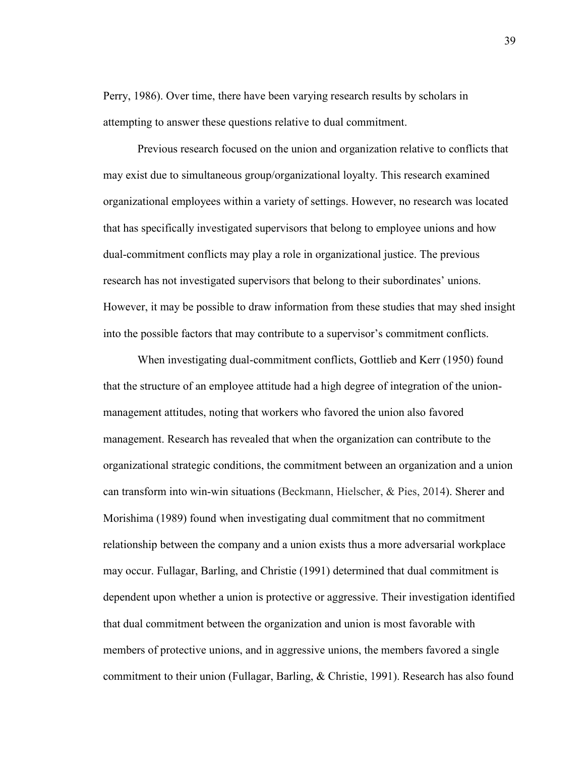Perry, 1986). Over time, there have been varying research results by scholars in attempting to answer these questions relative to dual commitment.

Previous research focused on the union and organization relative to conflicts that may exist due to simultaneous group/organizational loyalty. This research examined organizational employees within a variety of settings. However, no research was located that has specifically investigated supervisors that belong to employee unions and how dual-commitment conflicts may play a role in organizational justice. The previous research has not investigated supervisors that belong to their subordinates' unions. However, it may be possible to draw information from these studies that may shed insight into the possible factors that may contribute to a supervisor's commitment conflicts.

When investigating dual-commitment conflicts, Gottlieb and Kerr (1950) found that the structure of an employee attitude had a high degree of integration of the unionmanagement attitudes, noting that workers who favored the union also favored management. Research has revealed that when the organization can contribute to the organizational strategic conditions, the commitment between an organization and a union can transform into win-win situations (Beckmann, Hielscher, & Pies, 2014). Sherer and Morishima (1989) found when investigating dual commitment that no commitment relationship between the company and a union exists thus a more adversarial workplace may occur. Fullagar, Barling, and Christie (1991) determined that dual commitment is dependent upon whether a union is protective or aggressive. Their investigation identified that dual commitment between the organization and union is most favorable with members of protective unions, and in aggressive unions, the members favored a single commitment to their union (Fullagar, Barling, & Christie, 1991). Research has also found

39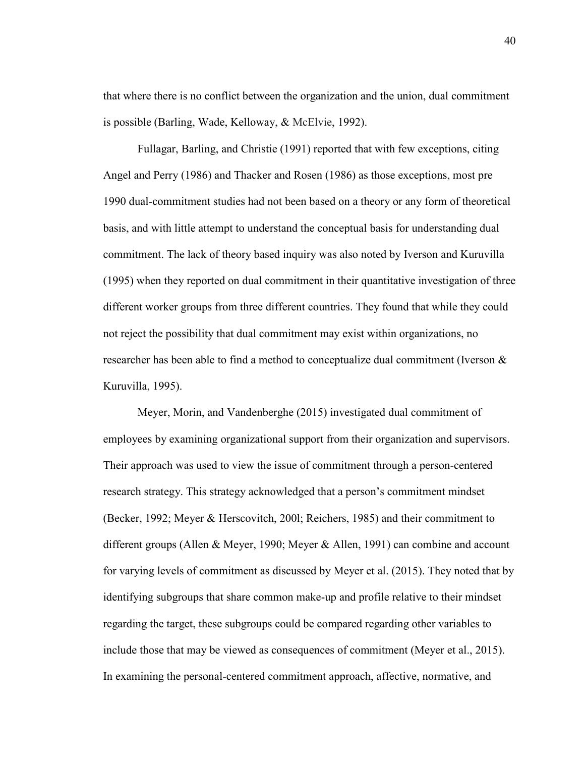that where there is no conflict between the organization and the union, dual commitment is possible (Barling, Wade, Kelloway, & McElvie, 1992).

Fullagar, Barling, and Christie (1991) reported that with few exceptions, citing Angel and Perry (1986) and Thacker and Rosen (1986) as those exceptions, most pre 1990 dual-commitment studies had not been based on a theory or any form of theoretical basis, and with little attempt to understand the conceptual basis for understanding dual commitment. The lack of theory based inquiry was also noted by Iverson and Kuruvilla (1995) when they reported on dual commitment in their quantitative investigation of three different worker groups from three different countries. They found that while they could not reject the possibility that dual commitment may exist within organizations, no researcher has been able to find a method to conceptualize dual commitment (Iverson & Kuruvilla, 1995).

Meyer, Morin, and Vandenberghe (2015) investigated dual commitment of employees by examining organizational support from their organization and supervisors. Their approach was used to view the issue of commitment through a person-centered research strategy. This strategy acknowledged that a person's commitment mindset (Becker, 1992; Meyer & Herscovitch, 200l; Reichers, 1985) and their commitment to different groups (Allen & Meyer, 1990; Meyer & Allen, 1991) can combine and account for varying levels of commitment as discussed by Meyer et al. (2015). They noted that by identifying subgroups that share common make-up and profile relative to their mindset regarding the target, these subgroups could be compared regarding other variables to include those that may be viewed as consequences of commitment (Meyer et al., 2015). In examining the personal-centered commitment approach, affective, normative, and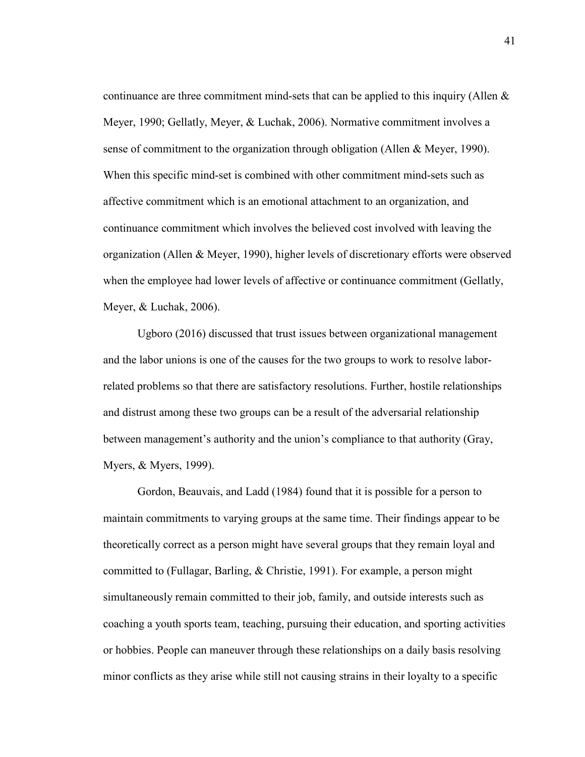continuance are three commitment mind-sets that can be applied to this inquiry (Allen  $\&$ Meyer, 1990; Gellatly, Meyer, & Luchak, 2006). Normative commitment involves a sense of commitment to the organization through obligation (Allen & Meyer, 1990). When this specific mind-set is combined with other commitment mind-sets such as affective commitment which is an emotional attachment to an organization, and continuance commitment which involves the believed cost involved with leaving the organization (Allen & Meyer, 1990), higher levels of discretionary efforts were observed when the employee had lower levels of affective or continuance commitment (Gellatly, Meyer, & Luchak, 2006).

Ugboro (2016) discussed that trust issues between organizational management and the labor unions is one of the causes for the two groups to work to resolve laborrelated problems so that there are satisfactory resolutions. Further, hostile relationships and distrust among these two groups can be a result of the adversarial relationship between management's authority and the union's compliance to that authority (Gray, Myers, & Myers, 1999).

Gordon, Beauvais, and Ladd (1984) found that it is possible for a person to maintain commitments to varying groups at the same time. Their findings appear to be theoretically correct as a person might have several groups that they remain loyal and committed to (Fullagar, Barling, & Christie, 1991). For example, a person might simultaneously remain committed to their job, family, and outside interests such as coaching a youth sports team, teaching, pursuing their education, and sporting activities or hobbies. People can maneuver through these relationships on a daily basis resolving minor conflicts as they arise while still not causing strains in their loyalty to a specific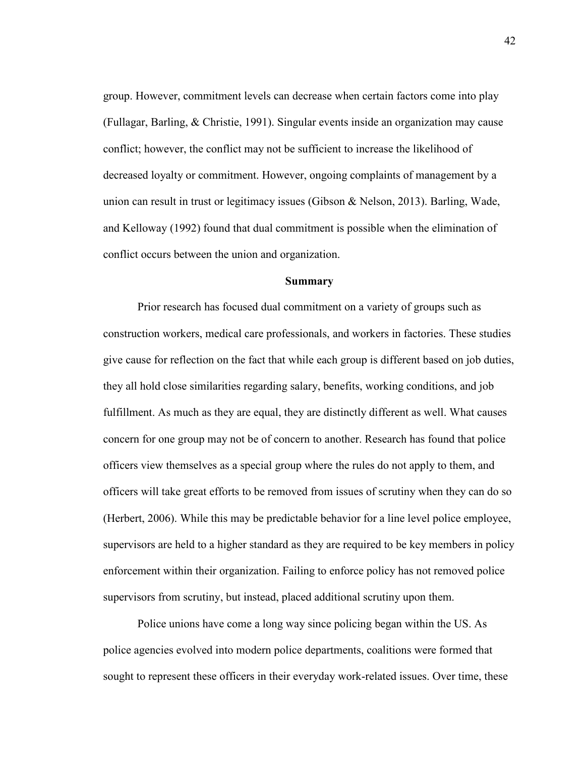group. However, commitment levels can decrease when certain factors come into play (Fullagar, Barling, & Christie, 1991). Singular events inside an organization may cause conflict; however, the conflict may not be sufficient to increase the likelihood of decreased loyalty or commitment. However, ongoing complaints of management by a union can result in trust or legitimacy issues (Gibson & Nelson, 2013). Barling, Wade, and Kelloway (1992) found that dual commitment is possible when the elimination of conflict occurs between the union and organization.

#### **Summary**

Prior research has focused dual commitment on a variety of groups such as construction workers, medical care professionals, and workers in factories. These studies give cause for reflection on the fact that while each group is different based on job duties, they all hold close similarities regarding salary, benefits, working conditions, and job fulfillment. As much as they are equal, they are distinctly different as well. What causes concern for one group may not be of concern to another. Research has found that police officers view themselves as a special group where the rules do not apply to them, and officers will take great efforts to be removed from issues of scrutiny when they can do so (Herbert, 2006). While this may be predictable behavior for a line level police employee, supervisors are held to a higher standard as they are required to be key members in policy enforcement within their organization. Failing to enforce policy has not removed police supervisors from scrutiny, but instead, placed additional scrutiny upon them.

Police unions have come a long way since policing began within the US. As police agencies evolved into modern police departments, coalitions were formed that sought to represent these officers in their everyday work-related issues. Over time, these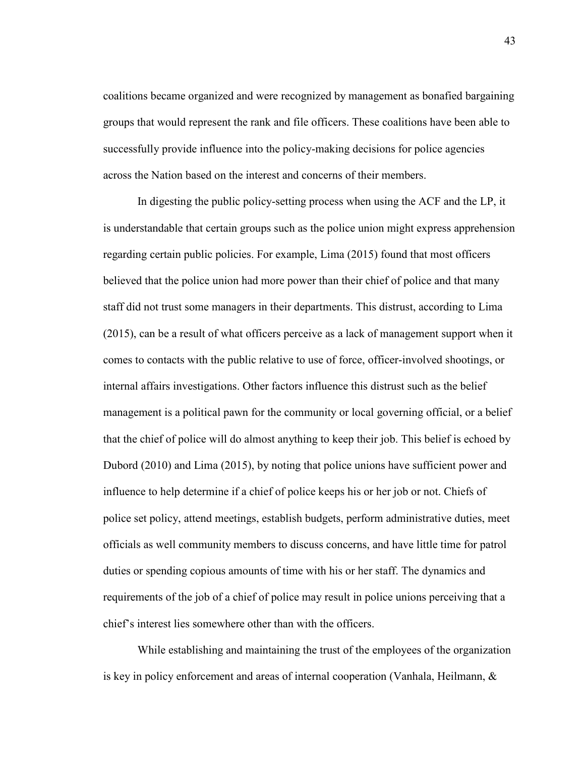coalitions became organized and were recognized by management as bonafied bargaining groups that would represent the rank and file officers. These coalitions have been able to successfully provide influence into the policy-making decisions for police agencies across the Nation based on the interest and concerns of their members.

In digesting the public policy-setting process when using the ACF and the LP, it is understandable that certain groups such as the police union might express apprehension regarding certain public policies. For example, Lima (2015) found that most officers believed that the police union had more power than their chief of police and that many staff did not trust some managers in their departments. This distrust, according to Lima (2015), can be a result of what officers perceive as a lack of management support when it comes to contacts with the public relative to use of force, officer-involved shootings, or internal affairs investigations. Other factors influence this distrust such as the belief management is a political pawn for the community or local governing official, or a belief that the chief of police will do almost anything to keep their job. This belief is echoed by Dubord (2010) and Lima (2015), by noting that police unions have sufficient power and influence to help determine if a chief of police keeps his or her job or not. Chiefs of police set policy, attend meetings, establish budgets, perform administrative duties, meet officials as well community members to discuss concerns, and have little time for patrol duties or spending copious amounts of time with his or her staff. The dynamics and requirements of the job of a chief of police may result in police unions perceiving that a chief's interest lies somewhere other than with the officers.

While establishing and maintaining the trust of the employees of the organization is key in policy enforcement and areas of internal cooperation (Vanhala, Heilmann, &

43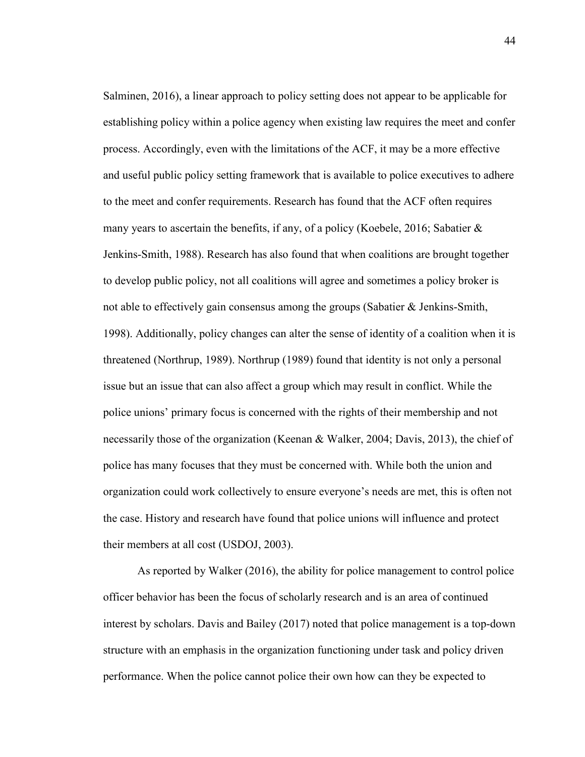Salminen, 2016), a linear approach to policy setting does not appear to be applicable for establishing policy within a police agency when existing law requires the meet and confer process. Accordingly, even with the limitations of the ACF, it may be a more effective and useful public policy setting framework that is available to police executives to adhere to the meet and confer requirements. Research has found that the ACF often requires many years to ascertain the benefits, if any, of a policy (Koebele, 2016; Sabatier & Jenkins-Smith, 1988). Research has also found that when coalitions are brought together to develop public policy, not all coalitions will agree and sometimes a policy broker is not able to effectively gain consensus among the groups (Sabatier & Jenkins-Smith, 1998). Additionally, policy changes can alter the sense of identity of a coalition when it is threatened (Northrup, 1989). Northrup (1989) found that identity is not only a personal issue but an issue that can also affect a group which may result in conflict. While the police unions' primary focus is concerned with the rights of their membership and not necessarily those of the organization (Keenan & Walker, 2004; Davis, 2013), the chief of police has many focuses that they must be concerned with. While both the union and organization could work collectively to ensure everyone's needs are met, this is often not the case. History and research have found that police unions will influence and protect their members at all cost (USDOJ, 2003).

As reported by Walker (2016), the ability for police management to control police officer behavior has been the focus of scholarly research and is an area of continued interest by scholars. Davis and Bailey (2017) noted that police management is a top-down structure with an emphasis in the organization functioning under task and policy driven performance. When the police cannot police their own how can they be expected to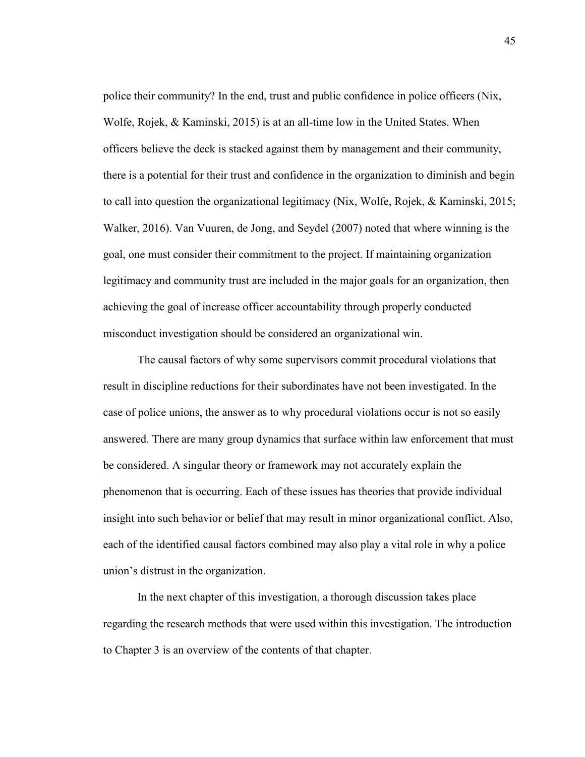police their community? In the end, trust and public confidence in police officers (Nix, Wolfe, Rojek, & Kaminski, 2015) is at an all-time low in the United States. When officers believe the deck is stacked against them by management and their community, there is a potential for their trust and confidence in the organization to diminish and begin to call into question the organizational legitimacy (Nix, Wolfe, Rojek, & Kaminski, 2015; Walker, 2016). Van Vuuren, de Jong, and Seydel (2007) noted that where winning is the goal, one must consider their commitment to the project. If maintaining organization legitimacy and community trust are included in the major goals for an organization, then achieving the goal of increase officer accountability through properly conducted misconduct investigation should be considered an organizational win.

The causal factors of why some supervisors commit procedural violations that result in discipline reductions for their subordinates have not been investigated. In the case of police unions, the answer as to why procedural violations occur is not so easily answered. There are many group dynamics that surface within law enforcement that must be considered. A singular theory or framework may not accurately explain the phenomenon that is occurring. Each of these issues has theories that provide individual insight into such behavior or belief that may result in minor organizational conflict. Also, each of the identified causal factors combined may also play a vital role in why a police union's distrust in the organization.

In the next chapter of this investigation, a thorough discussion takes place regarding the research methods that were used within this investigation. The introduction to Chapter 3 is an overview of the contents of that chapter.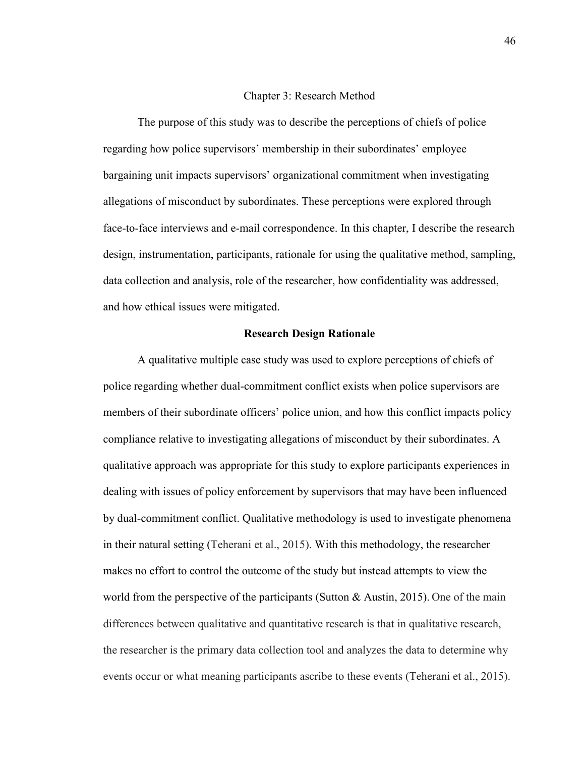#### Chapter 3: Research Method

The purpose of this study was to describe the perceptions of chiefs of police regarding how police supervisors' membership in their subordinates' employee bargaining unit impacts supervisors' organizational commitment when investigating allegations of misconduct by subordinates. These perceptions were explored through face-to-face interviews and e-mail correspondence. In this chapter, I describe the research design, instrumentation, participants, rationale for using the qualitative method, sampling, data collection and analysis, role of the researcher, how confidentiality was addressed, and how ethical issues were mitigated.

### **Research Design Rationale**

A qualitative multiple case study was used to explore perceptions of chiefs of police regarding whether dual-commitment conflict exists when police supervisors are members of their subordinate officers' police union, and how this conflict impacts policy compliance relative to investigating allegations of misconduct by their subordinates. A qualitative approach was appropriate for this study to explore participants experiences in dealing with issues of policy enforcement by supervisors that may have been influenced by dual-commitment conflict. Qualitative methodology is used to investigate phenomena in their natural setting (Teherani et al., 2015). With this methodology, the researcher makes no effort to control the outcome of the study but instead attempts to view the world from the perspective of the participants (Sutton  $\&$  Austin, 2015). One of the main differences between qualitative and quantitative research is that in qualitative research, the researcher is the primary data collection tool and analyzes the data to determine why events occur or what meaning participants ascribe to these events (Teherani et al., 2015).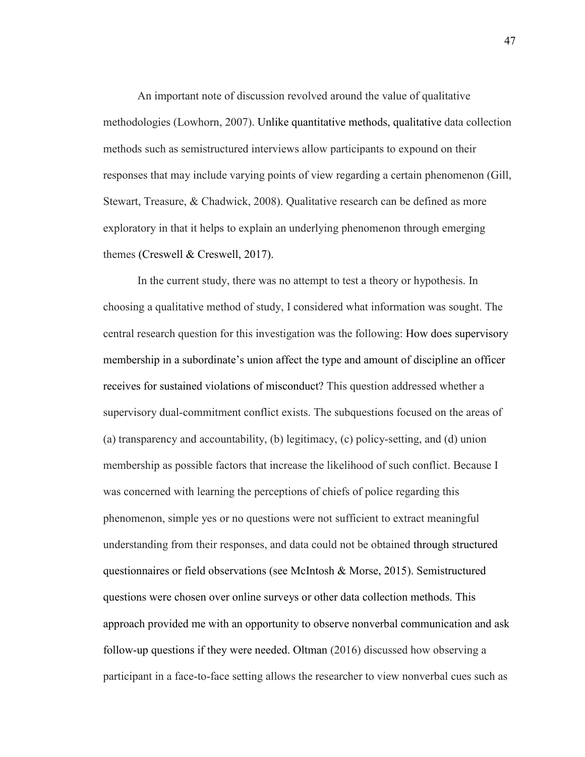An important note of discussion revolved around the value of qualitative methodologies (Lowhorn, 2007). Unlike quantitative methods, qualitative data collection methods such as semistructured interviews allow participants to expound on their responses that may include varying points of view regarding a certain phenomenon (Gill, Stewart, Treasure, & Chadwick, 2008). Qualitative research can be defined as more exploratory in that it helps to explain an underlying phenomenon through emerging themes (Creswell & Creswell, 2017).

In the current study, there was no attempt to test a theory or hypothesis. In choosing a qualitative method of study, I considered what information was sought. The central research question for this investigation was the following: How does supervisory membership in a subordinate's union affect the type and amount of discipline an officer receives for sustained violations of misconduct? This question addressed whether a supervisory dual-commitment conflict exists. The subquestions focused on the areas of (a) transparency and accountability, (b) legitimacy, (c) policy-setting, and (d) union membership as possible factors that increase the likelihood of such conflict. Because I was concerned with learning the perceptions of chiefs of police regarding this phenomenon, simple yes or no questions were not sufficient to extract meaningful understanding from their responses, and data could not be obtained through structured questionnaires or field observations (see McIntosh & Morse, 2015). Semistructured questions were chosen over online surveys or other data collection methods. This approach provided me with an opportunity to observe nonverbal communication and ask follow-up questions if they were needed. Oltman (2016) discussed how observing a participant in a face-to-face setting allows the researcher to view nonverbal cues such as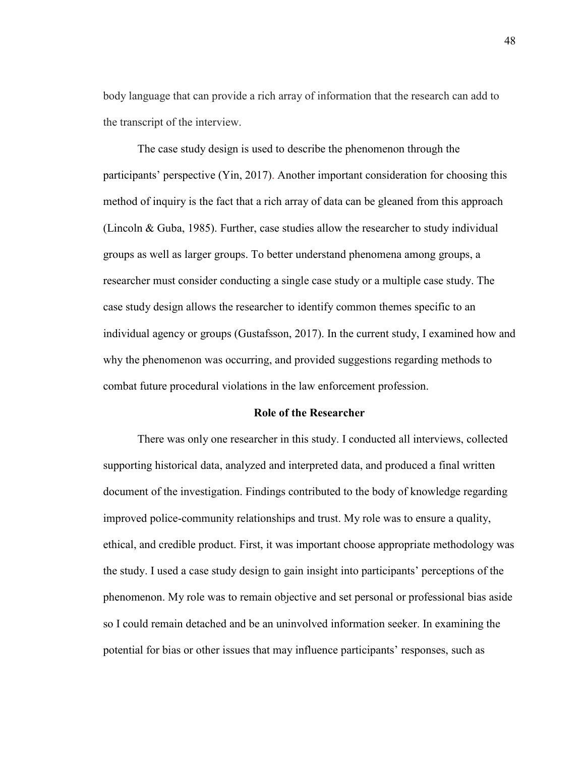body language that can provide a rich array of information that the research can add to the transcript of the interview.

The case study design is used to describe the phenomenon through the participants' perspective (Yin, 2017). Another important consideration for choosing this method of inquiry is the fact that a rich array of data can be gleaned from this approach (Lincoln & Guba, 1985). Further, case studies allow the researcher to study individual groups as well as larger groups. To better understand phenomena among groups, a researcher must consider conducting a single case study or a multiple case study. The case study design allows the researcher to identify common themes specific to an individual agency or groups (Gustafsson, 2017). In the current study, I examined how and why the phenomenon was occurring, and provided suggestions regarding methods to combat future procedural violations in the law enforcement profession.

### **Role of the Researcher**

There was only one researcher in this study. I conducted all interviews, collected supporting historical data, analyzed and interpreted data, and produced a final written document of the investigation. Findings contributed to the body of knowledge regarding improved police-community relationships and trust. My role was to ensure a quality, ethical, and credible product. First, it was important choose appropriate methodology was the study. I used a case study design to gain insight into participants' perceptions of the phenomenon. My role was to remain objective and set personal or professional bias aside so I could remain detached and be an uninvolved information seeker. In examining the potential for bias or other issues that may influence participants' responses, such as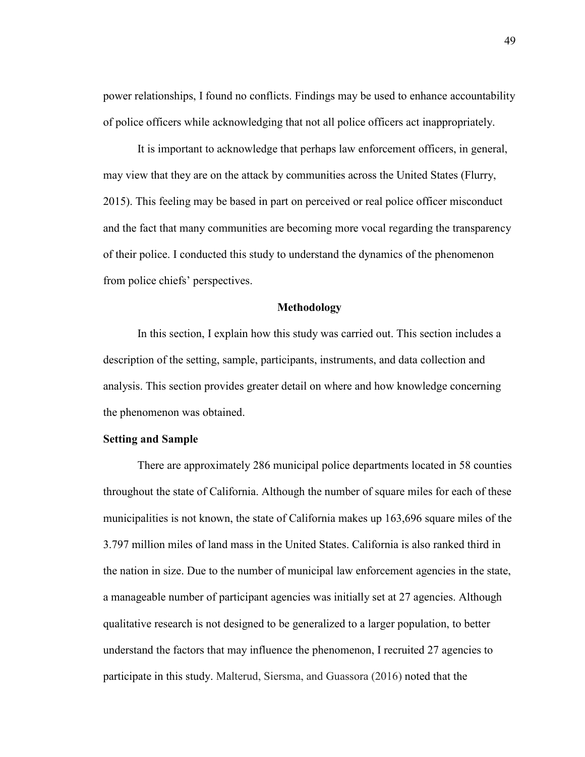power relationships, I found no conflicts. Findings may be used to enhance accountability of police officers while acknowledging that not all police officers act inappropriately.

It is important to acknowledge that perhaps law enforcement officers, in general, may view that they are on the attack by communities across the United States (Flurry, 2015). This feeling may be based in part on perceived or real police officer misconduct and the fact that many communities are becoming more vocal regarding the transparency of their police. I conducted this study to understand the dynamics of the phenomenon from police chiefs' perspectives.

#### **Methodology**

In this section, I explain how this study was carried out. This section includes a description of the setting, sample, participants, instruments, and data collection and analysis. This section provides greater detail on where and how knowledge concerning the phenomenon was obtained.

# **Setting and Sample**

There are approximately 286 municipal police departments located in 58 counties throughout the state of California. Although the number of square miles for each of these municipalities is not known, the state of California makes up 163,696 square miles of the 3.797 million miles of land mass in the United States. California is also ranked third in the nation in size. Due to the number of municipal law enforcement agencies in the state, a manageable number of participant agencies was initially set at 27 agencies. Although qualitative research is not designed to be generalized to a larger population, to better understand the factors that may influence the phenomenon, I recruited 27 agencies to participate in this study. Malterud, Siersma, and Guassora (2016) noted that the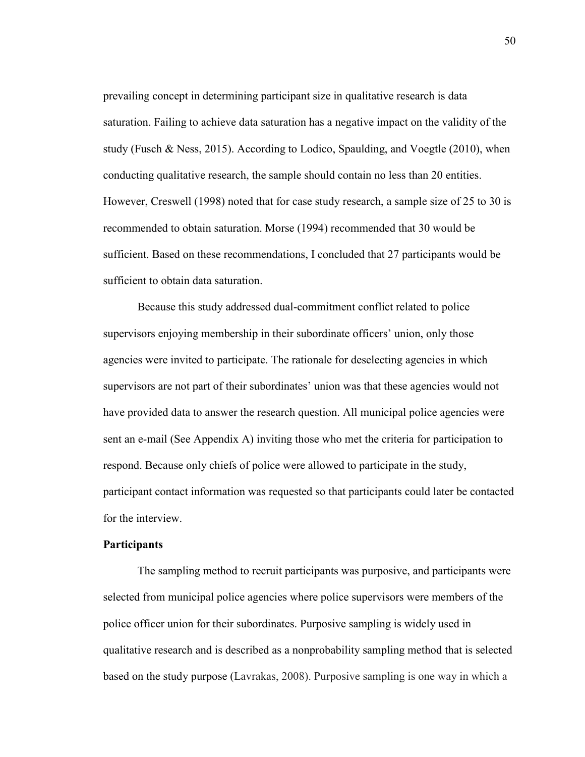prevailing concept in determining participant size in qualitative research is data saturation. Failing to achieve data saturation has a negative impact on the validity of the study (Fusch & Ness, 2015). According to Lodico, Spaulding, and Voegtle  $(2010)$ , when conducting qualitative research, the sample should contain no less than 20 entities. However, Creswell (1998) noted that for case study research, a sample size of 25 to 30 is recommended to obtain saturation. Morse (1994) recommended that 30 would be sufficient. Based on these recommendations, I concluded that 27 participants would be sufficient to obtain data saturation.

Because this study addressed dual-commitment conflict related to police supervisors enjoying membership in their subordinate officers' union, only those agencies were invited to participate. The rationale for deselecting agencies in which supervisors are not part of their subordinates' union was that these agencies would not have provided data to answer the research question. All municipal police agencies were sent an e-mail (See Appendix A) inviting those who met the criteria for participation to respond. Because only chiefs of police were allowed to participate in the study, participant contact information was requested so that participants could later be contacted for the interview.

### **Participants**

The sampling method to recruit participants was purposive, and participants were selected from municipal police agencies where police supervisors were members of the police officer union for their subordinates. Purposive sampling is widely used in qualitative research and is described as a nonprobability sampling method that is selected based on the study purpose (Lavrakas, 2008). Purposive sampling is one way in which a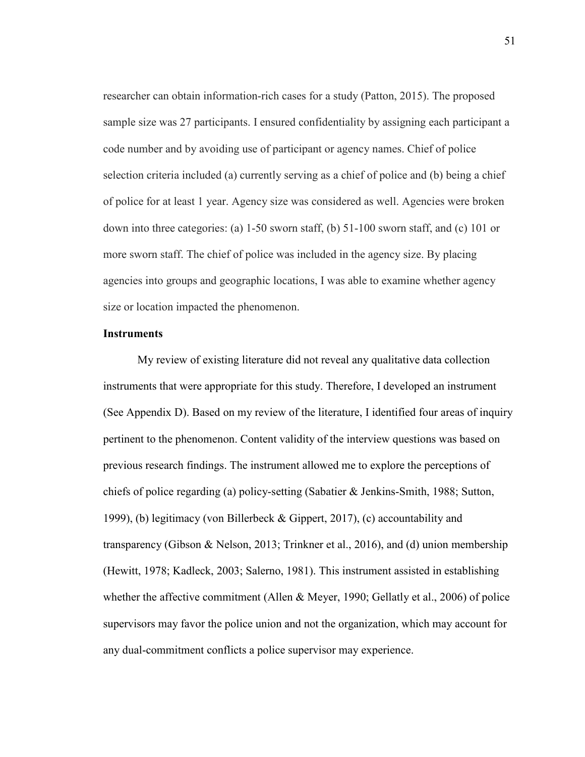researcher can obtain information-rich cases for a study (Patton, 2015). The proposed sample size was 27 participants. I ensured confidentiality by assigning each participant a code number and by avoiding use of participant or agency names. Chief of police selection criteria included (a) currently serving as a chief of police and (b) being a chief of police for at least 1 year. Agency size was considered as well. Agencies were broken down into three categories: (a) 1-50 sworn staff, (b) 51-100 sworn staff, and (c) 101 or more sworn staff. The chief of police was included in the agency size. By placing agencies into groups and geographic locations, I was able to examine whether agency size or location impacted the phenomenon.

# **Instruments**

My review of existing literature did not reveal any qualitative data collection instruments that were appropriate for this study. Therefore, I developed an instrument (See Appendix D). Based on my review of the literature, I identified four areas of inquiry pertinent to the phenomenon. Content validity of the interview questions was based on previous research findings. The instrument allowed me to explore the perceptions of chiefs of police regarding (a) policy-setting (Sabatier & Jenkins-Smith, 1988; Sutton, 1999), (b) legitimacy (von Billerbeck & Gippert, 2017), (c) accountability and transparency (Gibson & Nelson, 2013; Trinkner et al., 2016), and (d) union membership (Hewitt, 1978; Kadleck, 2003; Salerno, 1981). This instrument assisted in establishing whether the affective commitment (Allen & Meyer, 1990; Gellatly et al., 2006) of police supervisors may favor the police union and not the organization, which may account for any dual-commitment conflicts a police supervisor may experience.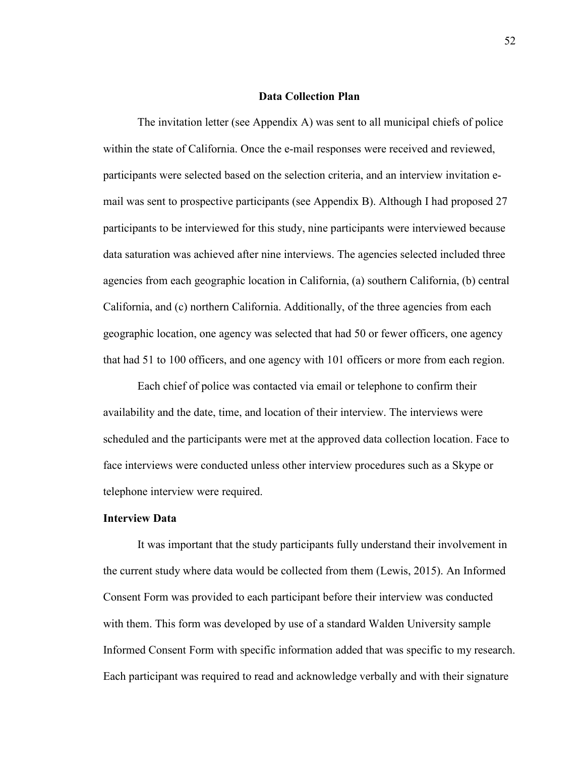#### **Data Collection Plan**

The invitation letter (see Appendix A) was sent to all municipal chiefs of police within the state of California. Once the e-mail responses were received and reviewed, participants were selected based on the selection criteria, and an interview invitation email was sent to prospective participants (see Appendix B). Although I had proposed 27 participants to be interviewed for this study, nine participants were interviewed because data saturation was achieved after nine interviews. The agencies selected included three agencies from each geographic location in California, (a) southern California, (b) central California, and (c) northern California. Additionally, of the three agencies from each geographic location, one agency was selected that had 50 or fewer officers, one agency that had 51 to 100 officers, and one agency with 101 officers or more from each region.

Each chief of police was contacted via email or telephone to confirm their availability and the date, time, and location of their interview. The interviews were scheduled and the participants were met at the approved data collection location. Face to face interviews were conducted unless other interview procedures such as a Skype or telephone interview were required.

# **Interview Data**

It was important that the study participants fully understand their involvement in the current study where data would be collected from them (Lewis, 2015). An Informed Consent Form was provided to each participant before their interview was conducted with them. This form was developed by use of a standard Walden University sample Informed Consent Form with specific information added that was specific to my research. Each participant was required to read and acknowledge verbally and with their signature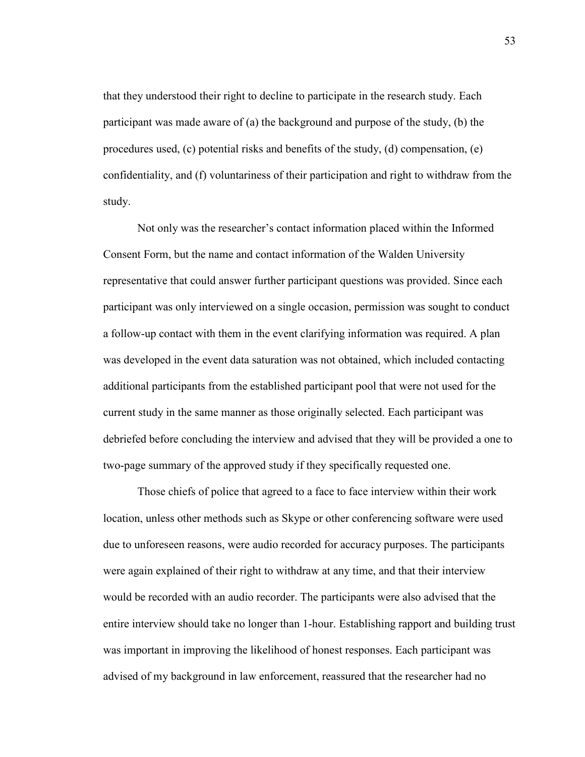that they understood their right to decline to participate in the research study. Each participant was made aware of (a) the background and purpose of the study, (b) the procedures used, (c) potential risks and benefits of the study, (d) compensation, (e) confidentiality, and (f) voluntariness of their participation and right to withdraw from the study.

Not only was the researcher's contact information placed within the Informed Consent Form, but the name and contact information of the Walden University representative that could answer further participant questions was provided. Since each participant was only interviewed on a single occasion, permission was sought to conduct a follow-up contact with them in the event clarifying information was required. A plan was developed in the event data saturation was not obtained, which included contacting additional participants from the established participant pool that were not used for the current study in the same manner as those originally selected. Each participant was debriefed before concluding the interview and advised that they will be provided a one to two-page summary of the approved study if they specifically requested one.

Those chiefs of police that agreed to a face to face interview within their work location, unless other methods such as Skype or other conferencing software were used due to unforeseen reasons, were audio recorded for accuracy purposes. The participants were again explained of their right to withdraw at any time, and that their interview would be recorded with an audio recorder. The participants were also advised that the entire interview should take no longer than 1-hour. Establishing rapport and building trust was important in improving the likelihood of honest responses. Each participant was advised of my background in law enforcement, reassured that the researcher had no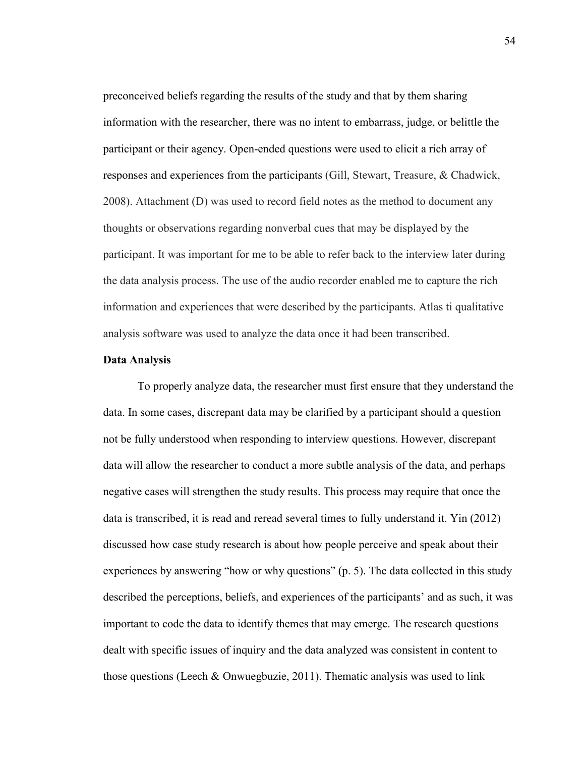preconceived beliefs regarding the results of the study and that by them sharing information with the researcher, there was no intent to embarrass, judge, or belittle the participant or their agency. Open-ended questions were used to elicit a rich array of responses and experiences from the participants (Gill, Stewart, Treasure, & Chadwick, 2008). Attachment (D) was used to record field notes as the method to document any thoughts or observations regarding nonverbal cues that may be displayed by the participant. It was important for me to be able to refer back to the interview later during the data analysis process. The use of the audio recorder enabled me to capture the rich information and experiences that were described by the participants. Atlas ti qualitative analysis software was used to analyze the data once it had been transcribed.

#### **Data Analysis**

To properly analyze data, the researcher must first ensure that they understand the data. In some cases, discrepant data may be clarified by a participant should a question not be fully understood when responding to interview questions. However, discrepant data will allow the researcher to conduct a more subtle analysis of the data, and perhaps negative cases will strengthen the study results. This process may require that once the data is transcribed, it is read and reread several times to fully understand it. Yin (2012) discussed how case study research is about how people perceive and speak about their experiences by answering "how or why questions" (p. 5). The data collected in this study described the perceptions, beliefs, and experiences of the participants' and as such, it was important to code the data to identify themes that may emerge. The research questions dealt with specific issues of inquiry and the data analyzed was consistent in content to those questions (Leech & Onwuegbuzie, 2011). Thematic analysis was used to link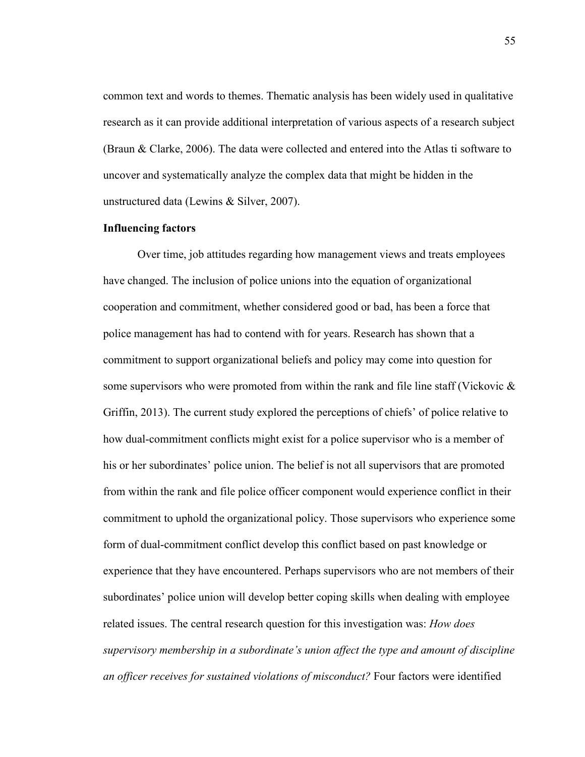common text and words to themes. Thematic analysis has been widely used in qualitative research as it can provide additional interpretation of various aspects of a research subject (Braun & Clarke, 2006). The data were collected and entered into the Atlas ti software to uncover and systematically analyze the complex data that might be hidden in the unstructured data (Lewins & Silver, 2007).

# **Influencing factors**

Over time, job attitudes regarding how management views and treats employees have changed. The inclusion of police unions into the equation of organizational cooperation and commitment, whether considered good or bad, has been a force that police management has had to contend with for years. Research has shown that a commitment to support organizational beliefs and policy may come into question for some supervisors who were promoted from within the rank and file line staff (Vickovic  $\&$ Griffin, 2013). The current study explored the perceptions of chiefs' of police relative to how dual-commitment conflicts might exist for a police supervisor who is a member of his or her subordinates' police union. The belief is not all supervisors that are promoted from within the rank and file police officer component would experience conflict in their commitment to uphold the organizational policy. Those supervisors who experience some form of dual-commitment conflict develop this conflict based on past knowledge or experience that they have encountered. Perhaps supervisors who are not members of their subordinates' police union will develop better coping skills when dealing with employee related issues. The central research question for this investigation was: *How does supervisory membership in a subordinate's union affect the type and amount of discipline an officer receives for sustained violations of misconduct?* Four factors were identified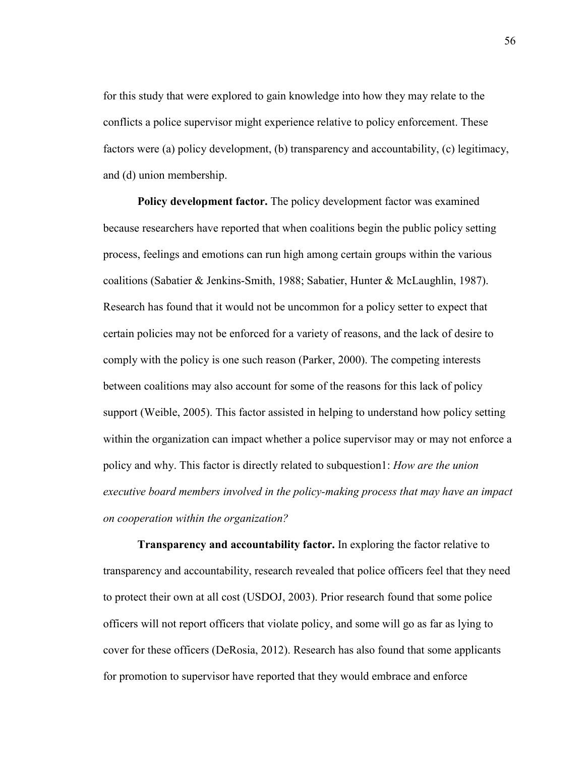for this study that were explored to gain knowledge into how they may relate to the conflicts a police supervisor might experience relative to policy enforcement. These factors were (a) policy development, (b) transparency and accountability, (c) legitimacy, and (d) union membership.

**Policy development factor.** The policy development factor was examined because researchers have reported that when coalitions begin the public policy setting process, feelings and emotions can run high among certain groups within the various coalitions (Sabatier & Jenkins-Smith, 1988; Sabatier, Hunter & McLaughlin, 1987). Research has found that it would not be uncommon for a policy setter to expect that certain policies may not be enforced for a variety of reasons, and the lack of desire to comply with the policy is one such reason (Parker, 2000). The competing interests between coalitions may also account for some of the reasons for this lack of policy support (Weible, 2005). This factor assisted in helping to understand how policy setting within the organization can impact whether a police supervisor may or may not enforce a policy and why. This factor is directly related to subquestion1: *How are the union executive board members involved in the policy-making process that may have an impact on cooperation within the organization?*

**Transparency and accountability factor.** In exploring the factor relative to transparency and accountability, research revealed that police officers feel that they need to protect their own at all cost (USDOJ, 2003). Prior research found that some police officers will not report officers that violate policy, and some will go as far as lying to cover for these officers (DeRosia, 2012). Research has also found that some applicants for promotion to supervisor have reported that they would embrace and enforce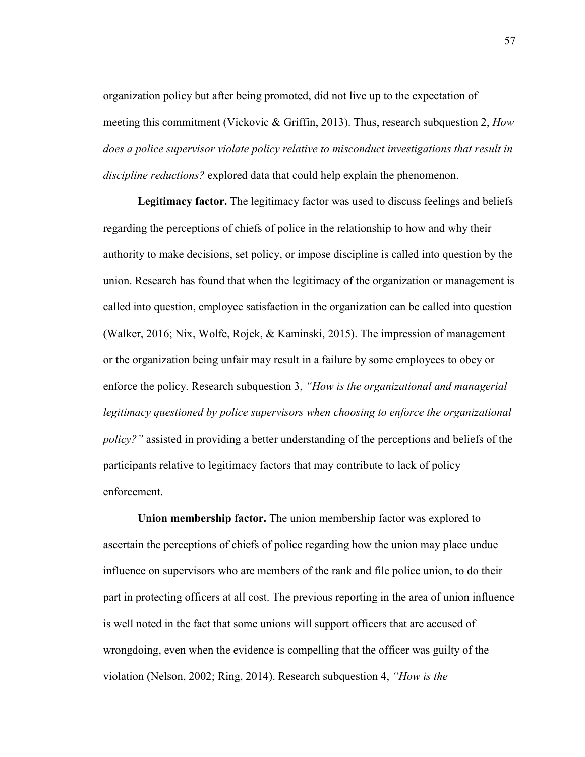organization policy but after being promoted, did not live up to the expectation of meeting this commitment (Vickovic & Griffin, 2013). Thus, research subquestion 2, *How does a police supervisor violate policy relative to misconduct investigations that result in discipline reductions?* explored data that could help explain the phenomenon.

**Legitimacy factor.** The legitimacy factor was used to discuss feelings and beliefs regarding the perceptions of chiefs of police in the relationship to how and why their authority to make decisions, set policy, or impose discipline is called into question by the union. Research has found that when the legitimacy of the organization or management is called into question, employee satisfaction in the organization can be called into question (Walker, 2016; Nix, Wolfe, Rojek, & Kaminski, 2015). The impression of management or the organization being unfair may result in a failure by some employees to obey or enforce the policy. Research subquestion 3, *"How is the organizational and managerial legitimacy questioned by police supervisors when choosing to enforce the organizational policy?"* assisted in providing a better understanding of the perceptions and beliefs of the participants relative to legitimacy factors that may contribute to lack of policy enforcement.

**Union membership factor.** The union membership factor was explored to ascertain the perceptions of chiefs of police regarding how the union may place undue influence on supervisors who are members of the rank and file police union, to do their part in protecting officers at all cost. The previous reporting in the area of union influence is well noted in the fact that some unions will support officers that are accused of wrongdoing, even when the evidence is compelling that the officer was guilty of the violation (Nelson, 2002; Ring, 2014). Research subquestion 4, *"How is the*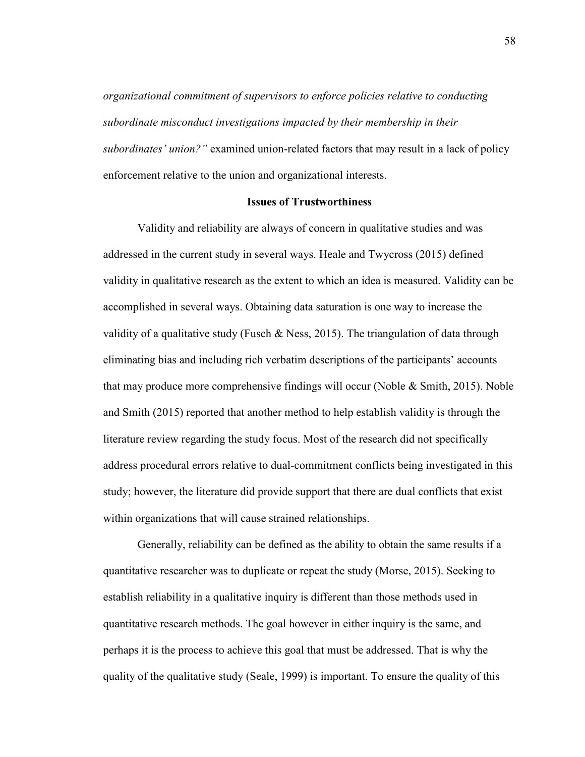*organizational commitment of supervisors to enforce policies relative to conducting subordinate misconduct investigations impacted by their membership in their subordinates' union?"* examined union-related factors that may result in a lack of policy enforcement relative to the union and organizational interests.

### **Issues of Trustworthiness**

Validity and reliability are always of concern in qualitative studies and was addressed in the current study in several ways. Heale and Twycross (2015) defined validity in qualitative research as the extent to which an idea is measured. Validity can be accomplished in several ways. Obtaining data saturation is one way to increase the validity of a qualitative study (Fusch & Ness, 2015). The triangulation of data through eliminating bias and including rich verbatim descriptions of the participants' accounts that may produce more comprehensive findings will occur (Noble & Smith, 2015). Noble and Smith (2015) reported that another method to help establish validity is through the literature review regarding the study focus. Most of the research did not specifically address procedural errors relative to dual-commitment conflicts being investigated in this study; however, the literature did provide support that there are dual conflicts that exist within organizations that will cause strained relationships.

Generally, reliability can be defined as the ability to obtain the same results if a quantitative researcher was to duplicate or repeat the study (Morse, 2015). Seeking to establish reliability in a qualitative inquiry is different than those methods used in quantitative research methods. The goal however in either inquiry is the same, and perhaps it is the process to achieve this goal that must be addressed. That is why the quality of the qualitative study (Seale, 1999) is important. To ensure the quality of this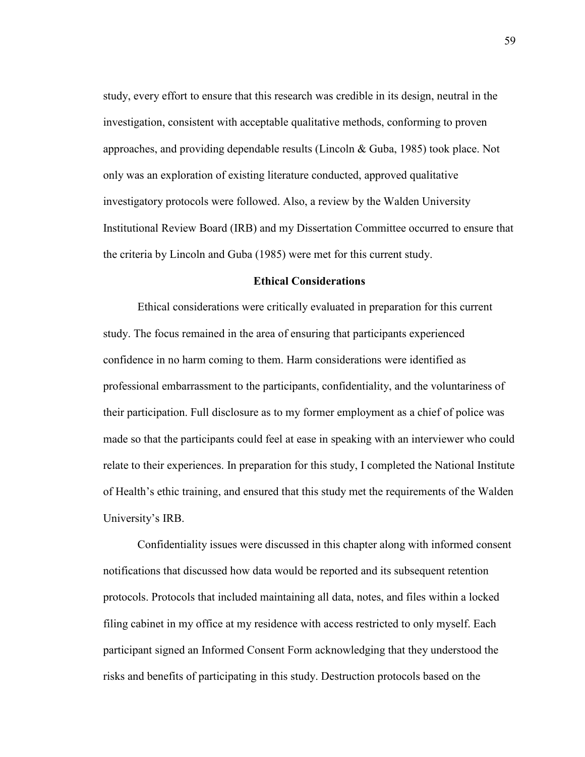study, every effort to ensure that this research was credible in its design, neutral in the investigation, consistent with acceptable qualitative methods, conforming to proven approaches, and providing dependable results (Lincoln & Guba, 1985) took place. Not only was an exploration of existing literature conducted, approved qualitative investigatory protocols were followed. Also, a review by the Walden University Institutional Review Board (IRB) and my Dissertation Committee occurred to ensure that the criteria by Lincoln and Guba (1985) were met for this current study.

# **Ethical Considerations**

Ethical considerations were critically evaluated in preparation for this current study. The focus remained in the area of ensuring that participants experienced confidence in no harm coming to them. Harm considerations were identified as professional embarrassment to the participants, confidentiality, and the voluntariness of their participation. Full disclosure as to my former employment as a chief of police was made so that the participants could feel at ease in speaking with an interviewer who could relate to their experiences. In preparation for this study, I completed the National Institute of Health's ethic training, and ensured that this study met the requirements of the Walden University's IRB.

Confidentiality issues were discussed in this chapter along with informed consent notifications that discussed how data would be reported and its subsequent retention protocols. Protocols that included maintaining all data, notes, and files within a locked filing cabinet in my office at my residence with access restricted to only myself. Each participant signed an Informed Consent Form acknowledging that they understood the risks and benefits of participating in this study. Destruction protocols based on the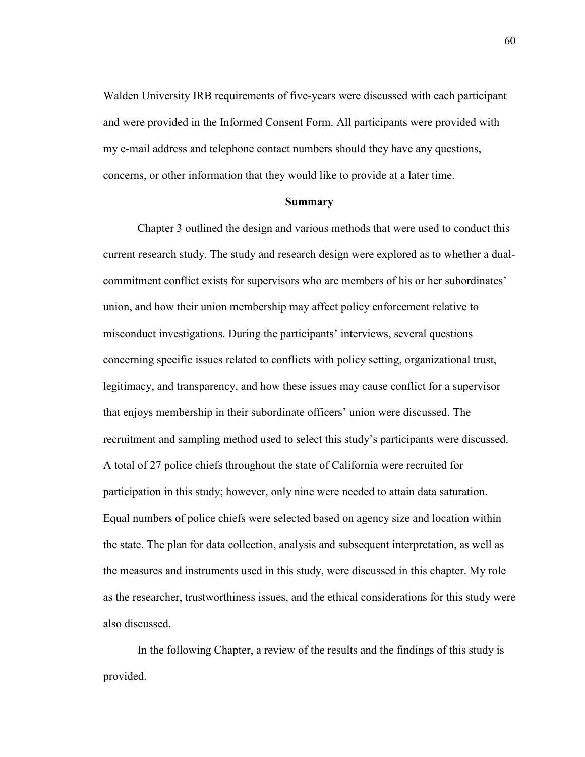Walden University IRB requirements of five-years were discussed with each participant and were provided in the Informed Consent Form. All participants were provided with my e-mail address and telephone contact numbers should they have any questions, concerns, or other information that they would like to provide at a later time.

#### **Summary**

Chapter 3 outlined the design and various methods that were used to conduct this current research study. The study and research design were explored as to whether a dualcommitment conflict exists for supervisors who are members of his or her subordinates' union, and how their union membership may affect policy enforcement relative to misconduct investigations. During the participants' interviews, several questions concerning specific issues related to conflicts with policy setting, organizational trust, legitimacy, and transparency, and how these issues may cause conflict for a supervisor that enjoys membership in their subordinate officers' union were discussed. The recruitment and sampling method used to select this study's participants were discussed. A total of 27 police chiefs throughout the state of California were recruited for participation in this study; however, only nine were needed to attain data saturation. Equal numbers of police chiefs were selected based on agency size and location within the state. The plan for data collection, analysis and subsequent interpretation, as well as the measures and instruments used in this study, were discussed in this chapter. My role as the researcher, trustworthiness issues, and the ethical considerations for this study were also discussed.

In the following Chapter, a review of the results and the findings of this study is provided.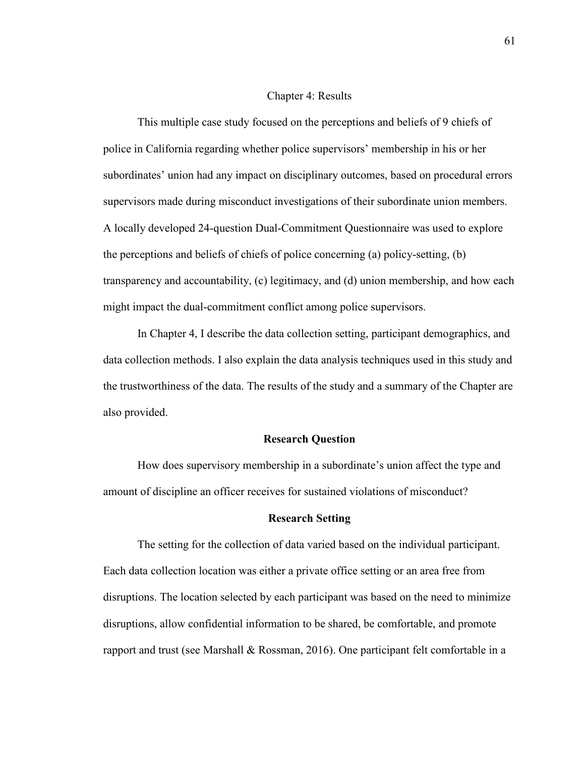#### Chapter 4: Results

This multiple case study focused on the perceptions and beliefs of 9 chiefs of police in California regarding whether police supervisors' membership in his or her subordinates' union had any impact on disciplinary outcomes, based on procedural errors supervisors made during misconduct investigations of their subordinate union members. A locally developed 24-question Dual-Commitment Questionnaire was used to explore the perceptions and beliefs of chiefs of police concerning (a) policy-setting, (b) transparency and accountability, (c) legitimacy, and (d) union membership, and how each might impact the dual-commitment conflict among police supervisors.

In Chapter 4, I describe the data collection setting, participant demographics, and data collection methods. I also explain the data analysis techniques used in this study and the trustworthiness of the data. The results of the study and a summary of the Chapter are also provided.

# **Research Question**

How does supervisory membership in a subordinate's union affect the type and amount of discipline an officer receives for sustained violations of misconduct?

#### **Research Setting**

The setting for the collection of data varied based on the individual participant. Each data collection location was either a private office setting or an area free from disruptions. The location selected by each participant was based on the need to minimize disruptions, allow confidential information to be shared, be comfortable, and promote rapport and trust (see Marshall & Rossman, 2016). One participant felt comfortable in a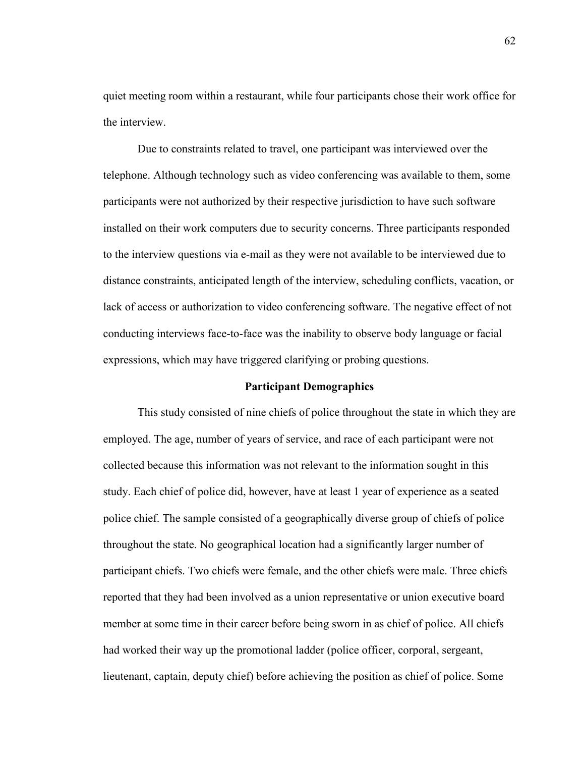quiet meeting room within a restaurant, while four participants chose their work office for the interview.

Due to constraints related to travel, one participant was interviewed over the telephone. Although technology such as video conferencing was available to them, some participants were not authorized by their respective jurisdiction to have such software installed on their work computers due to security concerns. Three participants responded to the interview questions via e-mail as they were not available to be interviewed due to distance constraints, anticipated length of the interview, scheduling conflicts, vacation, or lack of access or authorization to video conferencing software. The negative effect of not conducting interviews face-to-face was the inability to observe body language or facial expressions, which may have triggered clarifying or probing questions.

#### **Participant Demographics**

This study consisted of nine chiefs of police throughout the state in which they are employed. The age, number of years of service, and race of each participant were not collected because this information was not relevant to the information sought in this study. Each chief of police did, however, have at least 1 year of experience as a seated police chief. The sample consisted of a geographically diverse group of chiefs of police throughout the state. No geographical location had a significantly larger number of participant chiefs. Two chiefs were female, and the other chiefs were male. Three chiefs reported that they had been involved as a union representative or union executive board member at some time in their career before being sworn in as chief of police. All chiefs had worked their way up the promotional ladder (police officer, corporal, sergeant, lieutenant, captain, deputy chief) before achieving the position as chief of police. Some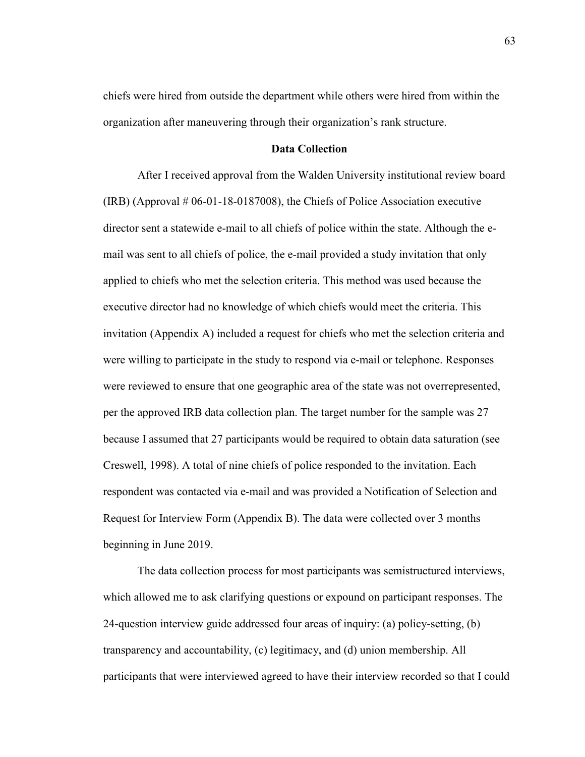chiefs were hired from outside the department while others were hired from within the organization after maneuvering through their organization's rank structure.

# **Data Collection**

After I received approval from the Walden University institutional review board  $(IRB)$  (Approval  $#06-01-18-0187008$ ), the Chiefs of Police Association executive director sent a statewide e-mail to all chiefs of police within the state. Although the email was sent to all chiefs of police, the e-mail provided a study invitation that only applied to chiefs who met the selection criteria. This method was used because the executive director had no knowledge of which chiefs would meet the criteria. This invitation (Appendix A) included a request for chiefs who met the selection criteria and were willing to participate in the study to respond via e-mail or telephone. Responses were reviewed to ensure that one geographic area of the state was not overrepresented, per the approved IRB data collection plan. The target number for the sample was 27 because I assumed that 27 participants would be required to obtain data saturation (see Creswell, 1998). A total of nine chiefs of police responded to the invitation. Each respondent was contacted via e-mail and was provided a Notification of Selection and Request for Interview Form (Appendix B). The data were collected over 3 months beginning in June 2019.

The data collection process for most participants was semistructured interviews, which allowed me to ask clarifying questions or expound on participant responses. The 24-question interview guide addressed four areas of inquiry: (a) policy-setting, (b) transparency and accountability, (c) legitimacy, and (d) union membership. All participants that were interviewed agreed to have their interview recorded so that I could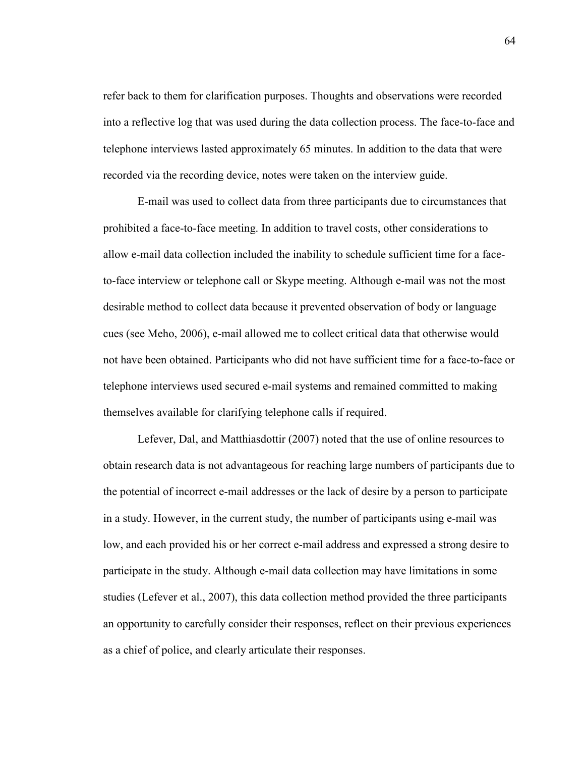refer back to them for clarification purposes. Thoughts and observations were recorded into a reflective log that was used during the data collection process. The face-to-face and telephone interviews lasted approximately 65 minutes. In addition to the data that were recorded via the recording device, notes were taken on the interview guide.

E-mail was used to collect data from three participants due to circumstances that prohibited a face-to-face meeting. In addition to travel costs, other considerations to allow e-mail data collection included the inability to schedule sufficient time for a faceto-face interview or telephone call or Skype meeting. Although e-mail was not the most desirable method to collect data because it prevented observation of body or language cues (see Meho, 2006), e-mail allowed me to collect critical data that otherwise would not have been obtained. Participants who did not have sufficient time for a face-to-face or telephone interviews used secured e-mail systems and remained committed to making themselves available for clarifying telephone calls if required.

Lefever, Dal, and Matthiasdottir (2007) noted that the use of online resources to obtain research data is not advantageous for reaching large numbers of participants due to the potential of incorrect e-mail addresses or the lack of desire by a person to participate in a study. However, in the current study, the number of participants using e-mail was low, and each provided his or her correct e-mail address and expressed a strong desire to participate in the study. Although e-mail data collection may have limitations in some studies (Lefever et al., 2007), this data collection method provided the three participants an opportunity to carefully consider their responses, reflect on their previous experiences as a chief of police, and clearly articulate their responses.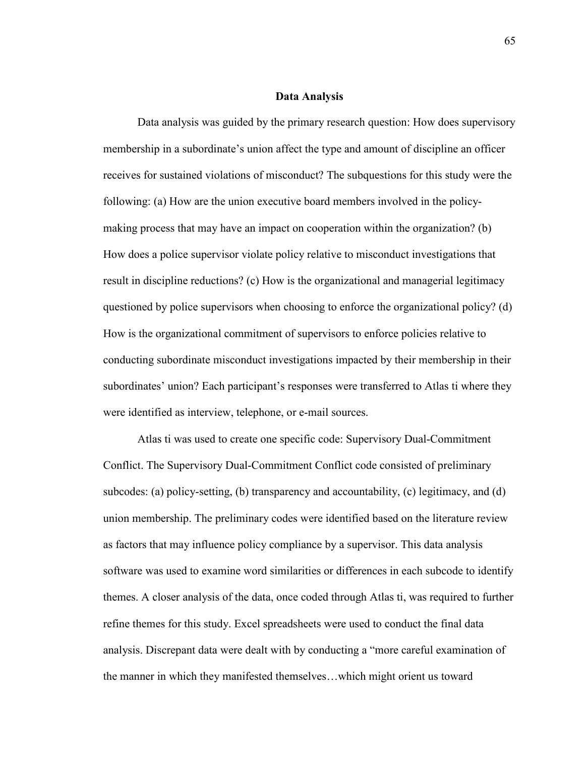### **Data Analysis**

Data analysis was guided by the primary research question: How does supervisory membership in a subordinate's union affect the type and amount of discipline an officer receives for sustained violations of misconduct? The subquestions for this study were the following: (a) How are the union executive board members involved in the policymaking process that may have an impact on cooperation within the organization? (b) How does a police supervisor violate policy relative to misconduct investigations that result in discipline reductions? (c) How is the organizational and managerial legitimacy questioned by police supervisors when choosing to enforce the organizational policy? (d) How is the organizational commitment of supervisors to enforce policies relative to conducting subordinate misconduct investigations impacted by their membership in their subordinates' union? Each participant's responses were transferred to Atlas ti where they were identified as interview, telephone, or e-mail sources.

Atlas ti was used to create one specific code: Supervisory Dual-Commitment Conflict. The Supervisory Dual-Commitment Conflict code consisted of preliminary subcodes: (a) policy-setting, (b) transparency and accountability, (c) legitimacy, and (d) union membership. The preliminary codes were identified based on the literature review as factors that may influence policy compliance by a supervisor. This data analysis software was used to examine word similarities or differences in each subcode to identify themes. A closer analysis of the data, once coded through Atlas ti, was required to further refine themes for this study. Excel spreadsheets were used to conduct the final data analysis. Discrepant data were dealt with by conducting a "more careful examination of the manner in which they manifested themselves…which might orient us toward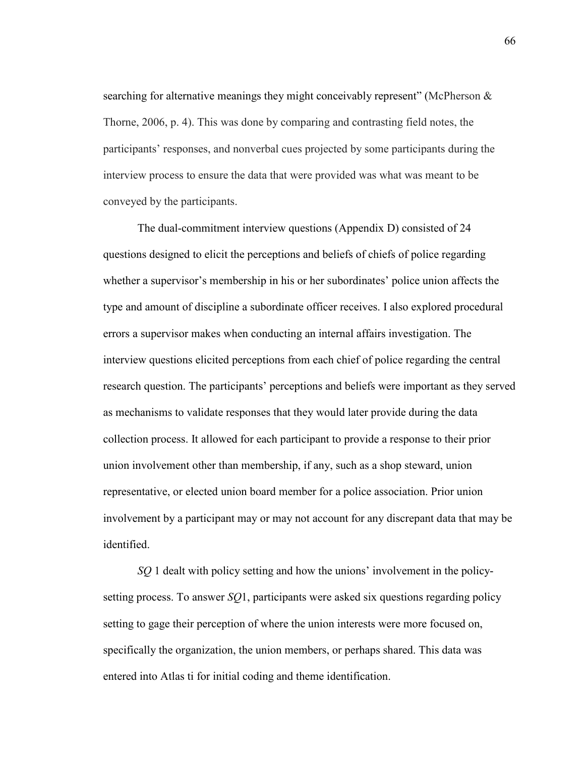searching for alternative meanings they might conceivably represent" (McPherson  $\&$ Thorne, 2006, p. 4). This was done by comparing and contrasting field notes, the participants' responses, and nonverbal cues projected by some participants during the interview process to ensure the data that were provided was what was meant to be conveyed by the participants.

The dual-commitment interview questions (Appendix D) consisted of 24 questions designed to elicit the perceptions and beliefs of chiefs of police regarding whether a supervisor's membership in his or her subordinates' police union affects the type and amount of discipline a subordinate officer receives. I also explored procedural errors a supervisor makes when conducting an internal affairs investigation. The interview questions elicited perceptions from each chief of police regarding the central research question. The participants' perceptions and beliefs were important as they served as mechanisms to validate responses that they would later provide during the data collection process. It allowed for each participant to provide a response to their prior union involvement other than membership, if any, such as a shop steward, union representative, or elected union board member for a police association. Prior union involvement by a participant may or may not account for any discrepant data that may be identified.

*SQ* 1 dealt with policy setting and how the unions' involvement in the policysetting process. To answer *SQ*1, participants were asked six questions regarding policy setting to gage their perception of where the union interests were more focused on, specifically the organization, the union members, or perhaps shared. This data was entered into Atlas ti for initial coding and theme identification.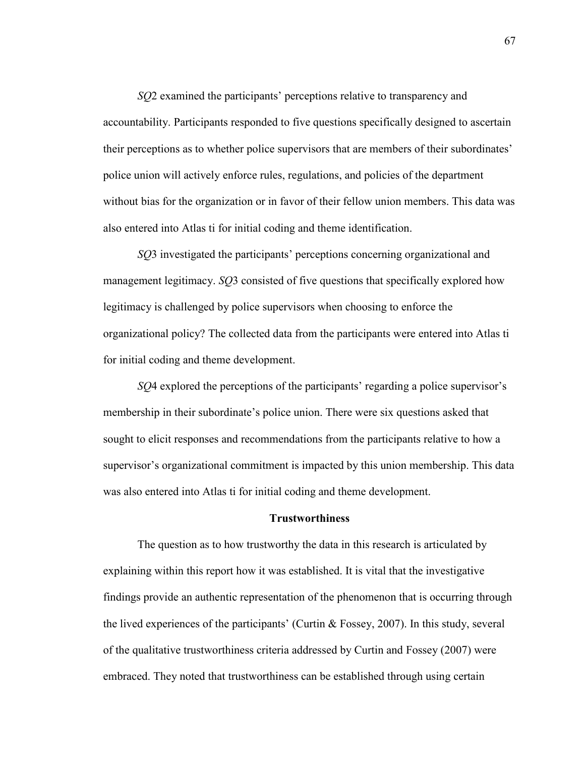*SQ*2 examined the participants' perceptions relative to transparency and accountability. Participants responded to five questions specifically designed to ascertain their perceptions as to whether police supervisors that are members of their subordinates' police union will actively enforce rules, regulations, and policies of the department without bias for the organization or in favor of their fellow union members. This data was also entered into Atlas ti for initial coding and theme identification.

*SQ*3 investigated the participants' perceptions concerning organizational and management legitimacy. *SQ*3 consisted of five questions that specifically explored how legitimacy is challenged by police supervisors when choosing to enforce the organizational policy? The collected data from the participants were entered into Atlas ti for initial coding and theme development.

*SQ*4 explored the perceptions of the participants' regarding a police supervisor's membership in their subordinate's police union. There were six questions asked that sought to elicit responses and recommendations from the participants relative to how a supervisor's organizational commitment is impacted by this union membership. This data was also entered into Atlas ti for initial coding and theme development.

### **Trustworthiness**

The question as to how trustworthy the data in this research is articulated by explaining within this report how it was established. It is vital that the investigative findings provide an authentic representation of the phenomenon that is occurring through the lived experiences of the participants' (Curtin & Fossey, 2007). In this study, several of the qualitative trustworthiness criteria addressed by Curtin and Fossey (2007) were embraced. They noted that trustworthiness can be established through using certain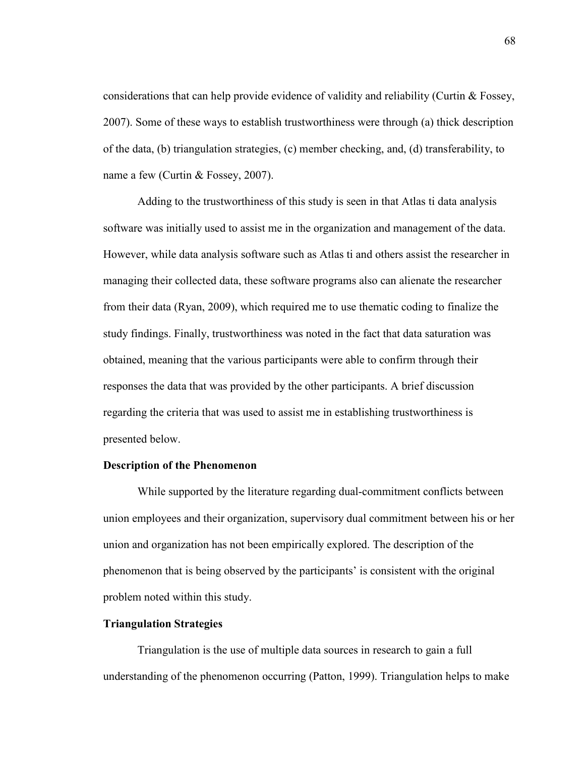considerations that can help provide evidence of validity and reliability (Curtin & Fossey, 2007). Some of these ways to establish trustworthiness were through (a) thick description of the data, (b) triangulation strategies, (c) member checking, and, (d) transferability, to name a few (Curtin & Fossey, 2007).

Adding to the trustworthiness of this study is seen in that Atlas ti data analysis software was initially used to assist me in the organization and management of the data. However, while data analysis software such as Atlas ti and others assist the researcher in managing their collected data, these software programs also can alienate the researcher from their data (Ryan, 2009), which required me to use thematic coding to finalize the study findings. Finally, trustworthiness was noted in the fact that data saturation was obtained, meaning that the various participants were able to confirm through their responses the data that was provided by the other participants. A brief discussion regarding the criteria that was used to assist me in establishing trustworthiness is presented below.

# **Description of the Phenomenon**

While supported by the literature regarding dual-commitment conflicts between union employees and their organization, supervisory dual commitment between his or her union and organization has not been empirically explored. The description of the phenomenon that is being observed by the participants' is consistent with the original problem noted within this study.

### **Triangulation Strategies**

Triangulation is the use of multiple data sources in research to gain a full understanding of the phenomenon occurring (Patton, 1999). Triangulation helps to make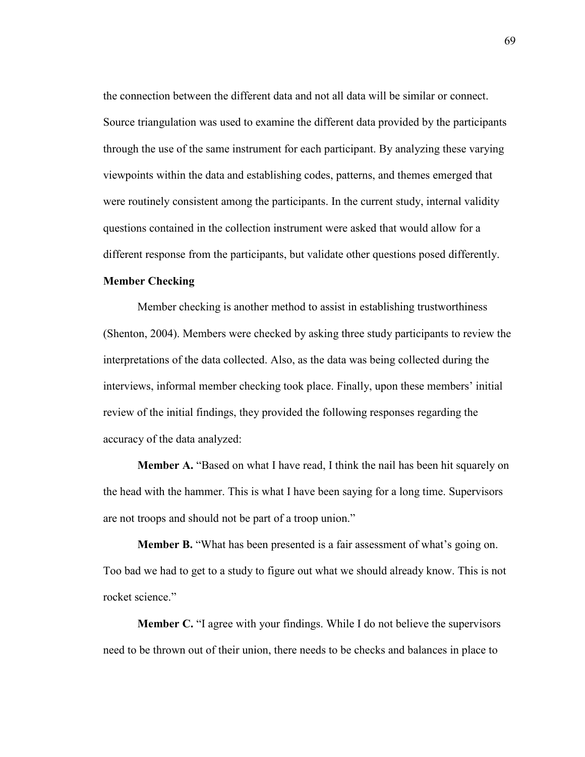the connection between the different data and not all data will be similar or connect. Source triangulation was used to examine the different data provided by the participants through the use of the same instrument for each participant. By analyzing these varying viewpoints within the data and establishing codes, patterns, and themes emerged that were routinely consistent among the participants. In the current study, internal validity questions contained in the collection instrument were asked that would allow for a different response from the participants, but validate other questions posed differently.

# **Member Checking**

Member checking is another method to assist in establishing trustworthiness (Shenton, 2004). Members were checked by asking three study participants to review the interpretations of the data collected. Also, as the data was being collected during the interviews, informal member checking took place. Finally, upon these members' initial review of the initial findings, they provided the following responses regarding the accuracy of the data analyzed:

**Member A.** "Based on what I have read, I think the nail has been hit squarely on the head with the hammer. This is what I have been saying for a long time. Supervisors are not troops and should not be part of a troop union."

**Member B.** "What has been presented is a fair assessment of what's going on. Too bad we had to get to a study to figure out what we should already know. This is not rocket science."

**Member C.** "I agree with your findings. While I do not believe the supervisors need to be thrown out of their union, there needs to be checks and balances in place to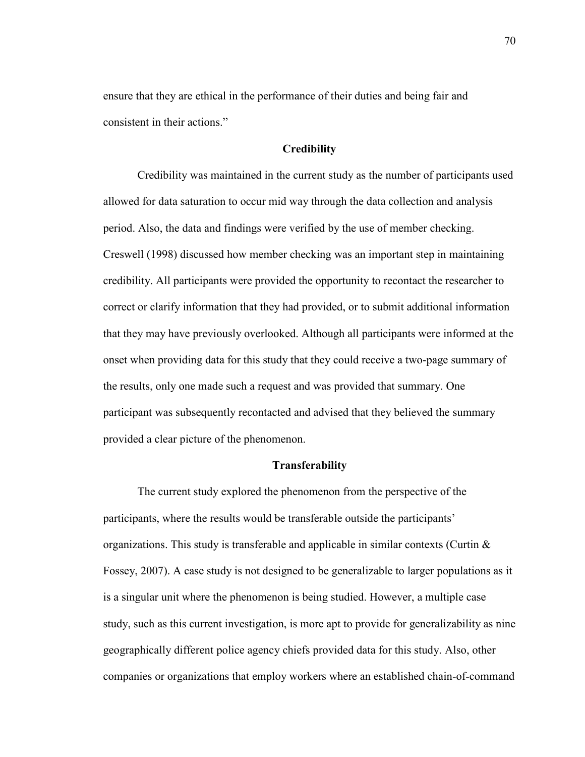ensure that they are ethical in the performance of their duties and being fair and consistent in their actions."

# **Credibility**

Credibility was maintained in the current study as the number of participants used allowed for data saturation to occur mid way through the data collection and analysis period. Also, the data and findings were verified by the use of member checking. Creswell (1998) discussed how member checking was an important step in maintaining credibility. All participants were provided the opportunity to recontact the researcher to correct or clarify information that they had provided, or to submit additional information that they may have previously overlooked. Although all participants were informed at the onset when providing data for this study that they could receive a two-page summary of the results, only one made such a request and was provided that summary. One participant was subsequently recontacted and advised that they believed the summary provided a clear picture of the phenomenon.

# **Transferability**

The current study explored the phenomenon from the perspective of the participants, where the results would be transferable outside the participants' organizations. This study is transferable and applicable in similar contexts (Curtin  $\&$ Fossey, 2007). A case study is not designed to be generalizable to larger populations as it is a singular unit where the phenomenon is being studied. However, a multiple case study, such as this current investigation, is more apt to provide for generalizability as nine geographically different police agency chiefs provided data for this study. Also, other companies or organizations that employ workers where an established chain-of-command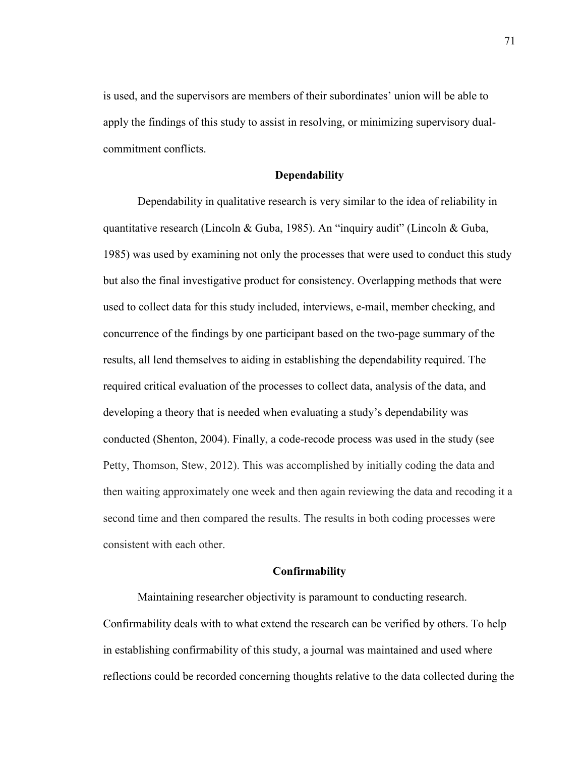is used, and the supervisors are members of their subordinates' union will be able to apply the findings of this study to assist in resolving, or minimizing supervisory dualcommitment conflicts.

### **Dependability**

Dependability in qualitative research is very similar to the idea of reliability in quantitative research (Lincoln & Guba, 1985). An "inquiry audit" (Lincoln & Guba, 1985) was used by examining not only the processes that were used to conduct this study but also the final investigative product for consistency. Overlapping methods that were used to collect data for this study included, interviews, e-mail, member checking, and concurrence of the findings by one participant based on the two-page summary of the results, all lend themselves to aiding in establishing the dependability required. The required critical evaluation of the processes to collect data, analysis of the data, and developing a theory that is needed when evaluating a study's dependability was conducted (Shenton, 2004). Finally, a code-recode process was used in the study (see Petty, Thomson, Stew, 2012). This was accomplished by initially coding the data and then waiting approximately one week and then again reviewing the data and recoding it a second time and then compared the results. The results in both coding processes were consistent with each other.

### **Confirmability**

Maintaining researcher objectivity is paramount to conducting research. Confirmability deals with to what extend the research can be verified by others. To help in establishing confirmability of this study, a journal was maintained and used where reflections could be recorded concerning thoughts relative to the data collected during the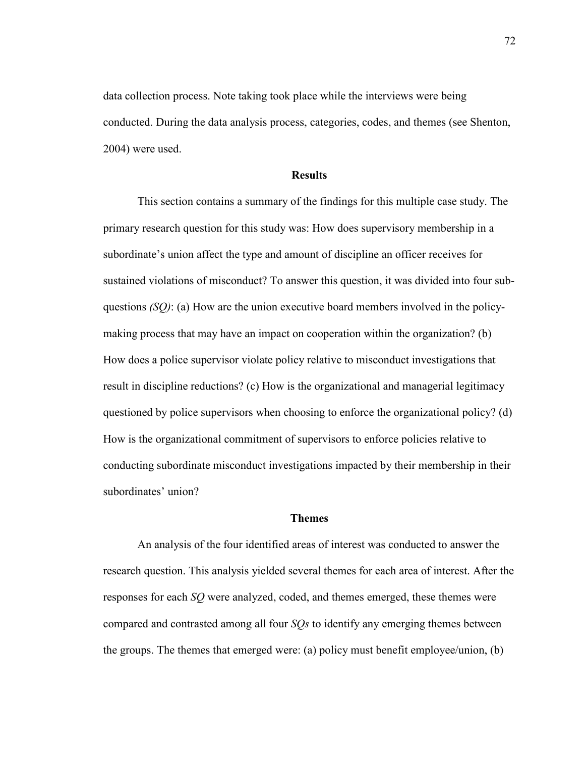data collection process. Note taking took place while the interviews were being conducted. During the data analysis process, categories, codes, and themes (see Shenton, 2004) were used.

### **Results**

This section contains a summary of the findings for this multiple case study. The primary research question for this study was: How does supervisory membership in a subordinate's union affect the type and amount of discipline an officer receives for sustained violations of misconduct? To answer this question, it was divided into four subquestions *(SQ)*: (a) How are the union executive board members involved in the policymaking process that may have an impact on cooperation within the organization? (b) How does a police supervisor violate policy relative to misconduct investigations that result in discipline reductions? (c) How is the organizational and managerial legitimacy questioned by police supervisors when choosing to enforce the organizational policy? (d) How is the organizational commitment of supervisors to enforce policies relative to conducting subordinate misconduct investigations impacted by their membership in their subordinates' union?

### **Themes**

An analysis of the four identified areas of interest was conducted to answer the research question. This analysis yielded several themes for each area of interest. After the responses for each *SQ* were analyzed, coded, and themes emerged, these themes were compared and contrasted among all four *SQs* to identify any emerging themes between the groups. The themes that emerged were: (a) policy must benefit employee/union, (b)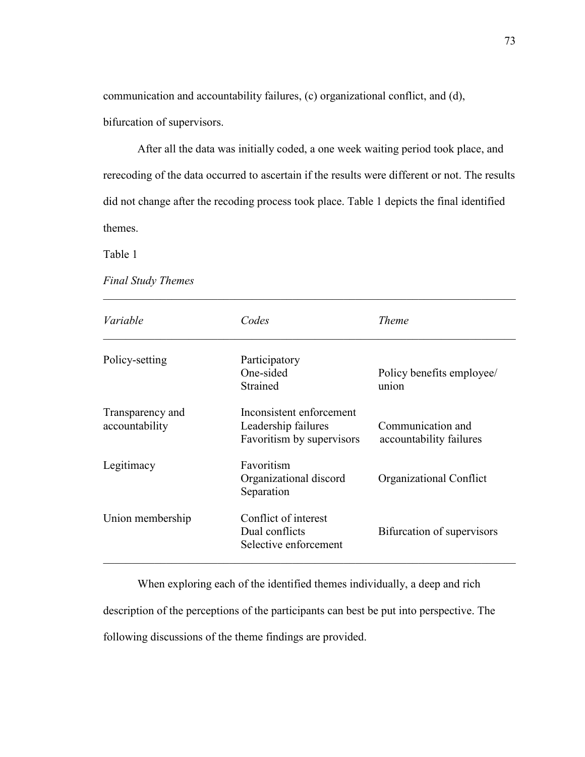communication and accountability failures, (c) organizational conflict, and (d), bifurcation of supervisors.

After all the data was initially coded, a one week waiting period took place, and rerecoding of the data occurred to ascertain if the results were different or not. The results did not change after the recoding process took place. Table 1 depicts the final identified themes.

Table 1

*Final Study Themes* 

| Variable                           | Codes                                                                        | <i>Theme</i>                                 |
|------------------------------------|------------------------------------------------------------------------------|----------------------------------------------|
| Policy-setting                     | Participatory<br>One-sided<br>Strained                                       | Policy benefits employee/<br>union           |
| Transparency and<br>accountability | Inconsistent enforcement<br>Leadership failures<br>Favoritism by supervisors | Communication and<br>accountability failures |
| Legitimacy                         | Favoritism<br>Organizational discord<br>Separation                           | Organizational Conflict                      |
| Union membership                   | Conflict of interest<br>Dual conflicts<br>Selective enforcement              | Bifurcation of supervisors                   |

When exploring each of the identified themes individually, a deep and rich description of the perceptions of the participants can best be put into perspective. The following discussions of the theme findings are provided.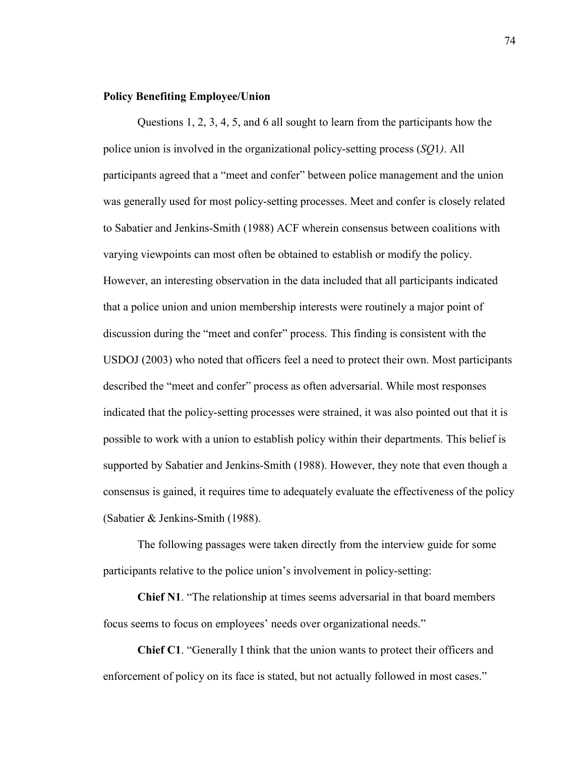# **Policy Benefiting Employee/Union**

Questions 1, 2, 3, 4, 5, and 6 all sought to learn from the participants how the police union is involved in the organizational policy-setting process (*SQ*1*)*. All participants agreed that a "meet and confer" between police management and the union was generally used for most policy-setting processes. Meet and confer is closely related to Sabatier and Jenkins-Smith (1988) ACF wherein consensus between coalitions with varying viewpoints can most often be obtained to establish or modify the policy. However, an interesting observation in the data included that all participants indicated that a police union and union membership interests were routinely a major point of discussion during the "meet and confer" process. This finding is consistent with the USDOJ (2003) who noted that officers feel a need to protect their own. Most participants described the "meet and confer" process as often adversarial. While most responses indicated that the policy-setting processes were strained, it was also pointed out that it is possible to work with a union to establish policy within their departments. This belief is supported by Sabatier and Jenkins-Smith (1988). However, they note that even though a consensus is gained, it requires time to adequately evaluate the effectiveness of the policy (Sabatier & Jenkins-Smith (1988).

The following passages were taken directly from the interview guide for some participants relative to the police union's involvement in policy-setting:

**Chief N1**. "The relationship at times seems adversarial in that board members focus seems to focus on employees' needs over organizational needs."

**Chief C1**. "Generally I think that the union wants to protect their officers and enforcement of policy on its face is stated, but not actually followed in most cases."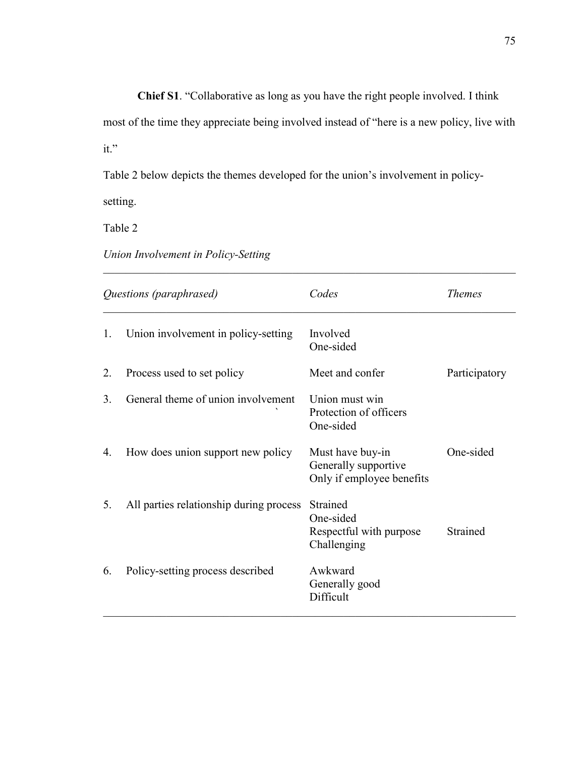**Chief S1**. "Collaborative as long as you have the right people involved. I think

most of the time they appreciate being involved instead of "here is a new policy, live with it."

 $\_$  , and the contribution of the contribution of  $\mathcal{L}_\mathcal{A}$  , and the contribution of  $\mathcal{L}_\mathcal{A}$ 

Table 2 below depicts the themes developed for the union's involvement in policy-

setting.

Table 2

*Union Involvement in Policy-Setting* 

| Questions (paraphrased) |                                         | Codes                                                                 | <i>Themes</i> |
|-------------------------|-----------------------------------------|-----------------------------------------------------------------------|---------------|
| 1.                      | Union involvement in policy-setting     | Involved<br>One-sided                                                 |               |
| 2.                      | Process used to set policy              | Meet and confer                                                       | Participatory |
| 3.                      | General theme of union involvement      | Union must win<br>Protection of officers<br>One-sided                 |               |
| 4.                      | How does union support new policy       | Must have buy-in<br>Generally supportive<br>Only if employee benefits | One-sided     |
| 5.                      | All parties relationship during process | Strained<br>One-sided<br>Respectful with purpose<br>Challenging       | Strained      |
| 6.                      | Policy-setting process described        | Awkward<br>Generally good<br>Difficult                                |               |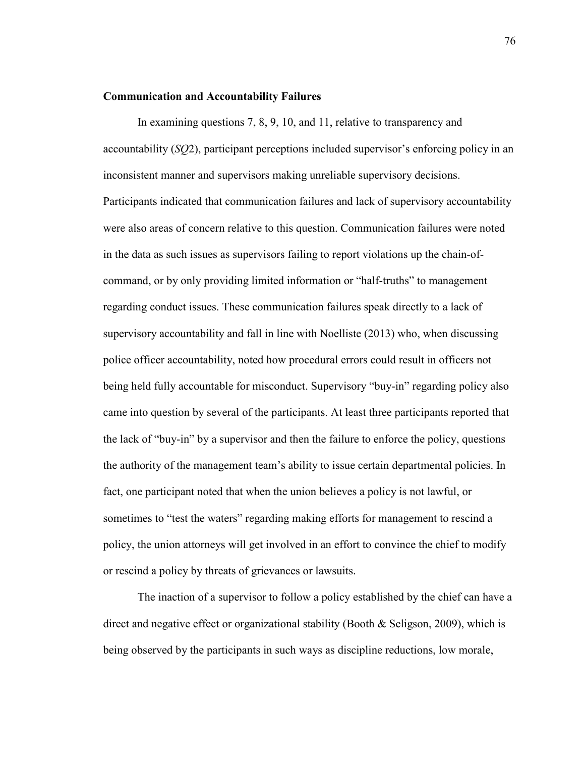### **Communication and Accountability Failures**

In examining questions 7, 8, 9, 10, and 11, relative to transparency and accountability (*SQ*2), participant perceptions included supervisor's enforcing policy in an inconsistent manner and supervisors making unreliable supervisory decisions. Participants indicated that communication failures and lack of supervisory accountability were also areas of concern relative to this question. Communication failures were noted in the data as such issues as supervisors failing to report violations up the chain-ofcommand, or by only providing limited information or "half-truths" to management regarding conduct issues. These communication failures speak directly to a lack of supervisory accountability and fall in line with Noelliste (2013) who, when discussing police officer accountability, noted how procedural errors could result in officers not being held fully accountable for misconduct. Supervisory "buy-in" regarding policy also came into question by several of the participants. At least three participants reported that the lack of "buy-in" by a supervisor and then the failure to enforce the policy, questions the authority of the management team's ability to issue certain departmental policies. In fact, one participant noted that when the union believes a policy is not lawful, or sometimes to "test the waters" regarding making efforts for management to rescind a policy, the union attorneys will get involved in an effort to convince the chief to modify or rescind a policy by threats of grievances or lawsuits.

The inaction of a supervisor to follow a policy established by the chief can have a direct and negative effect or organizational stability (Booth  $\&$  Seligson, 2009), which is being observed by the participants in such ways as discipline reductions, low morale,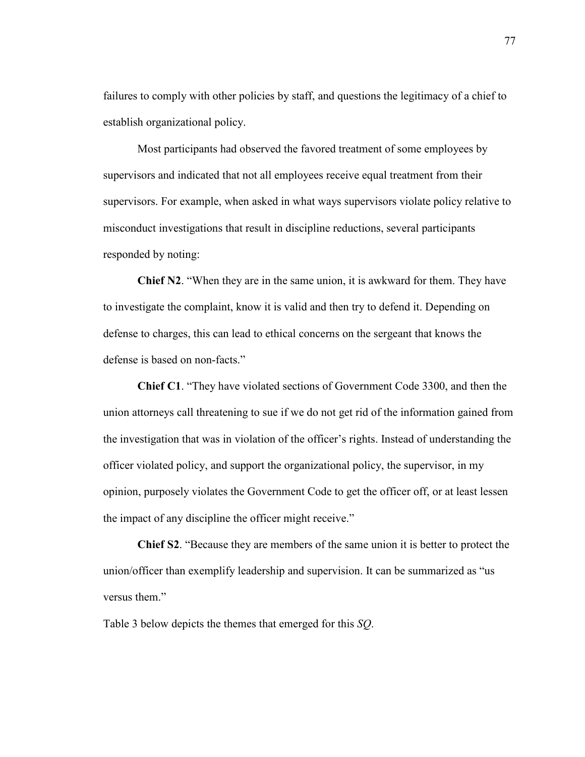failures to comply with other policies by staff, and questions the legitimacy of a chief to establish organizational policy.

Most participants had observed the favored treatment of some employees by supervisors and indicated that not all employees receive equal treatment from their supervisors. For example, when asked in what ways supervisors violate policy relative to misconduct investigations that result in discipline reductions, several participants responded by noting:

**Chief N2**. "When they are in the same union, it is awkward for them. They have to investigate the complaint, know it is valid and then try to defend it. Depending on defense to charges, this can lead to ethical concerns on the sergeant that knows the defense is based on non-facts."

**Chief C1**. "They have violated sections of Government Code 3300, and then the union attorneys call threatening to sue if we do not get rid of the information gained from the investigation that was in violation of the officer's rights. Instead of understanding the officer violated policy, and support the organizational policy, the supervisor, in my opinion, purposely violates the Government Code to get the officer off, or at least lessen the impact of any discipline the officer might receive."

**Chief S2**. "Because they are members of the same union it is better to protect the union/officer than exemplify leadership and supervision. It can be summarized as "us versus them."

Table 3 below depicts the themes that emerged for this *SQ*.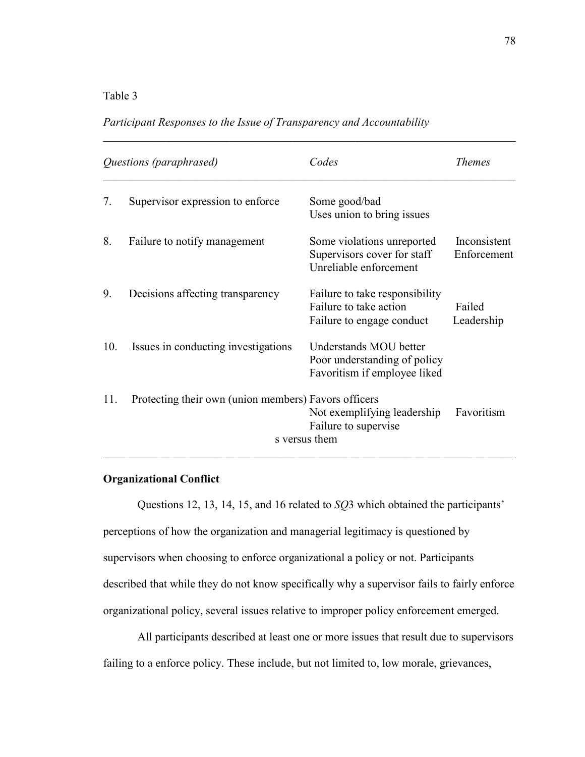# Table 3

# *Participant Responses to the Issue of Transparency and Accountability*

|     | Questions (paraphrased)                              | Codes                                                                                  | <i>Themes</i>               |
|-----|------------------------------------------------------|----------------------------------------------------------------------------------------|-----------------------------|
| 7.  | Supervisor expression to enforce                     | Some good/bad<br>Uses union to bring issues                                            |                             |
| 8.  | Failure to notify management                         | Some violations unreported<br>Supervisors cover for staff<br>Unreliable enforcement    | Inconsistent<br>Enforcement |
| 9.  | Decisions affecting transparency                     | Failure to take responsibility<br>Failure to take action<br>Failure to engage conduct  | Failed<br>Leadership        |
| 10. | Issues in conducting investigations                  | Understands MOU better<br>Poor understanding of policy<br>Favoritism if employee liked |                             |
| 11. | Protecting their own (union members) Favors officers | Not exemplifying leadership<br>Failure to supervise<br>s versus them                   | Favoritism                  |

 $\_$  , and the contribution of the contribution of  $\mathcal{L}_\mathcal{A}$  , and the contribution of  $\mathcal{L}_\mathcal{A}$ 

# **Organizational Conflict**

Questions 12, 13, 14, 15, and 16 related to *SQ*3 which obtained the participants' perceptions of how the organization and managerial legitimacy is questioned by supervisors when choosing to enforce organizational a policy or not. Participants described that while they do not know specifically why a supervisor fails to fairly enforce organizational policy, several issues relative to improper policy enforcement emerged.

All participants described at least one or more issues that result due to supervisors failing to a enforce policy. These include, but not limited to, low morale, grievances,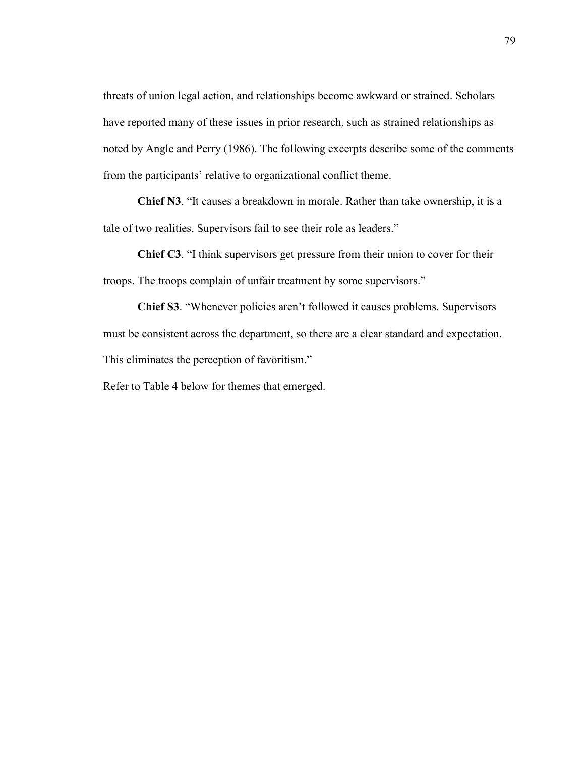threats of union legal action, and relationships become awkward or strained. Scholars have reported many of these issues in prior research, such as strained relationships as noted by Angle and Perry (1986). The following excerpts describe some of the comments from the participants' relative to organizational conflict theme.

**Chief N3**. "It causes a breakdown in morale. Rather than take ownership, it is a tale of two realities. Supervisors fail to see their role as leaders."

**Chief C3**. "I think supervisors get pressure from their union to cover for their troops. The troops complain of unfair treatment by some supervisors."

**Chief S3**. "Whenever policies aren't followed it causes problems. Supervisors must be consistent across the department, so there are a clear standard and expectation. This eliminates the perception of favoritism."

Refer to Table 4 below for themes that emerged.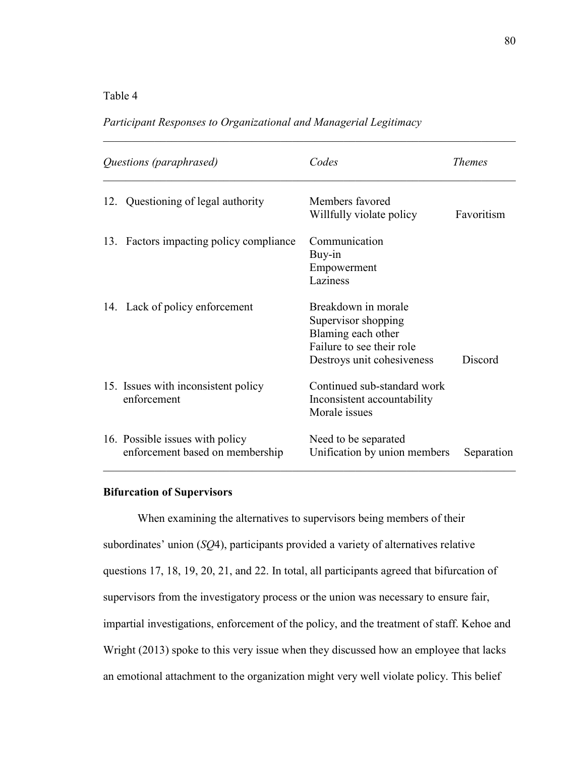# Table 4

# *Participant Responses to Organizational and Managerial Legitimacy*

|     | Questions (paraphrased)                                            | Codes                                                                                                                       | <i>Themes</i> |
|-----|--------------------------------------------------------------------|-----------------------------------------------------------------------------------------------------------------------------|---------------|
| 12. | Questioning of legal authority                                     | Members favored<br>Willfully violate policy                                                                                 | Favoritism    |
| 13. | Factors impacting policy compliance                                | Communication<br>Buy-in<br>Empowerment<br>Laziness                                                                          |               |
|     | 14. Lack of policy enforcement                                     | Breakdown in morale<br>Supervisor shopping<br>Blaming each other<br>Failure to see their role<br>Destroys unit cohesiveness | Discord       |
|     | 15. Issues with inconsistent policy<br>enforcement                 | Continued sub-standard work<br>Inconsistent accountability<br>Morale issues                                                 |               |
|     | 16. Possible issues with policy<br>enforcement based on membership | Need to be separated<br>Unification by union members                                                                        | Separation    |

 $\_$  , and the contribution of the contribution of  $\mathcal{L}_\mathcal{A}$  , and the contribution of  $\mathcal{L}_\mathcal{A}$ 

# **Bifurcation of Supervisors**

When examining the alternatives to supervisors being members of their subordinates' union (*SQ*4), participants provided a variety of alternatives relative questions 17, 18, 19, 20, 21, and 22. In total, all participants agreed that bifurcation of supervisors from the investigatory process or the union was necessary to ensure fair, impartial investigations, enforcement of the policy, and the treatment of staff. Kehoe and Wright (2013) spoke to this very issue when they discussed how an employee that lacks an emotional attachment to the organization might very well violate policy. This belief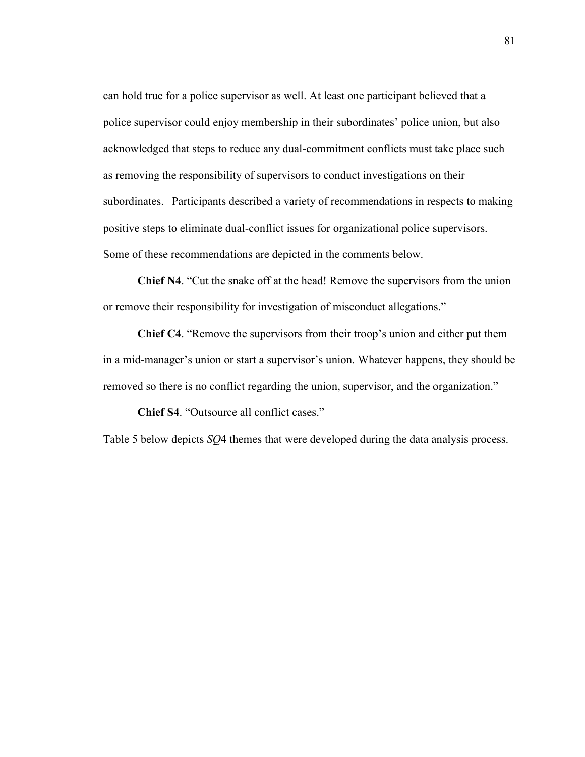can hold true for a police supervisor as well. At least one participant believed that a police supervisor could enjoy membership in their subordinates' police union, but also acknowledged that steps to reduce any dual-commitment conflicts must take place such as removing the responsibility of supervisors to conduct investigations on their subordinates. Participants described a variety of recommendations in respects to making positive steps to eliminate dual-conflict issues for organizational police supervisors. Some of these recommendations are depicted in the comments below.

**Chief N4**. "Cut the snake off at the head! Remove the supervisors from the union or remove their responsibility for investigation of misconduct allegations."

**Chief C4**. "Remove the supervisors from their troop's union and either put them in a mid-manager's union or start a supervisor's union. Whatever happens, they should be removed so there is no conflict regarding the union, supervisor, and the organization."

**Chief S4**. "Outsource all conflict cases."

Table 5 below depicts *SQ*4 themes that were developed during the data analysis process.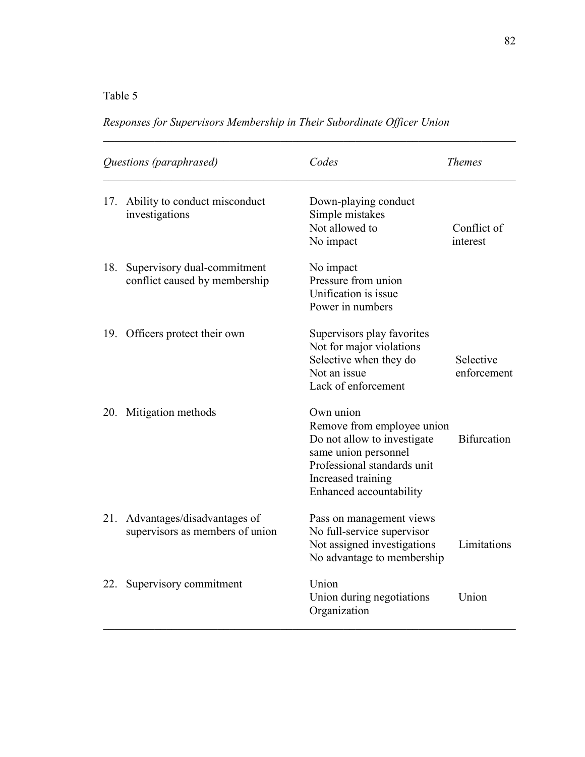# Table 5

| Questions (paraphrased) |                                                                | Codes                                                                                                                                                                          | <b>Themes</b>            |
|-------------------------|----------------------------------------------------------------|--------------------------------------------------------------------------------------------------------------------------------------------------------------------------------|--------------------------|
|                         | 17. Ability to conduct misconduct<br>investigations            | Down-playing conduct<br>Simple mistakes<br>Not allowed to<br>No impact                                                                                                         | Conflict of<br>interest  |
| 18.                     | Supervisory dual-commitment<br>conflict caused by membership   | No impact<br>Pressure from union<br>Unification is issue<br>Power in numbers                                                                                                   |                          |
|                         | 19. Officers protect their own                                 | Supervisors play favorites<br>Not for major violations<br>Selective when they do<br>Not an issue<br>Lack of enforcement                                                        | Selective<br>enforcement |
| 20.                     | Mitigation methods                                             | Own union<br>Remove from employee union<br>Do not allow to investigate<br>same union personnel<br>Professional standards unit<br>Increased training<br>Enhanced accountability | <b>Bifurcation</b>       |
| 21.                     | Advantages/disadvantages of<br>supervisors as members of union | Pass on management views<br>No full-service supervisor<br>Not assigned investigations<br>No advantage to membership                                                            | Limitations              |
| 22.                     | Supervisory commitment                                         | Union<br>Union during negotiations<br>Organization                                                                                                                             | Union                    |

*Responses for Supervisors Membership in Their Subordinate Officer Union* 

 $\_$  , and the contribution of the contribution of  $\mathcal{L}_\mathcal{A}$  , and the contribution of  $\mathcal{L}_\mathcal{A}$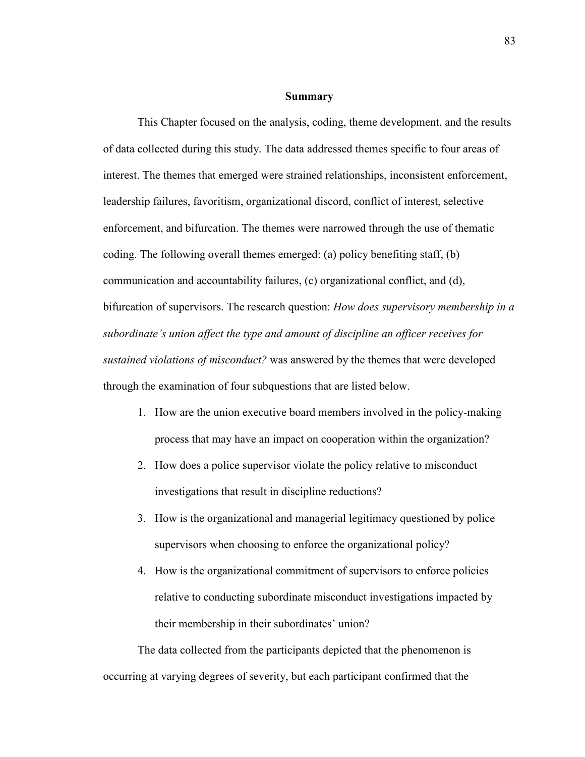### **Summary**

This Chapter focused on the analysis, coding, theme development, and the results of data collected during this study. The data addressed themes specific to four areas of interest. The themes that emerged were strained relationships, inconsistent enforcement, leadership failures, favoritism, organizational discord, conflict of interest, selective enforcement, and bifurcation. The themes were narrowed through the use of thematic coding. The following overall themes emerged: (a) policy benefiting staff, (b) communication and accountability failures, (c) organizational conflict, and (d), bifurcation of supervisors. The research question: *How does supervisory membership in a subordinate's union affect the type and amount of discipline an officer receives for sustained violations of misconduct?* was answered by the themes that were developed through the examination of four subquestions that are listed below.

- 1. How are the union executive board members involved in the policy-making process that may have an impact on cooperation within the organization?
- 2. How does a police supervisor violate the policy relative to misconduct investigations that result in discipline reductions?
- 3. How is the organizational and managerial legitimacy questioned by police supervisors when choosing to enforce the organizational policy?
- 4. How is the organizational commitment of supervisors to enforce policies relative to conducting subordinate misconduct investigations impacted by their membership in their subordinates' union?

The data collected from the participants depicted that the phenomenon is occurring at varying degrees of severity, but each participant confirmed that the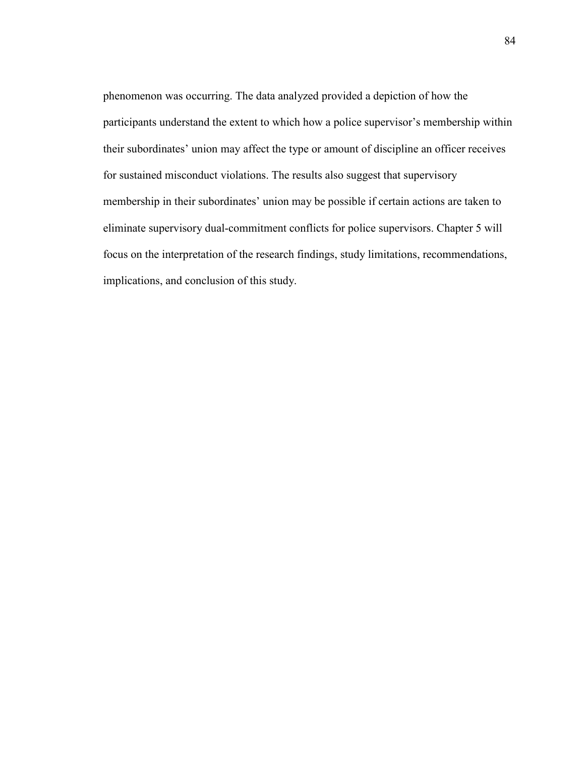phenomenon was occurring. The data analyzed provided a depiction of how the participants understand the extent to which how a police supervisor's membership within their subordinates' union may affect the type or amount of discipline an officer receives for sustained misconduct violations. The results also suggest that supervisory membership in their subordinates' union may be possible if certain actions are taken to eliminate supervisory dual-commitment conflicts for police supervisors. Chapter 5 will focus on the interpretation of the research findings, study limitations, recommendations, implications, and conclusion of this study.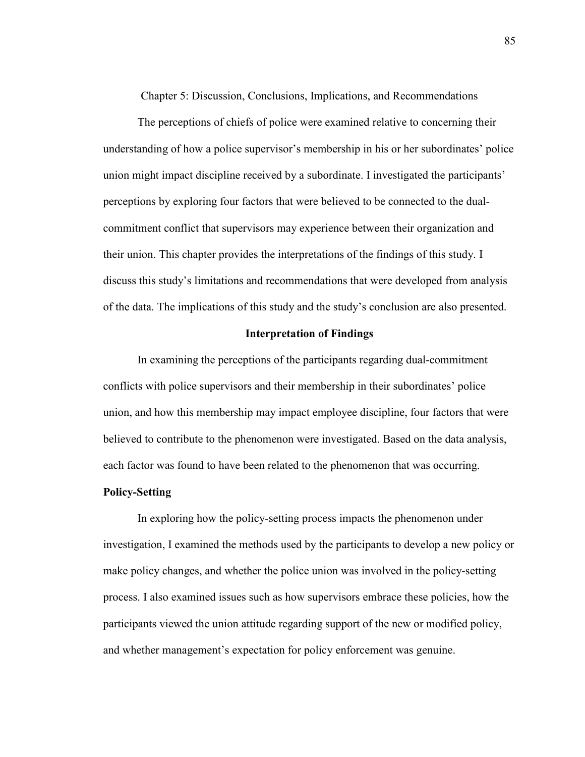Chapter 5: Discussion, Conclusions, Implications, and Recommendations

The perceptions of chiefs of police were examined relative to concerning their understanding of how a police supervisor's membership in his or her subordinates' police union might impact discipline received by a subordinate. I investigated the participants' perceptions by exploring four factors that were believed to be connected to the dualcommitment conflict that supervisors may experience between their organization and their union. This chapter provides the interpretations of the findings of this study. I discuss this study's limitations and recommendations that were developed from analysis of the data. The implications of this study and the study's conclusion are also presented.

# **Interpretation of Findings**

In examining the perceptions of the participants regarding dual-commitment conflicts with police supervisors and their membership in their subordinates' police union, and how this membership may impact employee discipline, four factors that were believed to contribute to the phenomenon were investigated. Based on the data analysis, each factor was found to have been related to the phenomenon that was occurring.

# **Policy-Setting**

In exploring how the policy-setting process impacts the phenomenon under investigation, I examined the methods used by the participants to develop a new policy or make policy changes, and whether the police union was involved in the policy-setting process. I also examined issues such as how supervisors embrace these policies, how the participants viewed the union attitude regarding support of the new or modified policy, and whether management's expectation for policy enforcement was genuine.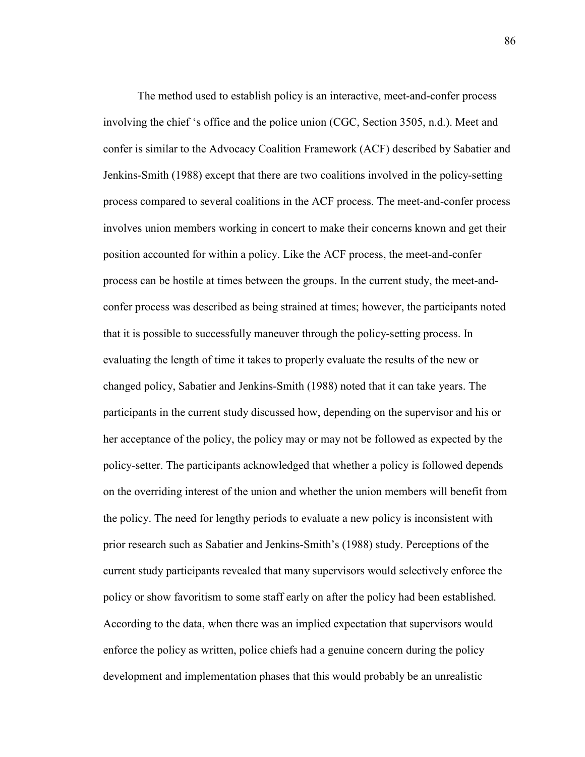The method used to establish policy is an interactive, meet-and-confer process involving the chief 's office and the police union (CGC, Section 3505, n.d.). Meet and confer is similar to the Advocacy Coalition Framework (ACF) described by Sabatier and Jenkins-Smith (1988) except that there are two coalitions involved in the policy-setting process compared to several coalitions in the ACF process. The meet-and-confer process involves union members working in concert to make their concerns known and get their position accounted for within a policy. Like the ACF process, the meet-and-confer process can be hostile at times between the groups. In the current study, the meet-andconfer process was described as being strained at times; however, the participants noted that it is possible to successfully maneuver through the policy-setting process. In evaluating the length of time it takes to properly evaluate the results of the new or changed policy, Sabatier and Jenkins-Smith (1988) noted that it can take years. The participants in the current study discussed how, depending on the supervisor and his or her acceptance of the policy, the policy may or may not be followed as expected by the policy-setter. The participants acknowledged that whether a policy is followed depends on the overriding interest of the union and whether the union members will benefit from the policy. The need for lengthy periods to evaluate a new policy is inconsistent with prior research such as Sabatier and Jenkins-Smith's (1988) study. Perceptions of the current study participants revealed that many supervisors would selectively enforce the policy or show favoritism to some staff early on after the policy had been established. According to the data, when there was an implied expectation that supervisors would enforce the policy as written, police chiefs had a genuine concern during the policy development and implementation phases that this would probably be an unrealistic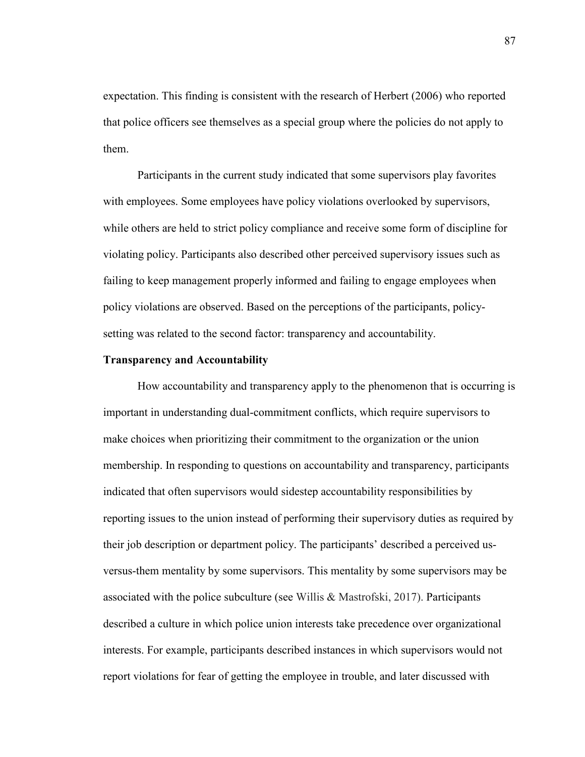expectation. This finding is consistent with the research of Herbert (2006) who reported that police officers see themselves as a special group where the policies do not apply to them.

Participants in the current study indicated that some supervisors play favorites with employees. Some employees have policy violations overlooked by supervisors, while others are held to strict policy compliance and receive some form of discipline for violating policy. Participants also described other perceived supervisory issues such as failing to keep management properly informed and failing to engage employees when policy violations are observed. Based on the perceptions of the participants, policysetting was related to the second factor: transparency and accountability.

# **Transparency and Accountability**

How accountability and transparency apply to the phenomenon that is occurring is important in understanding dual-commitment conflicts, which require supervisors to make choices when prioritizing their commitment to the organization or the union membership. In responding to questions on accountability and transparency, participants indicated that often supervisors would sidestep accountability responsibilities by reporting issues to the union instead of performing their supervisory duties as required by their job description or department policy. The participants' described a perceived usversus-them mentality by some supervisors. This mentality by some supervisors may be associated with the police subculture (see Willis & Mastrofski, 2017). Participants described a culture in which police union interests take precedence over organizational interests. For example, participants described instances in which supervisors would not report violations for fear of getting the employee in trouble, and later discussed with

87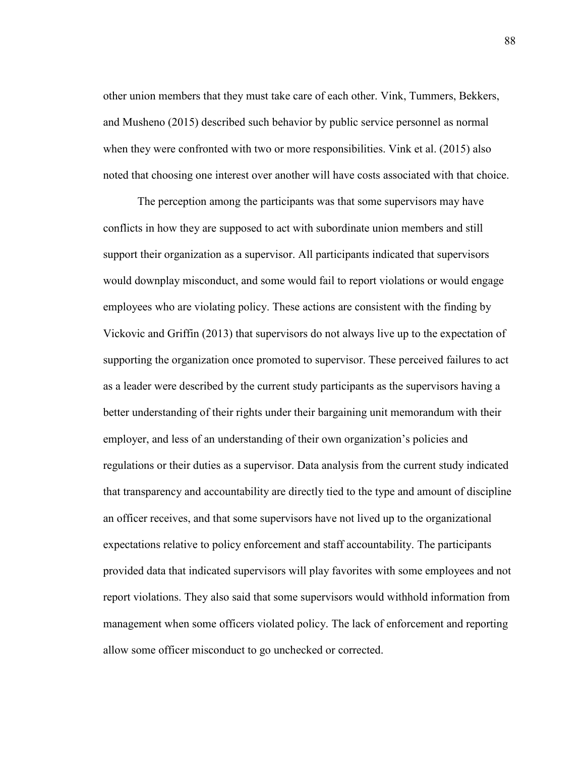other union members that they must take care of each other. Vink, Tummers, Bekkers, and Musheno (2015) described such behavior by public service personnel as normal when they were confronted with two or more responsibilities. Vink et al. (2015) also noted that choosing one interest over another will have costs associated with that choice.

The perception among the participants was that some supervisors may have conflicts in how they are supposed to act with subordinate union members and still support their organization as a supervisor. All participants indicated that supervisors would downplay misconduct, and some would fail to report violations or would engage employees who are violating policy. These actions are consistent with the finding by Vickovic and Griffin (2013) that supervisors do not always live up to the expectation of supporting the organization once promoted to supervisor. These perceived failures to act as a leader were described by the current study participants as the supervisors having a better understanding of their rights under their bargaining unit memorandum with their employer, and less of an understanding of their own organization's policies and regulations or their duties as a supervisor. Data analysis from the current study indicated that transparency and accountability are directly tied to the type and amount of discipline an officer receives, and that some supervisors have not lived up to the organizational expectations relative to policy enforcement and staff accountability. The participants provided data that indicated supervisors will play favorites with some employees and not report violations. They also said that some supervisors would withhold information from management when some officers violated policy. The lack of enforcement and reporting allow some officer misconduct to go unchecked or corrected.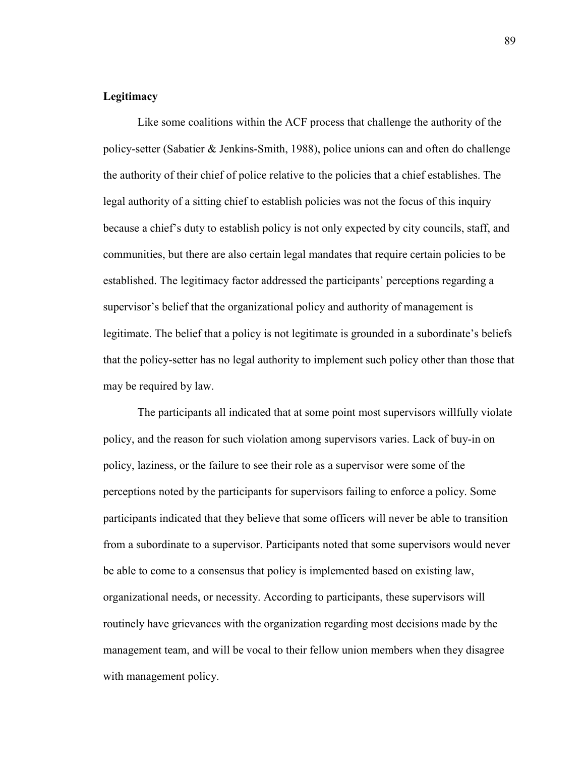# **Legitimacy**

Like some coalitions within the ACF process that challenge the authority of the policy-setter (Sabatier & Jenkins-Smith, 1988), police unions can and often do challenge the authority of their chief of police relative to the policies that a chief establishes. The legal authority of a sitting chief to establish policies was not the focus of this inquiry because a chief's duty to establish policy is not only expected by city councils, staff, and communities, but there are also certain legal mandates that require certain policies to be established. The legitimacy factor addressed the participants' perceptions regarding a supervisor's belief that the organizational policy and authority of management is legitimate. The belief that a policy is not legitimate is grounded in a subordinate's beliefs that the policy-setter has no legal authority to implement such policy other than those that may be required by law.

The participants all indicated that at some point most supervisors willfully violate policy, and the reason for such violation among supervisors varies. Lack of buy-in on policy, laziness, or the failure to see their role as a supervisor were some of the perceptions noted by the participants for supervisors failing to enforce a policy. Some participants indicated that they believe that some officers will never be able to transition from a subordinate to a supervisor. Participants noted that some supervisors would never be able to come to a consensus that policy is implemented based on existing law, organizational needs, or necessity. According to participants, these supervisors will routinely have grievances with the organization regarding most decisions made by the management team, and will be vocal to their fellow union members when they disagree with management policy.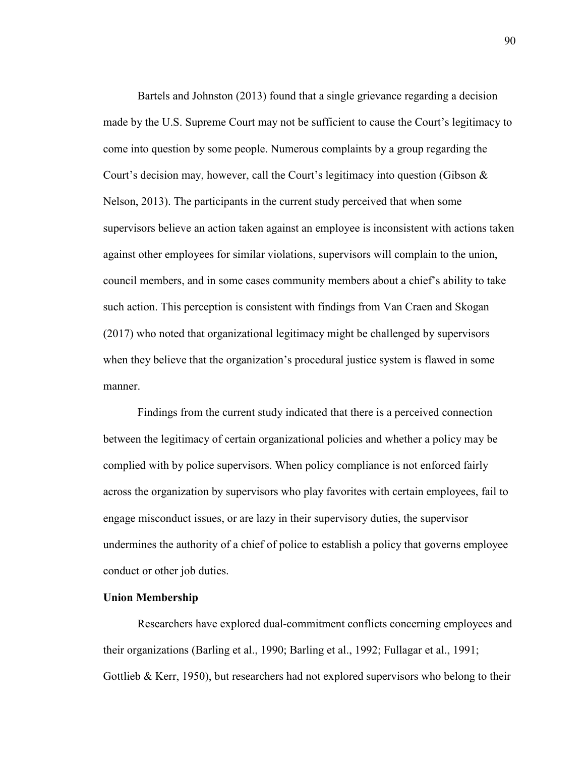Bartels and Johnston (2013) found that a single grievance regarding a decision made by the U.S. Supreme Court may not be sufficient to cause the Court's legitimacy to come into question by some people. Numerous complaints by a group regarding the Court's decision may, however, call the Court's legitimacy into question (Gibson & Nelson, 2013). The participants in the current study perceived that when some supervisors believe an action taken against an employee is inconsistent with actions taken against other employees for similar violations, supervisors will complain to the union, council members, and in some cases community members about a chief's ability to take such action. This perception is consistent with findings from Van Craen and Skogan (2017) who noted that organizational legitimacy might be challenged by supervisors when they believe that the organization's procedural justice system is flawed in some manner.

Findings from the current study indicated that there is a perceived connection between the legitimacy of certain organizational policies and whether a policy may be complied with by police supervisors. When policy compliance is not enforced fairly across the organization by supervisors who play favorites with certain employees, fail to engage misconduct issues, or are lazy in their supervisory duties, the supervisor undermines the authority of a chief of police to establish a policy that governs employee conduct or other job duties.

# **Union Membership**

Researchers have explored dual-commitment conflicts concerning employees and their organizations (Barling et al., 1990; Barling et al., 1992; Fullagar et al., 1991; Gottlieb  $& Kerr$ , 1950), but researchers had not explored supervisors who belong to their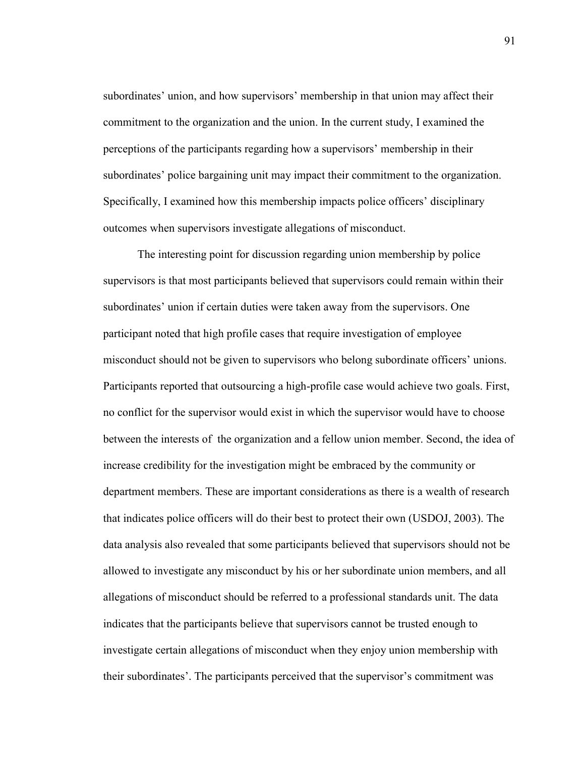subordinates' union, and how supervisors' membership in that union may affect their commitment to the organization and the union. In the current study, I examined the perceptions of the participants regarding how a supervisors' membership in their subordinates' police bargaining unit may impact their commitment to the organization. Specifically, I examined how this membership impacts police officers' disciplinary outcomes when supervisors investigate allegations of misconduct.

The interesting point for discussion regarding union membership by police supervisors is that most participants believed that supervisors could remain within their subordinates' union if certain duties were taken away from the supervisors. One participant noted that high profile cases that require investigation of employee misconduct should not be given to supervisors who belong subordinate officers' unions. Participants reported that outsourcing a high-profile case would achieve two goals. First, no conflict for the supervisor would exist in which the supervisor would have to choose between the interests of the organization and a fellow union member. Second, the idea of increase credibility for the investigation might be embraced by the community or department members. These are important considerations as there is a wealth of research that indicates police officers will do their best to protect their own (USDOJ, 2003). The data analysis also revealed that some participants believed that supervisors should not be allowed to investigate any misconduct by his or her subordinate union members, and all allegations of misconduct should be referred to a professional standards unit. The data indicates that the participants believe that supervisors cannot be trusted enough to investigate certain allegations of misconduct when they enjoy union membership with their subordinates'. The participants perceived that the supervisor's commitment was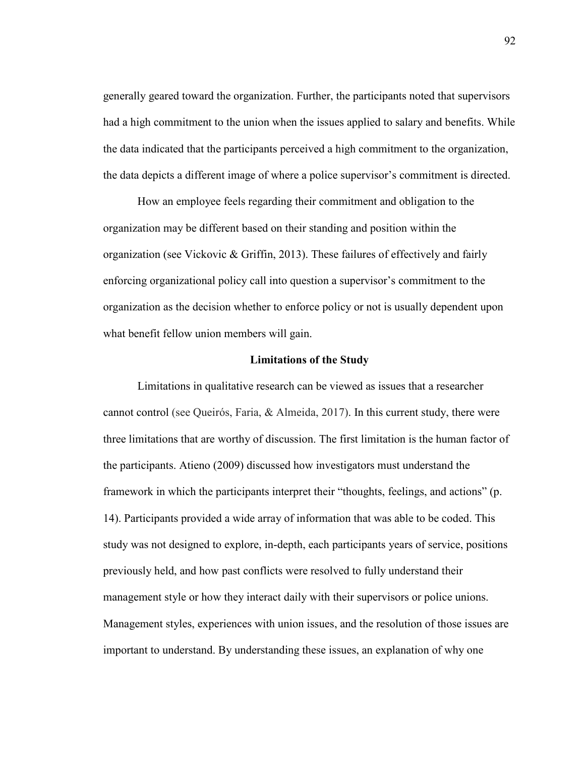generally geared toward the organization. Further, the participants noted that supervisors had a high commitment to the union when the issues applied to salary and benefits. While the data indicated that the participants perceived a high commitment to the organization, the data depicts a different image of where a police supervisor's commitment is directed.

How an employee feels regarding their commitment and obligation to the organization may be different based on their standing and position within the organization (see Vickovic & Griffin, 2013). These failures of effectively and fairly enforcing organizational policy call into question a supervisor's commitment to the organization as the decision whether to enforce policy or not is usually dependent upon what benefit fellow union members will gain.

### **Limitations of the Study**

Limitations in qualitative research can be viewed as issues that a researcher cannot control (see Queirós, Faria, & Almeida, 2017). In this current study, there were three limitations that are worthy of discussion. The first limitation is the human factor of the participants. Atieno (2009) discussed how investigators must understand the framework in which the participants interpret their "thoughts, feelings, and actions" (p. 14). Participants provided a wide array of information that was able to be coded. This study was not designed to explore, in-depth, each participants years of service, positions previously held, and how past conflicts were resolved to fully understand their management style or how they interact daily with their supervisors or police unions. Management styles, experiences with union issues, and the resolution of those issues are important to understand. By understanding these issues, an explanation of why one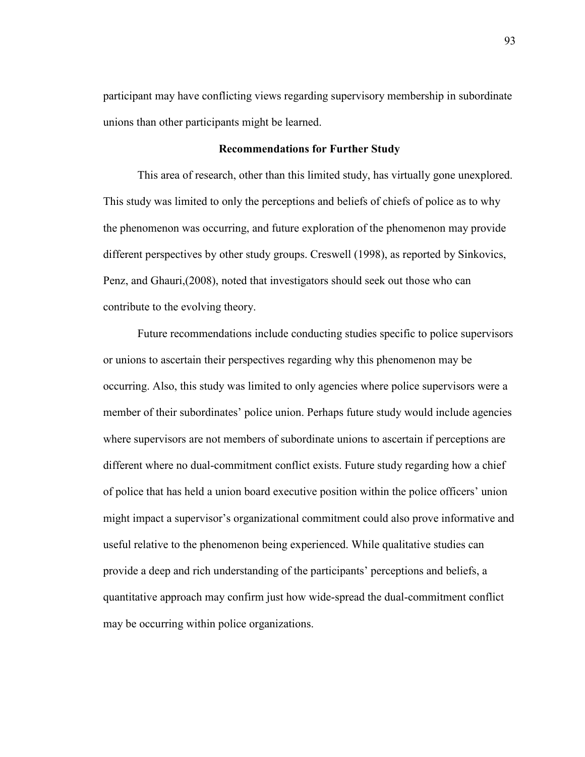participant may have conflicting views regarding supervisory membership in subordinate unions than other participants might be learned.

# **Recommendations for Further Study**

This area of research, other than this limited study, has virtually gone unexplored. This study was limited to only the perceptions and beliefs of chiefs of police as to why the phenomenon was occurring, and future exploration of the phenomenon may provide different perspectives by other study groups. Creswell (1998), as reported by Sinkovics, Penz, and Ghauri,(2008), noted that investigators should seek out those who can contribute to the evolving theory.

Future recommendations include conducting studies specific to police supervisors or unions to ascertain their perspectives regarding why this phenomenon may be occurring. Also, this study was limited to only agencies where police supervisors were a member of their subordinates' police union. Perhaps future study would include agencies where supervisors are not members of subordinate unions to ascertain if perceptions are different where no dual-commitment conflict exists. Future study regarding how a chief of police that has held a union board executive position within the police officers' union might impact a supervisor's organizational commitment could also prove informative and useful relative to the phenomenon being experienced. While qualitative studies can provide a deep and rich understanding of the participants' perceptions and beliefs, a quantitative approach may confirm just how wide-spread the dual-commitment conflict may be occurring within police organizations.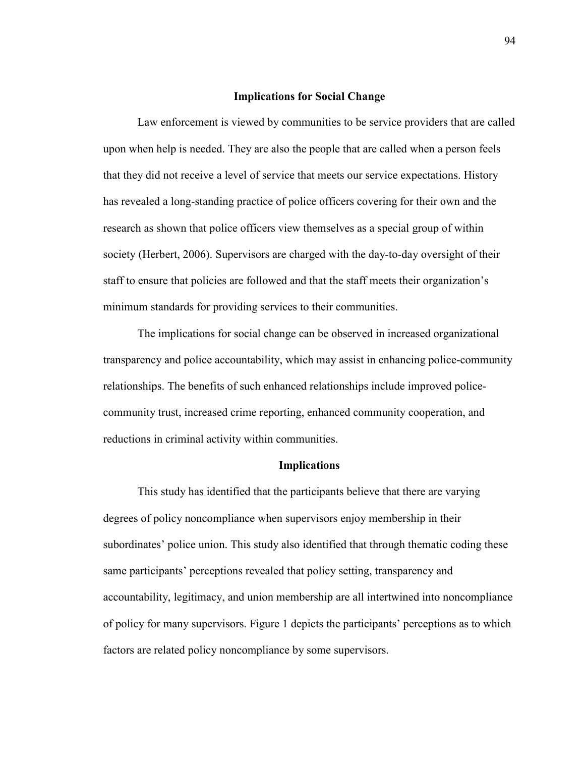### **Implications for Social Change**

Law enforcement is viewed by communities to be service providers that are called upon when help is needed. They are also the people that are called when a person feels that they did not receive a level of service that meets our service expectations. History has revealed a long-standing practice of police officers covering for their own and the research as shown that police officers view themselves as a special group of within society (Herbert, 2006). Supervisors are charged with the day-to-day oversight of their staff to ensure that policies are followed and that the staff meets their organization's minimum standards for providing services to their communities.

The implications for social change can be observed in increased organizational transparency and police accountability, which may assist in enhancing police-community relationships. The benefits of such enhanced relationships include improved policecommunity trust, increased crime reporting, enhanced community cooperation, and reductions in criminal activity within communities.

### **Implications**

This study has identified that the participants believe that there are varying degrees of policy noncompliance when supervisors enjoy membership in their subordinates' police union. This study also identified that through thematic coding these same participants' perceptions revealed that policy setting, transparency and accountability, legitimacy, and union membership are all intertwined into noncompliance of policy for many supervisors. Figure 1 depicts the participants' perceptions as to which factors are related policy noncompliance by some supervisors.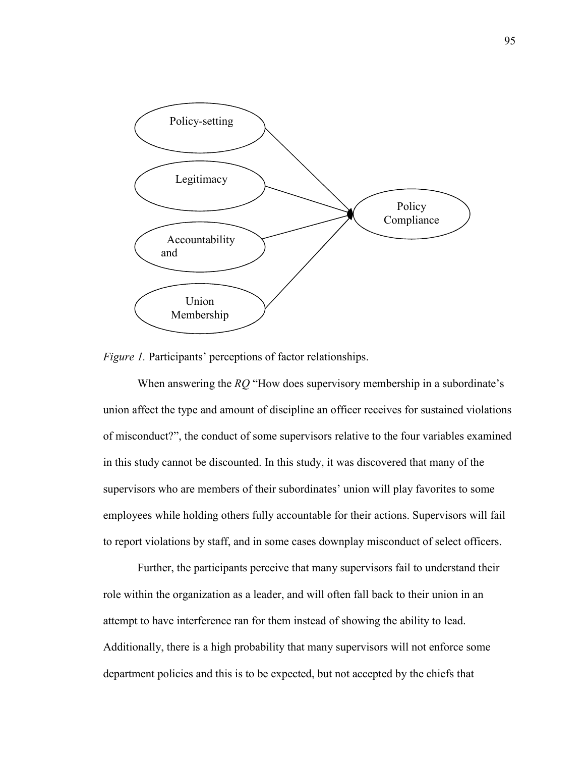

*Figure 1.* Participants' perceptions of factor relationships.

When answering the *RQ* "How does supervisory membership in a subordinate's union affect the type and amount of discipline an officer receives for sustained violations of misconduct?", the conduct of some supervisors relative to the four variables examined in this study cannot be discounted. In this study, it was discovered that many of the supervisors who are members of their subordinates' union will play favorites to some employees while holding others fully accountable for their actions. Supervisors will fail to report violations by staff, and in some cases downplay misconduct of select officers.

Further, the participants perceive that many supervisors fail to understand their role within the organization as a leader, and will often fall back to their union in an attempt to have interference ran for them instead of showing the ability to lead. Additionally, there is a high probability that many supervisors will not enforce some department policies and this is to be expected, but not accepted by the chiefs that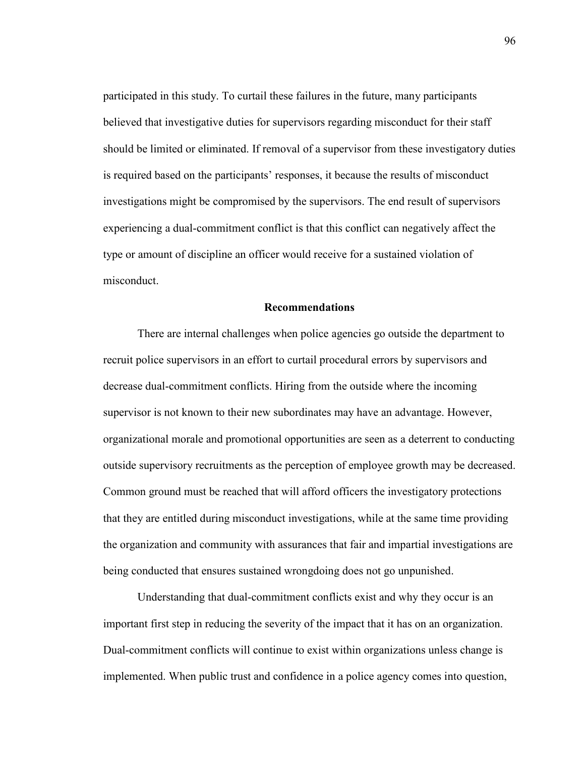participated in this study. To curtail these failures in the future, many participants believed that investigative duties for supervisors regarding misconduct for their staff should be limited or eliminated. If removal of a supervisor from these investigatory duties is required based on the participants' responses, it because the results of misconduct investigations might be compromised by the supervisors. The end result of supervisors experiencing a dual-commitment conflict is that this conflict can negatively affect the type or amount of discipline an officer would receive for a sustained violation of misconduct.

#### **Recommendations**

There are internal challenges when police agencies go outside the department to recruit police supervisors in an effort to curtail procedural errors by supervisors and decrease dual-commitment conflicts. Hiring from the outside where the incoming supervisor is not known to their new subordinates may have an advantage. However, organizational morale and promotional opportunities are seen as a deterrent to conducting outside supervisory recruitments as the perception of employee growth may be decreased. Common ground must be reached that will afford officers the investigatory protections that they are entitled during misconduct investigations, while at the same time providing the organization and community with assurances that fair and impartial investigations are being conducted that ensures sustained wrongdoing does not go unpunished.

Understanding that dual-commitment conflicts exist and why they occur is an important first step in reducing the severity of the impact that it has on an organization. Dual-commitment conflicts will continue to exist within organizations unless change is implemented. When public trust and confidence in a police agency comes into question,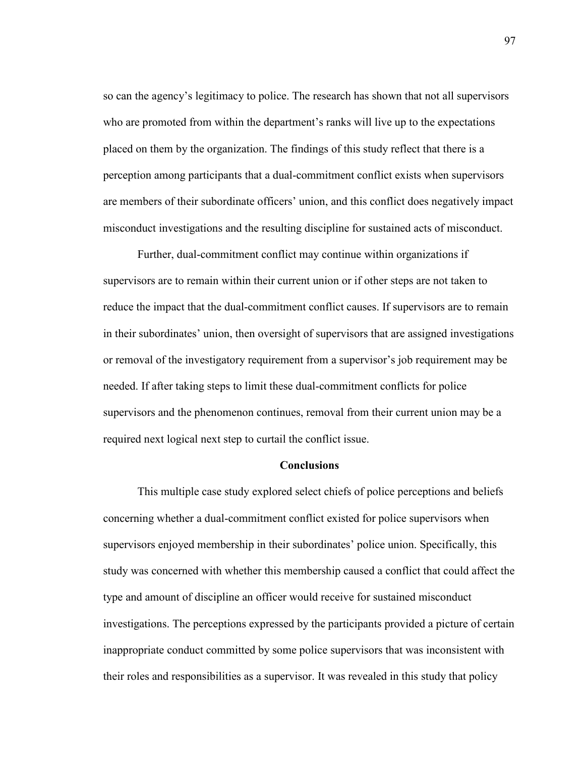so can the agency's legitimacy to police. The research has shown that not all supervisors who are promoted from within the department's ranks will live up to the expectations placed on them by the organization. The findings of this study reflect that there is a perception among participants that a dual-commitment conflict exists when supervisors are members of their subordinate officers' union, and this conflict does negatively impact misconduct investigations and the resulting discipline for sustained acts of misconduct.

Further, dual-commitment conflict may continue within organizations if supervisors are to remain within their current union or if other steps are not taken to reduce the impact that the dual-commitment conflict causes. If supervisors are to remain in their subordinates' union, then oversight of supervisors that are assigned investigations or removal of the investigatory requirement from a supervisor's job requirement may be needed. If after taking steps to limit these dual-commitment conflicts for police supervisors and the phenomenon continues, removal from their current union may be a required next logical next step to curtail the conflict issue.

#### **Conclusions**

This multiple case study explored select chiefs of police perceptions and beliefs concerning whether a dual-commitment conflict existed for police supervisors when supervisors enjoyed membership in their subordinates' police union. Specifically, this study was concerned with whether this membership caused a conflict that could affect the type and amount of discipline an officer would receive for sustained misconduct investigations. The perceptions expressed by the participants provided a picture of certain inappropriate conduct committed by some police supervisors that was inconsistent with their roles and responsibilities as a supervisor. It was revealed in this study that policy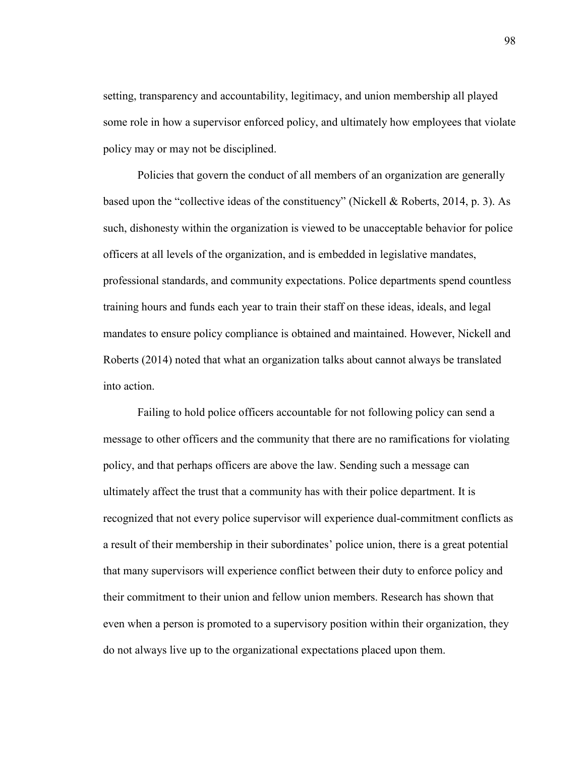setting, transparency and accountability, legitimacy, and union membership all played some role in how a supervisor enforced policy, and ultimately how employees that violate policy may or may not be disciplined.

Policies that govern the conduct of all members of an organization are generally based upon the "collective ideas of the constituency" (Nickell & Roberts, 2014, p. 3). As such, dishonesty within the organization is viewed to be unacceptable behavior for police officers at all levels of the organization, and is embedded in legislative mandates, professional standards, and community expectations. Police departments spend countless training hours and funds each year to train their staff on these ideas, ideals, and legal mandates to ensure policy compliance is obtained and maintained. However, Nickell and Roberts (2014) noted that what an organization talks about cannot always be translated into action.

Failing to hold police officers accountable for not following policy can send a message to other officers and the community that there are no ramifications for violating policy, and that perhaps officers are above the law. Sending such a message can ultimately affect the trust that a community has with their police department. It is recognized that not every police supervisor will experience dual-commitment conflicts as a result of their membership in their subordinates' police union, there is a great potential that many supervisors will experience conflict between their duty to enforce policy and their commitment to their union and fellow union members. Research has shown that even when a person is promoted to a supervisory position within their organization, they do not always live up to the organizational expectations placed upon them.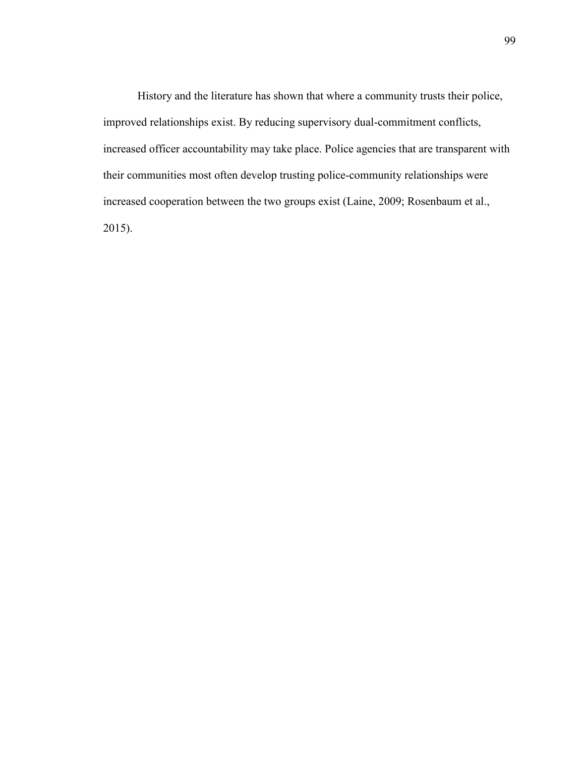History and the literature has shown that where a community trusts their police, improved relationships exist. By reducing supervisory dual-commitment conflicts, increased officer accountability may take place. Police agencies that are transparent with their communities most often develop trusting police-community relationships were increased cooperation between the two groups exist (Laine, 2009; Rosenbaum et al., 2015).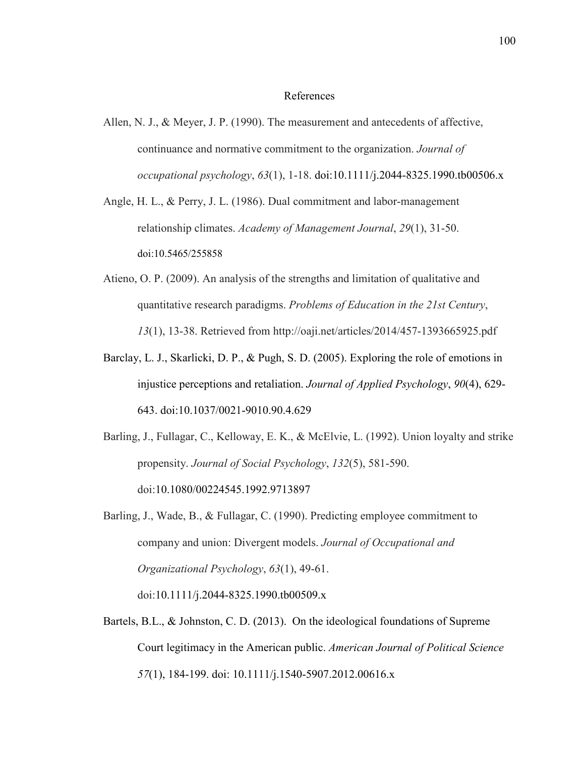#### References

- Allen, N. J., & Meyer, J. P. (1990). The measurement and antecedents of affective, continuance and normative commitment to the organization. *Journal of occupational psychology*, *63*(1), 1-18. doi:10.1111/j.2044-8325.1990.tb00506.x
- Angle, H. L., & Perry, J. L. (1986). Dual commitment and labor-management relationship climates. *Academy of Management Journal*, *29*(1), 31-50. doi:10.5465/255858
- Atieno, O. P. (2009). An analysis of the strengths and limitation of qualitative and quantitative research paradigms. *Problems of Education in the 21st Century*, *13*(1), 13-38. Retrieved from http://oaji.net/articles/2014/457-1393665925.pdf
- Barclay, L. J., Skarlicki, D. P., & Pugh, S. D. (2005). Exploring the role of emotions in injustice perceptions and retaliation. *Journal of Applied Psychology*, *90*(4), 629- 643. doi:10.1037/0021-9010.90.4.629
- Barling, J., Fullagar, C., Kelloway, E. K., & McElvie, L. (1992). Union loyalty and strike propensity. *Journal of Social Psychology*, *132*(5), 581-590. doi:10.1080/00224545.1992.9713897
- Barling, J., Wade, B., & Fullagar, C. (1990). Predicting employee commitment to company and union: Divergent models. *Journal of Occupational and Organizational Psychology*, *63*(1), 49-61. doi:10.1111/j.2044-8325.1990.tb00509.x
- Bartels, B.L., & Johnston, C. D. (2013). On the ideological foundations of Supreme Court legitimacy in the American public. *American Journal of Political Science 57*(1), 184-199. doi: 10.1111/j.1540-5907.2012.00616.x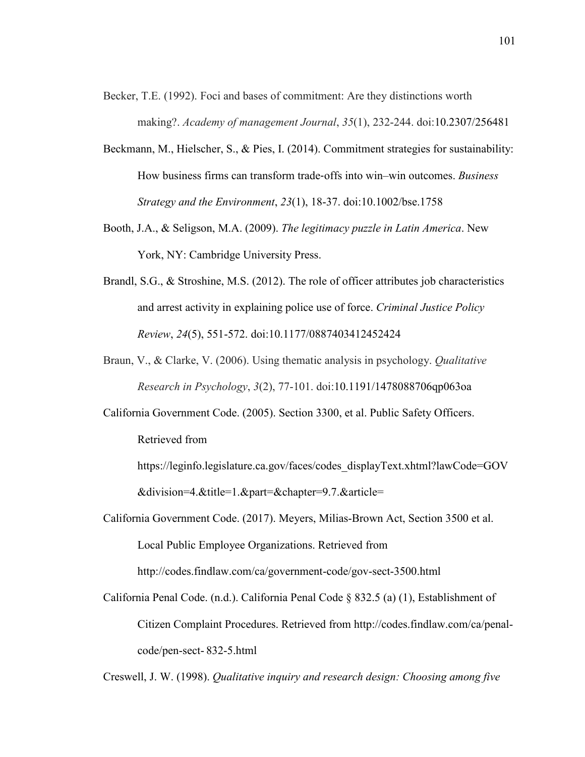- Becker, T.E. (1992). Foci and bases of commitment: Are they distinctions worth making?. *Academy of management Journal*, *35*(1), 232-244. doi:10.2307/256481
- Beckmann, M., Hielscher, S., & Pies, I. (2014). Commitment strategies for sustainability: How business firms can transform trade‐offs into win–win outcomes. *Business Strategy and the Environment*, *23*(1), 18-37. doi:10.1002/bse.1758
- Booth, J.A., & Seligson, M.A. (2009). *The legitimacy puzzle in Latin America*. New York, NY: Cambridge University Press.
- Brandl, S.G., & Stroshine, M.S. (2012). The role of officer attributes job characteristics and arrest activity in explaining police use of force. *Criminal Justice Policy Review*, *24*(5), 551-572. doi:10.1177/0887403412452424
- Braun, V., & Clarke, V. (2006). Using thematic analysis in psychology. *Qualitative Research in Psychology*, *3*(2), 77-101. doi:10.1191/1478088706qp063oa
- California Government Code. (2005). Section 3300, et al. Public Safety Officers. Retrieved from
	- https://leginfo.legislature.ca.gov/faces/codes\_displayText.xhtml?lawCode=GOV &division=4.&title=1.&part=&chapter=9.7.&article=
- California Government Code. (2017). Meyers, Milias-Brown Act, Section 3500 et al. Local Public Employee Organizations. Retrieved from

http://codes.findlaw.com/ca/government-code/gov-sect-3500.html

California Penal Code. (n.d.). California Penal Code § 832.5 (a) (1), Establishment of Citizen Complaint Procedures. Retrieved from http://codes.findlaw.com/ca/penalcode/pen-sect- 832-5.html

Creswell, J. W. (1998). *Qualitative inquiry and research design: Choosing among five*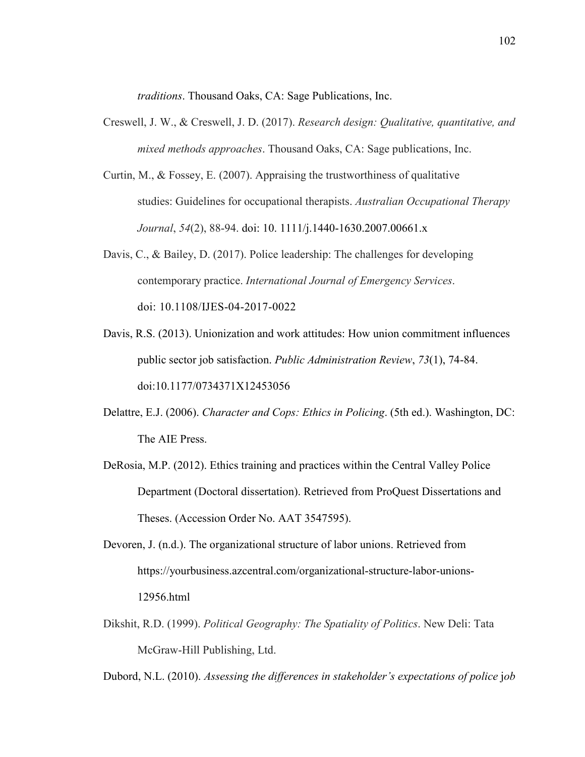*traditions*. Thousand Oaks, CA: Sage Publications, Inc.

- Creswell, J. W., & Creswell, J. D. (2017). *Research design: Qualitative, quantitative, and mixed methods approaches*. Thousand Oaks, CA: Sage publications, Inc.
- Curtin, M., & Fossey, E. (2007). Appraising the trustworthiness of qualitative studies: Guidelines for occupational therapists. *Australian Occupational Therapy Journal*, *54*(2), 88-94. doi: 10. 1111/j.1440-1630.2007.00661.x
- Davis, C., & Bailey, D. (2017). Police leadership: The challenges for developing contemporary practice. *International Journal of Emergency Services*. doi: 10.1108/IJES-04-2017-0022
- Davis, R.S. (2013). Unionization and work attitudes: How union commitment influences public sector job satisfaction. *Public Administration Review*, *73*(1), 74-84. doi:10.1177/0734371X12453056
- Delattre, E.J. (2006). *Character and Cops: Ethics in Policing*. (5th ed.). Washington, DC: The AIE Press.
- DeRosia, M.P. (2012). Ethics training and practices within the Central Valley Police Department (Doctoral dissertation). Retrieved from ProQuest Dissertations and Theses. (Accession Order No. AAT 3547595).
- Devoren, J. (n.d.). The organizational structure of labor unions. Retrieved from https://yourbusiness.azcentral.com/organizational-structure-labor-unions-12956.html
- Dikshit, R.D. (1999). *Political Geography: The Spatiality of Politics*. New Deli: Tata McGraw-Hill Publishing, Ltd.

Dubord, N.L. (2010). *Assessing the differences in stakeholder's expectations of police job*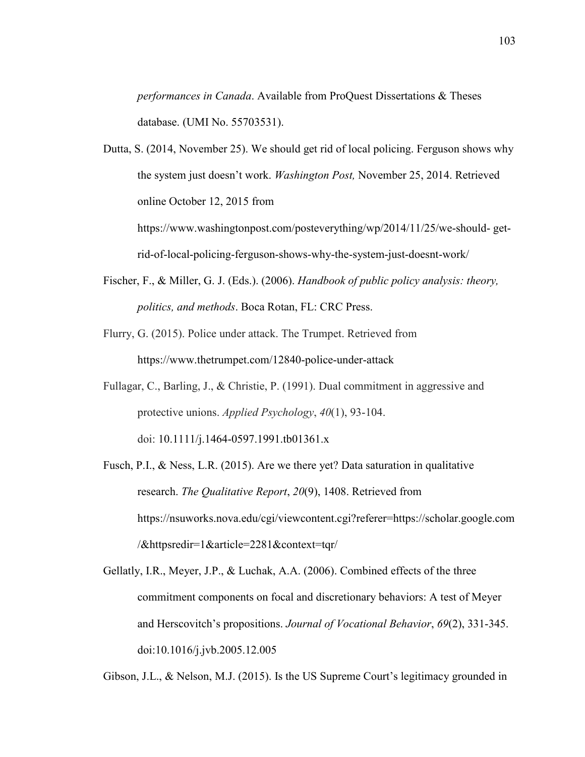*performances in Canada*. Available from ProQuest Dissertations & Theses database. (UMI No. 55703531).

Dutta, S. (2014, November 25). We should get rid of local policing. Ferguson shows why the system just doesn't work. *Washington Post,* November 25, 2014. Retrieved online October 12, 2015 from https://www.washingtonpost.com/posteverything/wp/2014/11/25/we-should- get-

rid-of-local-policing-ferguson-shows-why-the-system-just-doesnt-work/

- Fischer, F., & Miller, G. J. (Eds.). (2006). *Handbook of public policy analysis: theory, politics, and methods*. Boca Rotan, FL: CRC Press.
- Flurry, G. (2015). Police under attack. The Trumpet. Retrieved from https://www.thetrumpet.com/12840-police-under-attack
- Fullagar, C., Barling, J., & Christie, P. (1991). Dual commitment in aggressive and protective unions. *Applied Psychology*, *40*(1), 93-104. doi: 10.1111/j.1464-0597.1991.tb01361.x
- Fusch, P.I., & Ness, L.R. (2015). Are we there yet? Data saturation in qualitative research. *The Qualitative Report*, *20*(9), 1408. Retrieved from https://nsuworks.nova.edu/cgi/viewcontent.cgi?referer=https://scholar.google.com /&httpsredir=1&article=2281&context=tqr/

Gellatly, I.R., Meyer, J.P., & Luchak, A.A. (2006). Combined effects of the three commitment components on focal and discretionary behaviors: A test of Meyer and Herscovitch's propositions. *Journal of Vocational Behavior*, *69*(2), 331-345. doi:10.1016/j.jvb.2005.12.005

Gibson, J.L., & Nelson, M.J. (2015). Is the US Supreme Court's legitimacy grounded in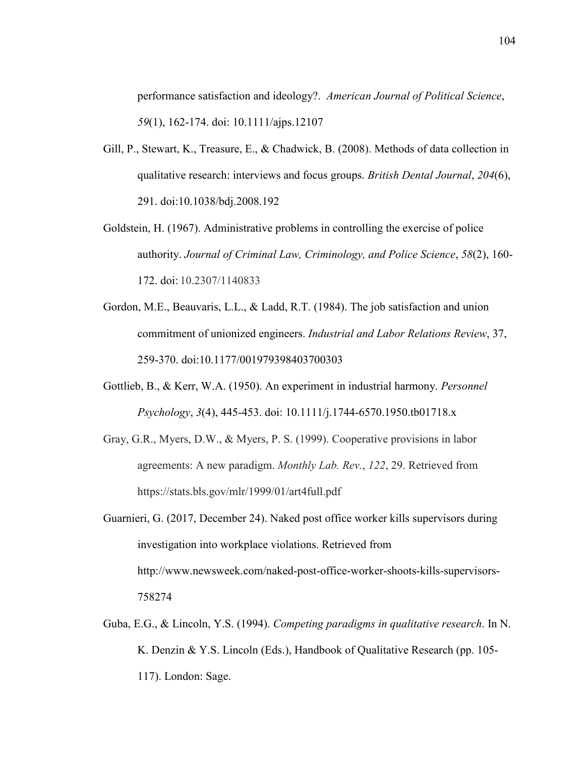performance satisfaction and ideology?. *American Journal of Political Science*, *59*(1), 162-174. doi: 10.1111/ajps.12107

- Gill, P., Stewart, K., Treasure, E., & Chadwick, B. (2008). Methods of data collection in qualitative research: interviews and focus groups. *British Dental Journal*, *204*(6), 291. doi:10.1038/bdj.2008.192
- Goldstein, H. (1967). Administrative problems in controlling the exercise of police authority. *Journal of Criminal Law, Criminology, and Police Science*, *58*(2), 160- 172. doi: 10.2307/1140833
- Gordon, M.E., Beauvaris, L.L., & Ladd, R.T. (1984). The job satisfaction and union commitment of unionized engineers. *Industrial and Labor Relations Review*, 37, 259-370. doi:10.1177/001979398403700303
- Gottlieb, B., & Kerr, W.A. (1950). An experiment in industrial harmony. *Personnel Psychology*, *3*(4), 445-453. doi: 10.1111/j.1744-6570.1950.tb01718.x
- Gray, G.R., Myers, D.W., & Myers, P. S. (1999). Cooperative provisions in labor agreements: A new paradigm. *Monthly Lab. Rev.*, *122*, 29. Retrieved from https://stats.bls.gov/mlr/1999/01/art4full.pdf
- Guarnieri, G. (2017, December 24). Naked post office worker kills supervisors during investigation into workplace violations. Retrieved from http://www.newsweek.com/naked-post-office-worker-shoots-kills-supervisors-758274
- Guba, E.G., & Lincoln, Y.S. (1994). *Competing paradigms in qualitative research*. In N. K. Denzin & Y.S. Lincoln (Eds.), Handbook of Qualitative Research (pp. 105- 117). London: Sage.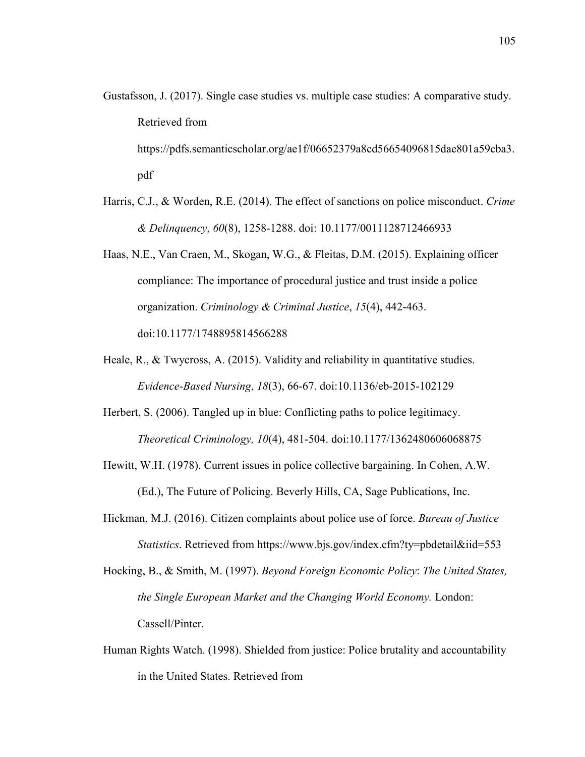- Gustafsson, J. (2017). Single case studies vs. multiple case studies: A comparative study. Retrieved from https://pdfs.semanticscholar.org/ae1f/06652379a8cd56654096815dae801a59cba3. pdf
- Harris, C.J., & Worden, R.E. (2014). The effect of sanctions on police misconduct. *Crime & Delinquency*, *60*(8), 1258-1288. doi: 10.1177/0011128712466933
- Haas, N.E., Van Craen, M., Skogan, W.G., & Fleitas, D.M. (2015). Explaining officer compliance: The importance of procedural justice and trust inside a police organization. *Criminology & Criminal Justice*, *15*(4), 442-463. doi:10.1177/1748895814566288
- Heale, R., & Twycross, A. (2015). Validity and reliability in quantitative studies. *Evidence-Based Nursing*, *18*(3), 66-67. doi:10.1136/eb-2015-102129
- Herbert, S. (2006). Tangled up in blue: Conflicting paths to police legitimacy. *Theoretical Criminology, 10*(4), 481-504. doi:10.1177/1362480606068875
- Hewitt, W.H. (1978). Current issues in police collective bargaining. In Cohen, A.W. (Ed.), The Future of Policing. Beverly Hills, CA, Sage Publications, Inc.
- Hickman, M.J. (2016). Citizen complaints about police use of force. *Bureau of Justice Statistics*. Retrieved from https://www.bjs.gov/index.cfm?ty=pbdetail&iid=553
- Hocking, B., & Smith, M. (1997). *Beyond Foreign Economic Policy*: *The United States, the Single European Market and the Changing World Economy.* London: Cassell/Pinter.
- Human Rights Watch. (1998). Shielded from justice: Police brutality and accountability in the United States. Retrieved from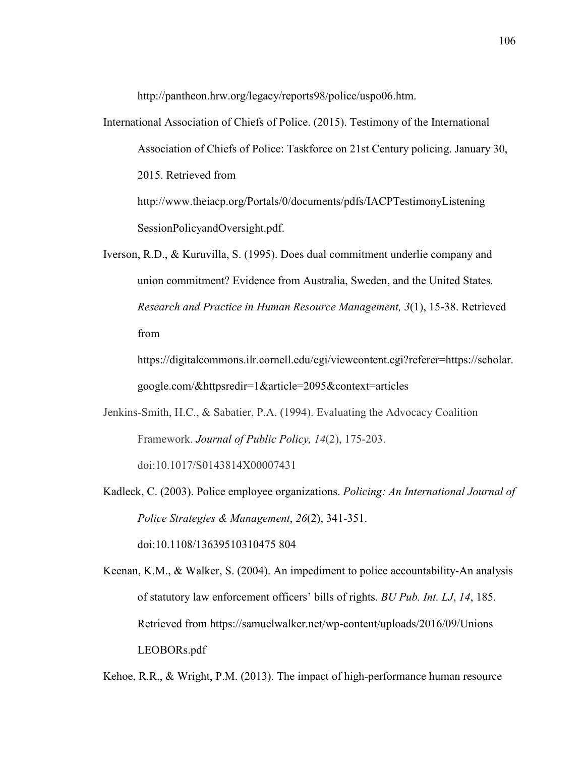http://pantheon.hrw.org/legacy/reports98/police/uspo06.htm.

- International Association of Chiefs of Police. (2015). Testimony of the International Association of Chiefs of Police: Taskforce on 21st Century policing. January 30, 2015. Retrieved from http://www.theiacp.org/Portals/0/documents/pdfs/IACPTestimonyListening SessionPolicyandOversight.pdf.
- Iverson, R.D., & Kuruvilla, S. (1995). Does dual commitment underlie company and union commitment? Evidence from Australia, Sweden, and the United States*. Research and Practice in Human Resource Management, 3*(1), 15-38. Retrieved from

https://digitalcommons.ilr.cornell.edu/cgi/viewcontent.cgi?referer=https://scholar. google.com/&httpsredir=1&article=2095&context=articles

- Jenkins-Smith, H.C., & Sabatier, P.A. (1994). Evaluating the Advocacy Coalition Framework. *Journal of Public Policy, 14*(2), 175-203. doi:10.1017/S0143814X00007431
- Kadleck, C. (2003). Police employee organizations. *Policing: An International Journal of Police Strategies & Management*, *26*(2), 341-351. doi:10.1108/13639510310475 804
- Keenan, K.M., & Walker, S. (2004). An impediment to police accountability-An analysis of statutory law enforcement officers' bills of rights. *BU Pub. Int. LJ*, *14*, 185. Retrieved from https://samuelwalker.net/wp-content/uploads/2016/09/Unions LEOBORs.pdf

Kehoe, R.R., & Wright, P.M. (2013). The impact of high-performance human resource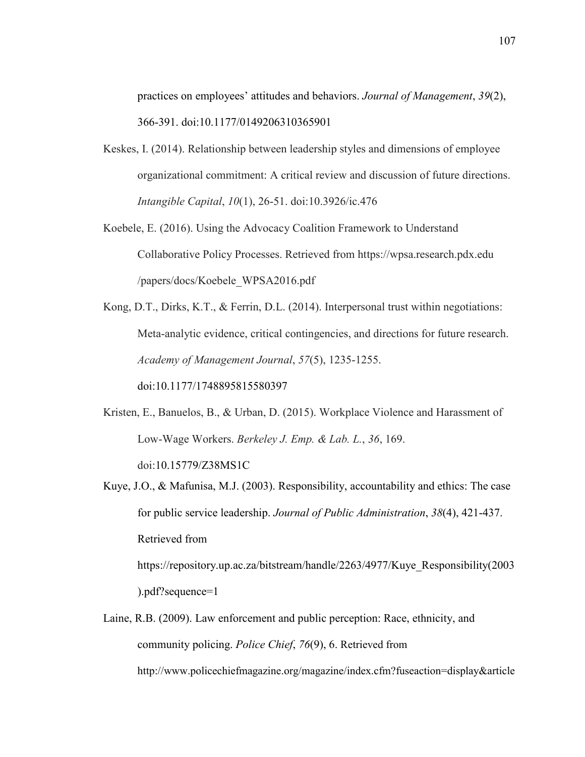practices on employees' attitudes and behaviors. *Journal of Management*, *39*(2), 366-391. doi:10.1177/0149206310365901

- Keskes, I. (2014). Relationship between leadership styles and dimensions of employee organizational commitment: A critical review and discussion of future directions. *Intangible Capital*, *10*(1), 26-51. doi:10.3926/ic.476
- Koebele, E. (2016). Using the Advocacy Coalition Framework to Understand Collaborative Policy Processes. Retrieved from https://wpsa.research.pdx.edu /papers/docs/Koebele\_WPSA2016.pdf
- Kong, D.T., Dirks, K.T., & Ferrin, D.L. (2014). Interpersonal trust within negotiations: Meta-analytic evidence, critical contingencies, and directions for future research. *Academy of Management Journal*, *57*(5), 1235-1255.

doi:10.1177/1748895815580397

- Kristen, E., Banuelos, B., & Urban, D. (2015). Workplace Violence and Harassment of Low-Wage Workers. *Berkeley J. Emp. & Lab. L.*, *36*, 169. doi:10.15779/Z38MS1C
- Kuye, J.O., & Mafunisa, M.J. (2003). Responsibility, accountability and ethics: The case for public service leadership. *Journal of Public Administration*, *38*(4), 421-437. Retrieved from https://repository.up.ac.za/bitstream/handle/2263/4977/Kuye\_Responsibility(2003

).pdf?sequence=1

Laine, R.B. (2009). Law enforcement and public perception: Race, ethnicity, and community policing. *Police Chief*, *76*(9), 6. Retrieved from http://www.policechiefmagazine.org/magazine/index.cfm?fuseaction=display&article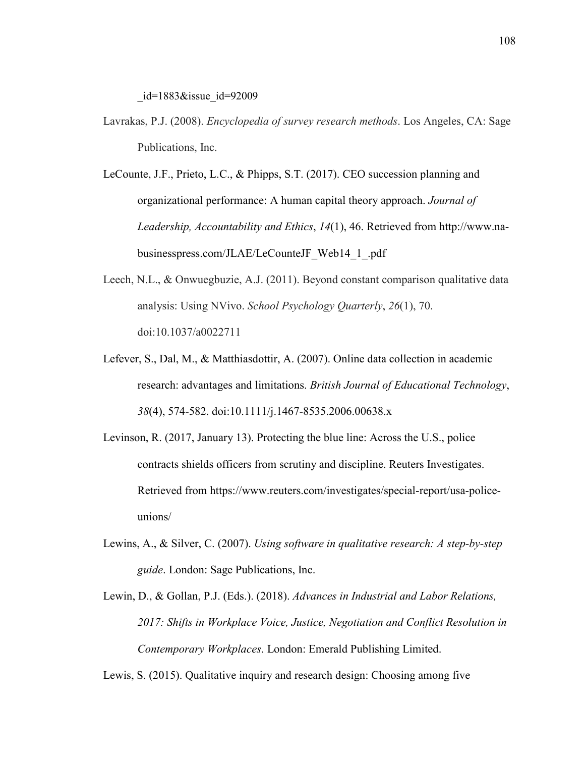$id=1883\&$ issue  $id=92009$ 

- Lavrakas, P.J. (2008). *Encyclopedia of survey research methods*. Los Angeles, CA: Sage Publications, Inc.
- LeCounte, J.F., Prieto, L.C., & Phipps, S.T. (2017). CEO succession planning and organizational performance: A human capital theory approach. *Journal of Leadership, Accountability and Ethics*, *14*(1), 46. Retrieved from http://www.nabusinesspress.com/JLAE/LeCounteJF\_Web14\_1\_.pdf
- Leech, N.L., & Onwuegbuzie, A.J. (2011). Beyond constant comparison qualitative data analysis: Using NVivo. *School Psychology Quarterly*, *26*(1), 70. doi:10.1037/a0022711
- Lefever, S., Dal, M., & Matthiasdottir, A. (2007). Online data collection in academic research: advantages and limitations. *British Journal of Educational Technology*, *38*(4), 574-582. doi:10.1111/j.1467-8535.2006.00638.x
- Levinson, R. (2017, January 13). Protecting the blue line: Across the U.S., police contracts shields officers from scrutiny and discipline. Reuters Investigates. Retrieved from https://www.reuters.com/investigates/special-report/usa-policeunions/
- Lewins, A., & Silver, C. (2007). *Using software in qualitative research: A step-by-step guide*. London: Sage Publications, Inc.
- Lewin, D., & Gollan, P.J. (Eds.). (2018). *Advances in Industrial and Labor Relations, 2017: Shifts in Workplace Voice, Justice, Negotiation and Conflict Resolution in Contemporary Workplaces*. London: Emerald Publishing Limited.

Lewis, S. (2015). Qualitative inquiry and research design: Choosing among five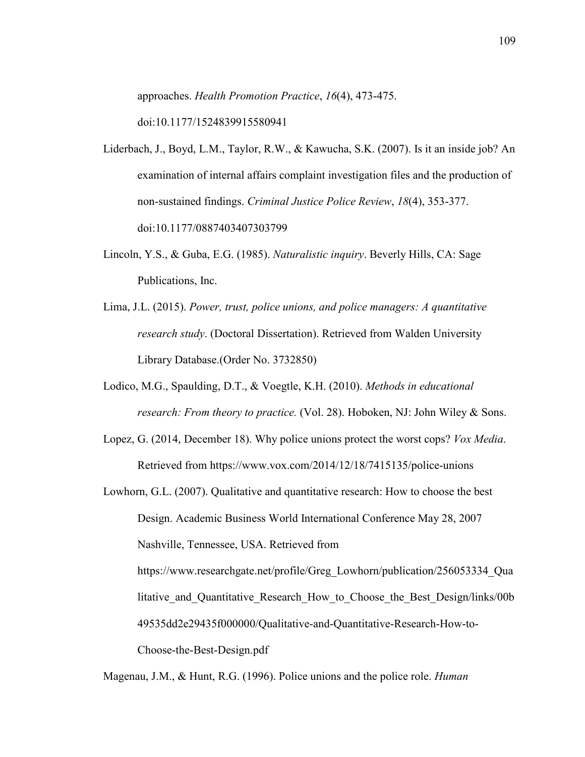approaches. *Health Promotion Practice*, *16*(4), 473-475.

doi:10.1177/1524839915580941

- Liderbach, J., Boyd, L.M., Taylor, R.W., & Kawucha, S.K. (2007). Is it an inside job? An examination of internal affairs complaint investigation files and the production of non-sustained findings. *Criminal Justice Police Review*, *18*(4), 353-377. doi:10.1177/0887403407303799
- Lincoln, Y.S., & Guba, E.G. (1985). *Naturalistic inquiry*. Beverly Hills, CA: Sage Publications, Inc.
- Lima, J.L. (2015). *Power, trust, police unions, and police managers: A quantitative research study*. (Doctoral Dissertation). Retrieved from Walden University Library Database.(Order No. 3732850)
- Lodico, M.G., Spaulding, D.T., & Voegtle, K.H. (2010). *Methods in educational research: From theory to practice.* (Vol. 28). Hoboken, NJ: John Wiley & Sons.
- Lopez, G. (2014, December 18). Why police unions protect the worst cops? *Vox Media*. Retrieved from https://www.vox.com/2014/12/18/7415135/police-unions

Lowhorn, G.L. (2007). Qualitative and quantitative research: How to choose the best Design. Academic Business World International Conference May 28, 2007 Nashville, Tennessee, USA. Retrieved from https://www.researchgate.net/profile/Greg\_Lowhorn/publication/256053334\_Qua litative and Quantitative Research How to Choose the Best Design/links/00b 49535dd2e29435f000000/Qualitative-and-Quantitative-Research-How-to-Choose-the-Best-Design.pdf

Magenau, J.M., & Hunt, R.G. (1996). Police unions and the police role. *Human*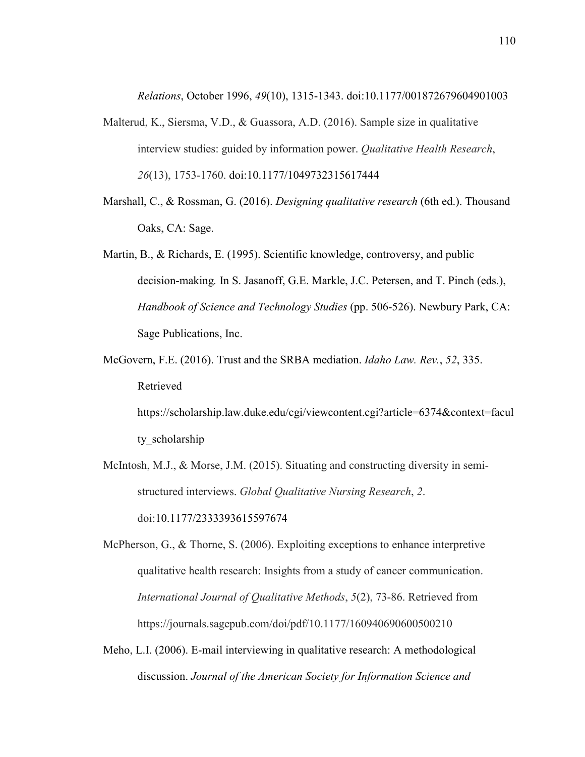*Relations*, October 1996, *49*(10), 1315-1343. doi:10.1177/001872679604901003

- Malterud, K., Siersma, V.D., & Guassora, A.D. (2016). Sample size in qualitative interview studies: guided by information power. *Qualitative Health Research*, *26*(13), 1753-1760. doi:10.1177/1049732315617444
- Marshall, C., & Rossman, G. (2016). *Designing qualitative research* (6th ed.). Thousand Oaks, CA: Sage.
- Martin, B., & Richards, E. (1995). Scientific knowledge, controversy, and public decision-making*.* In S. Jasanoff, G.E. Markle, J.C. Petersen, and T. Pinch (eds.), *Handbook of Science and Technology Studies* (pp. 506-526). Newbury Park, CA: Sage Publications, Inc.
- McGovern, F.E. (2016). Trust and the SRBA mediation. *Idaho Law. Rev.*, *52*, 335. Retrieved

https://scholarship.law.duke.edu/cgi/viewcontent.cgi?article=6374&context=facul ty scholarship

McIntosh, M.J., & Morse, J.M. (2015). Situating and constructing diversity in semistructured interviews. *Global Qualitative Nursing Research*, *2*. doi:10.1177/2333393615597674

McPherson, G., & Thorne, S. (2006). Exploiting exceptions to enhance interpretive qualitative health research: Insights from a study of cancer communication. *International Journal of Qualitative Methods*, *5*(2), 73-86. Retrieved from https://journals.sagepub.com/doi/pdf/10.1177/160940690600500210

Meho, L.I. (2006). E-mail interviewing in qualitative research: A methodological discussion. *Journal of the American Society for Information Science and*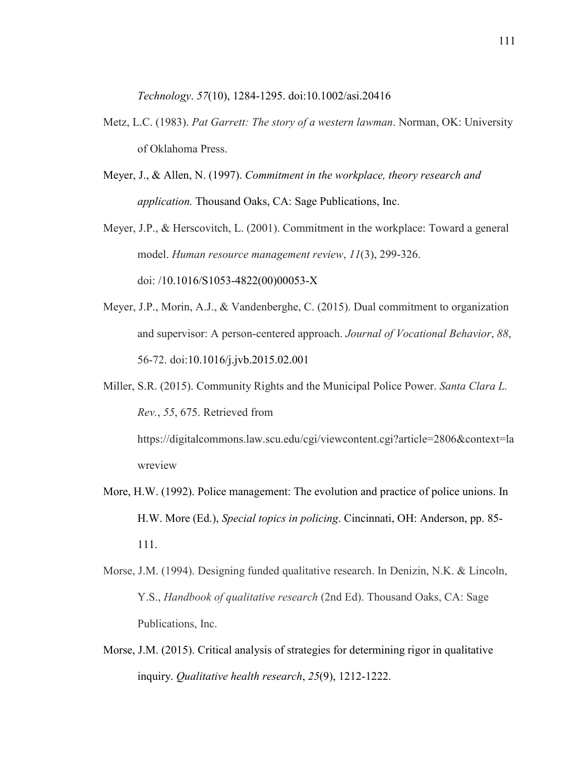*Technology*. *57*(10), 1284-1295. doi:10.1002/asi.20416

- Metz, L.C. (1983). *Pat Garrett: The story of a western lawman*. Norman, OK: University of Oklahoma Press.
- Meyer, J., & Allen, N. (1997). *Commitment in the workplace, theory research and application.* Thousand Oaks, CA: Sage Publications, Inc.
- Meyer, J.P., & Herscovitch, L. (2001). Commitment in the workplace: Toward a general model. *Human resource management review*, *11*(3), 299-326.
	- doi: /10.1016/S1053-4822(00)00053-X
- Meyer, J.P., Morin, A.J., & Vandenberghe, C. (2015). Dual commitment to organization and supervisor: A person-centered approach. *Journal of Vocational Behavior*, *88*, 56-72. doi:10.1016/j.jvb.2015.02.001
- Miller, S.R. (2015). Community Rights and the Municipal Police Power. *Santa Clara L. Rev.*, *55*, 675. Retrieved from

https://digitalcommons.law.scu.edu/cgi/viewcontent.cgi?article=2806&context=la wreview

- More, H.W. (1992). Police management: The evolution and practice of police unions. In H.W. More (Ed.), *Special topics in policing*. Cincinnati, OH: Anderson, pp. 85- 111.
- Morse, J.M. (1994). Designing funded qualitative research. In Denizin, N.K. & Lincoln, Y.S., *Handbook of qualitative research* (2nd Ed). Thousand Oaks, CA: Sage Publications, Inc.
- Morse, J.M. (2015). Critical analysis of strategies for determining rigor in qualitative inquiry. *Qualitative health research*, *25*(9), 1212-1222.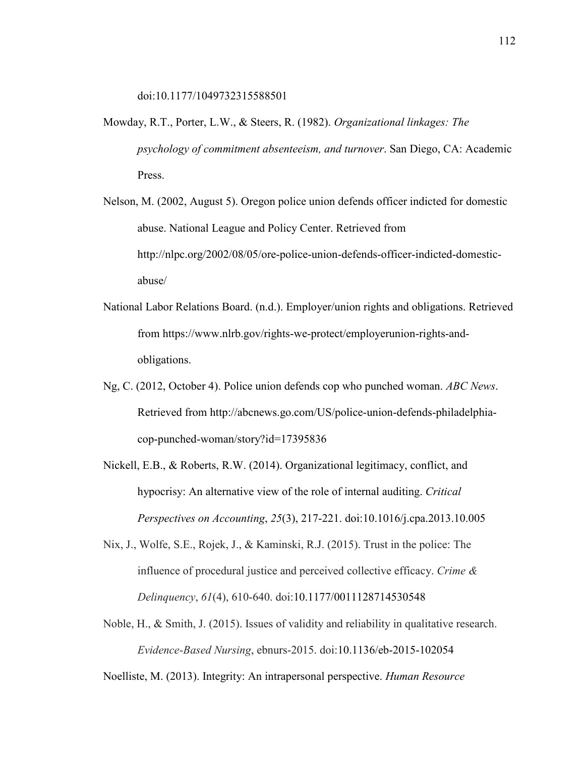doi:10.1177/1049732315588501

- Mowday, R.T., Porter, L.W., & Steers, R. (1982). *Organizational linkages: The psychology of commitment absenteeism, and turnover*. San Diego, CA: Academic Press.
- Nelson, M. (2002, August 5). Oregon police union defends officer indicted for domestic abuse. National League and Policy Center. Retrieved from http://nlpc.org/2002/08/05/ore-police-union-defends-officer-indicted-domesticabuse/
- National Labor Relations Board. (n.d.). Employer/union rights and obligations. Retrieved from https://www.nlrb.gov/rights-we-protect/employerunion-rights-andobligations.
- Ng, C. (2012, October 4). Police union defends cop who punched woman. *ABC News*. Retrieved from http://abcnews.go.com/US/police-union-defends-philadelphiacop-punched-woman/story?id=17395836
- Nickell, E.B., & Roberts, R.W. (2014). Organizational legitimacy, conflict, and hypocrisy: An alternative view of the role of internal auditing. *Critical Perspectives on Accounting*, *25*(3), 217-221. doi:10.1016/j.cpa.2013.10.005
- Nix, J., Wolfe, S.E., Rojek, J., & Kaminski, R.J. (2015). Trust in the police: The influence of procedural justice and perceived collective efficacy. *Crime & Delinquency*, *61*(4), 610-640. doi:10.1177/0011128714530548
- Noble, H., & Smith, J. (2015). Issues of validity and reliability in qualitative research. *Evidence-Based Nursing*, ebnurs-2015. doi:10.1136/eb-2015-102054

Noelliste, M. (2013). Integrity: An intrapersonal perspective. *Human Resource*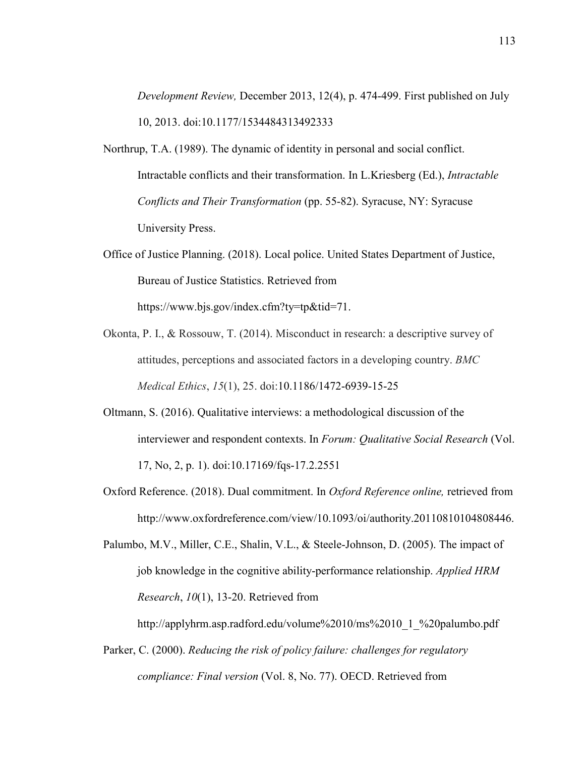*Development Review,* December 2013, 12(4), p. 474-499. First published on July 10, 2013. doi:10.1177/1534484313492333

- Northrup, T.A. (1989). The dynamic of identity in personal and social conflict. Intractable conflicts and their transformation. In L.Kriesberg (Ed.), *Intractable Conflicts and Their Transformation* (pp. 55-82). Syracuse, NY: Syracuse University Press.
- Office of Justice Planning. (2018). Local police. United States Department of Justice, Bureau of Justice Statistics. Retrieved from https://www.bjs.gov/index.cfm?ty=tp&tid=71.
- Okonta, P. I., & Rossouw, T. (2014). Misconduct in research: a descriptive survey of attitudes, perceptions and associated factors in a developing country. *BMC Medical Ethics*, *15*(1), 25. doi:10.1186/1472-6939-15-25
- Oltmann, S. (2016). Qualitative interviews: a methodological discussion of the interviewer and respondent contexts. In *Forum: Qualitative Social Research* (Vol. 17, No, 2, p. 1). doi:10.17169/fqs-17.2.2551
- Oxford Reference. (2018). Dual commitment. In *Oxford Reference online,* retrieved from http://www.oxfordreference.com/view/10.1093/oi/authority.20110810104808446.

Palumbo, M.V., Miller, C.E., Shalin, V.L., & Steele-Johnson, D. (2005). The impact of job knowledge in the cognitive ability-performance relationship. *Applied HRM Research*, *10*(1), 13-20. Retrieved from

http://applyhrm.asp.radford.edu/volume%2010/ms%2010\_1\_%20palumbo.pdf

Parker, C. (2000). *Reducing the risk of policy failure: challenges for regulatory compliance: Final version* (Vol. 8, No. 77). OECD. Retrieved from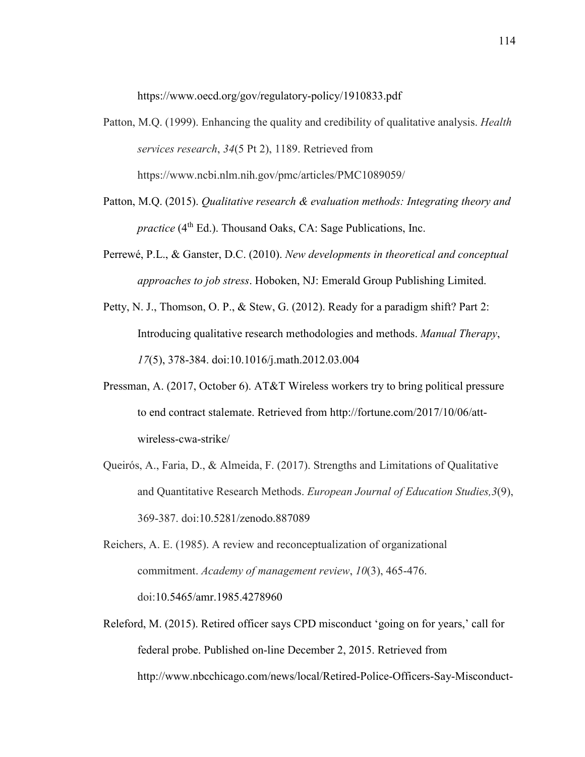https://www.oecd.org/gov/regulatory-policy/1910833.pdf

- Patton, M.Q. (1999). Enhancing the quality and credibility of qualitative analysis. *Health services research*, *34*(5 Pt 2), 1189. Retrieved from https://www.ncbi.nlm.nih.gov/pmc/articles/PMC1089059/
- Patton, M.Q. (2015). *Qualitative research & evaluation methods: Integrating theory and practice* (4<sup>th</sup> Ed.). Thousand Oaks, CA: Sage Publications, Inc.
- Perrewé, P.L., & Ganster, D.C. (2010). *New developments in theoretical and conceptual approaches to job stress*. Hoboken, NJ: Emerald Group Publishing Limited.
- Petty, N. J., Thomson, O. P., & Stew, G. (2012). Ready for a paradigm shift? Part 2: Introducing qualitative research methodologies and methods. *Manual Therapy*, *17*(5), 378-384. doi:10.1016/j.math.2012.03.004
- Pressman, A. (2017, October 6). AT&T Wireless workers try to bring political pressure to end contract stalemate. Retrieved from http://fortune.com/2017/10/06/attwireless-cwa-strike/
- Queirós, A., Faria, D., & Almeida, F. (2017). Strengths and Limitations of Qualitative and Quantitative Research Methods. *European Journal of Education Studies,3*(9), 369-387. doi:10.5281/zenodo.887089
- Reichers, A. E. (1985). A review and reconceptualization of organizational commitment. *Academy of management review*, *10*(3), 465-476. doi:10.5465/amr.1985.4278960
- Releford, M. (2015). Retired officer says CPD misconduct 'going on for years,' call for federal probe. Published on-line December 2, 2015. Retrieved from http://www.nbcchicago.com/news/local/Retired-Police-Officers-Say-Misconduct-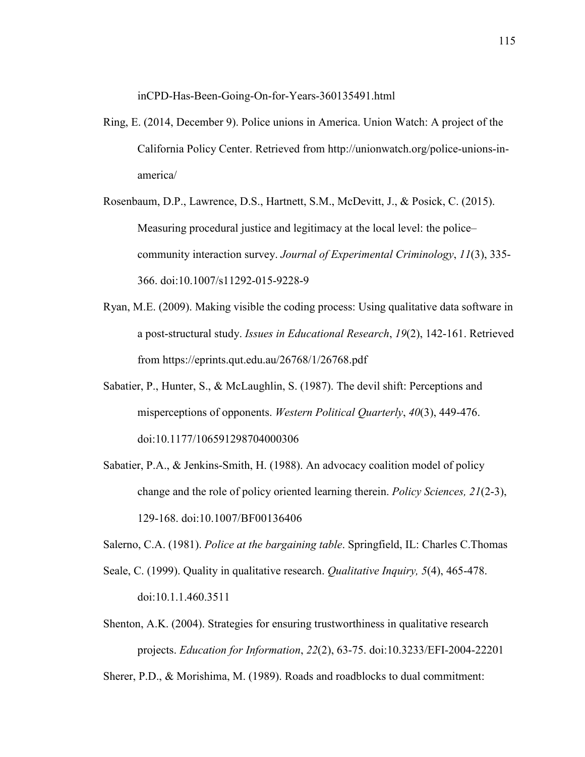inCPD-Has-Been-Going-On-for-Years-360135491.html

- Ring, E. (2014, December 9). Police unions in America. Union Watch: A project of the California Policy Center. Retrieved from http://unionwatch.org/police-unions-inamerica/
- Rosenbaum, D.P., Lawrence, D.S., Hartnett, S.M., McDevitt, J., & Posick, C. (2015). Measuring procedural justice and legitimacy at the local level: the police– community interaction survey. *Journal of Experimental Criminology*, *11*(3), 335- 366. doi:10.1007/s11292-015-9228-9
- Ryan, M.E. (2009). Making visible the coding process: Using qualitative data software in a post-structural study. *Issues in Educational Research*, *19*(2), 142-161. Retrieved from https://eprints.qut.edu.au/26768/1/26768.pdf
- Sabatier, P., Hunter, S., & McLaughlin, S. (1987). The devil shift: Perceptions and misperceptions of opponents. *Western Political Quarterly*, *40*(3), 449-476. doi:10.1177/106591298704000306
- Sabatier, P.A., & Jenkins-Smith, H. (1988). An advocacy coalition model of policy change and the role of policy oriented learning therein. *Policy Sciences, 21*(2-3), 129-168. doi:10.1007/BF00136406

Salerno, C.A. (1981). *Police at the bargaining table*. Springfield, IL: Charles C.Thomas

- Seale, C. (1999). Quality in qualitative research. *Qualitative Inquiry, 5*(4), 465-478. doi:10.1.1.460.3511
- Shenton, A.K. (2004). Strategies for ensuring trustworthiness in qualitative research projects. *Education for Information*, *22*(2), 63-75. doi:10.3233/EFI-2004-22201

Sherer, P.D., & Morishima, M. (1989). Roads and roadblocks to dual commitment: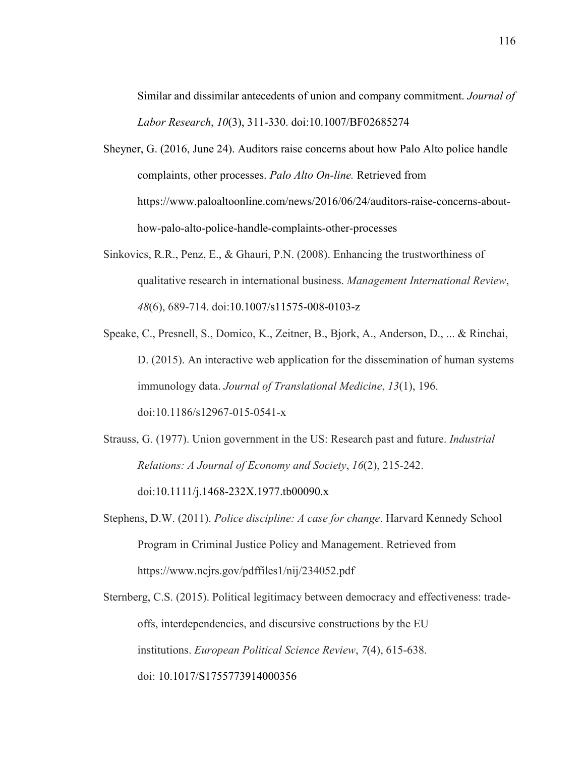Similar and dissimilar antecedents of union and company commitment. *Journal of Labor Research*, *10*(3), 311-330. doi:10.1007/BF02685274

- Sheyner, G. (2016, June 24). Auditors raise concerns about how Palo Alto police handle complaints, other processes. *Palo Alto On-line.* Retrieved from https://www.paloaltoonline.com/news/2016/06/24/auditors-raise-concerns-abouthow-palo-alto-police-handle-complaints-other-processes
- Sinkovics, R.R., Penz, E., & Ghauri, P.N. (2008). Enhancing the trustworthiness of qualitative research in international business. *Management International Review*, *48*(6), 689-714. doi:10.1007/s11575-008-0103-z
- Speake, C., Presnell, S., Domico, K., Zeitner, B., Bjork, A., Anderson, D., ... & Rinchai, D. (2015). An interactive web application for the dissemination of human systems immunology data. *Journal of Translational Medicine*, *13*(1), 196. doi:10.1186/s12967-015-0541-x
- Strauss, G. (1977). Union government in the US: Research past and future. *Industrial Relations: A Journal of Economy and Society*, *16*(2), 215-242. doi:10.1111/j.1468-232X.1977.tb00090.x
- Stephens, D.W. (2011). *Police discipline: A case for change*. Harvard Kennedy School Program in Criminal Justice Policy and Management. Retrieved from https://www.ncjrs.gov/pdffiles1/nij/234052.pdf
- Sternberg, C.S. (2015). Political legitimacy between democracy and effectiveness: tradeoffs, interdependencies, and discursive constructions by the EU institutions. *European Political Science Review*, *7*(4), 615-638. doi: 10.1017/S1755773914000356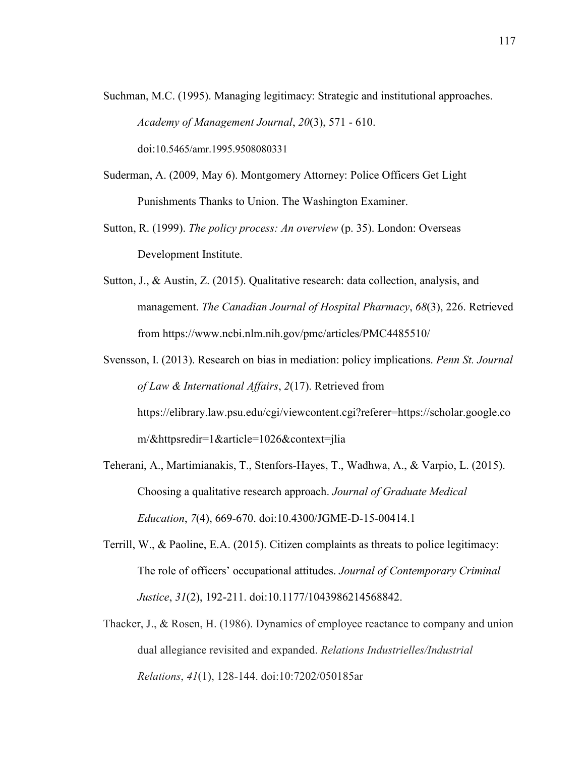Suchman, M.C. (1995). Managing legitimacy: Strategic and institutional approaches. *Academy of Management Journal*, *20*(3), 571 - 610.

doi:10.5465/amr.1995.9508080331

- Suderman, A. (2009, May 6). Montgomery Attorney: Police Officers Get Light Punishments Thanks to Union. The Washington Examiner.
- Sutton, R. (1999). *The policy process: An overview* (p. 35). London: Overseas Development Institute.
- Sutton, J., & Austin, Z. (2015). Qualitative research: data collection, analysis, and management. *The Canadian Journal of Hospital Pharmacy*, *68*(3), 226. Retrieved from https://www.ncbi.nlm.nih.gov/pmc/articles/PMC4485510/
- Svensson, I. (2013). Research on bias in mediation: policy implications. *Penn St. Journal of Law & International Affairs*, *2*(17). Retrieved from https://elibrary.law.psu.edu/cgi/viewcontent.cgi?referer=https://scholar.google.co m/&httpsredir=1&article=1026&context=jlia
- Teherani, A., Martimianakis, T., Stenfors-Hayes, T., Wadhwa, A., & Varpio, L. (2015). Choosing a qualitative research approach. *Journal of Graduate Medical Education*, *7*(4), 669-670. doi:10.4300/JGME-D-15-00414.1
- Terrill, W., & Paoline, E.A. (2015). Citizen complaints as threats to police legitimacy: The role of officers' occupational attitudes. *Journal of Contemporary Criminal Justice*, *31*(2), 192-211. doi:10.1177/1043986214568842.
- Thacker, J., & Rosen, H. (1986). Dynamics of employee reactance to company and union dual allegiance revisited and expanded. *Relations Industrielles/Industrial Relations*, *41*(1), 128-144. doi:10:7202/050185ar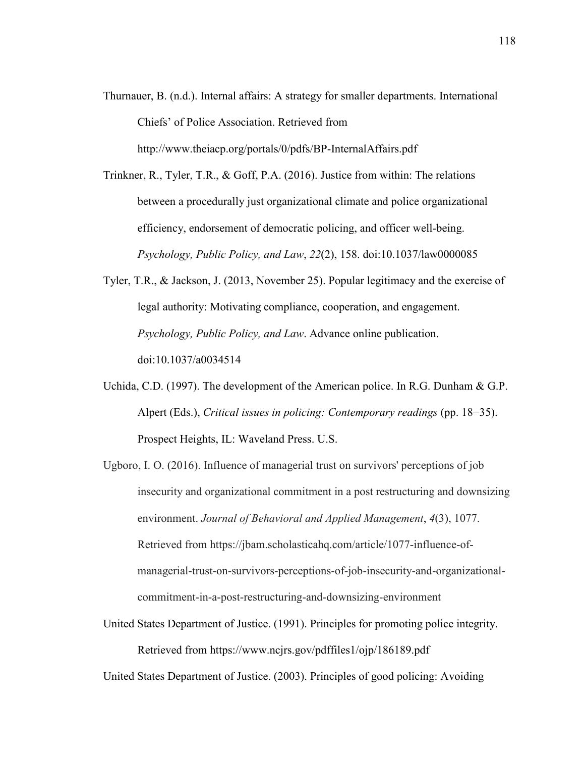Thurnauer, B. (n.d.). Internal affairs: A strategy for smaller departments. International Chiefs' of Police Association. Retrieved from

http://www.theiacp.org/portals/0/pdfs/BP-InternalAffairs.pdf

Trinkner, R., Tyler, T.R., & Goff, P.A. (2016). Justice from within: The relations between a procedurally just organizational climate and police organizational efficiency, endorsement of democratic policing, and officer well-being. *Psychology, Public Policy, and Law*, *22*(2), 158. doi:10.1037/law0000085

- Tyler, T.R., & Jackson, J. (2013, November 25). Popular legitimacy and the exercise of legal authority: Motivating compliance, cooperation, and engagement. *Psychology, Public Policy, and Law*. Advance online publication. doi:10.1037/a0034514
- Uchida, C.D. (1997). The development of the American police. In R.G. Dunham & G.P. Alpert (Eds.), *Critical issues in policing: Contemporary readings* (pp. 18−35). Prospect Heights, IL: Waveland Press. U.S.

Ugboro, I. O. (2016). Influence of managerial trust on survivors' perceptions of job insecurity and organizational commitment in a post restructuring and downsizing environment. *Journal of Behavioral and Applied Management*, *4*(3), 1077. Retrieved from https://jbam.scholasticahq.com/article/1077-influence-ofmanagerial-trust-on-survivors-perceptions-of-job-insecurity-and-organizationalcommitment-in-a-post-restructuring-and-downsizing-environment

United States Department of Justice. (1991). Principles for promoting police integrity. Retrieved from https://www.ncjrs.gov/pdffiles1/ojp/186189.pdf

United States Department of Justice. (2003). Principles of good policing: Avoiding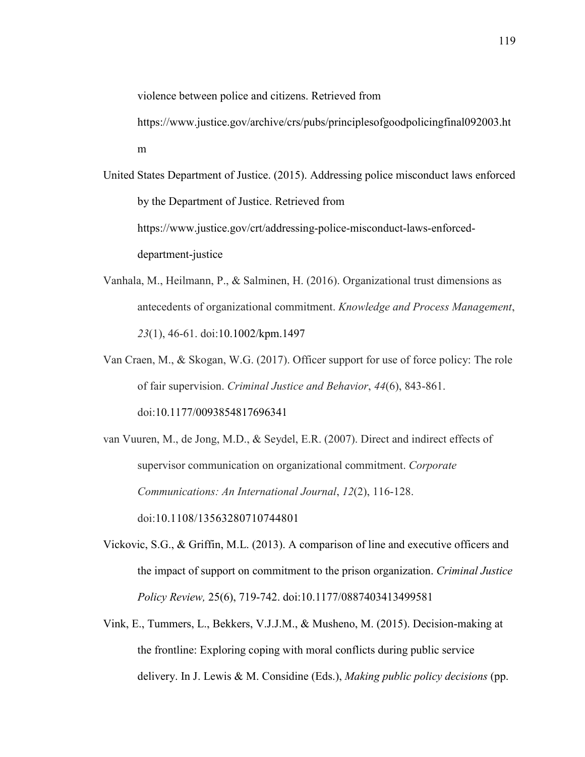violence between police and citizens. Retrieved from

https://www.justice.gov/archive/crs/pubs/principlesofgoodpolicingfinal092003.ht m

United States Department of Justice. (2015). Addressing police misconduct laws enforced by the Department of Justice. Retrieved from https://www.justice.gov/crt/addressing-police-misconduct-laws-enforceddepartment-justice

- Vanhala, M., Heilmann, P., & Salminen, H. (2016). Organizational trust dimensions as antecedents of organizational commitment. *Knowledge and Process Management*, *23*(1), 46-61. doi:10.1002/kpm.1497
- Van Craen, M., & Skogan, W.G. (2017). Officer support for use of force policy: The role of fair supervision. *Criminal Justice and Behavior*, *44*(6), 843-861. doi:10.1177/0093854817696341

van Vuuren, M., de Jong, M.D., & Seydel, E.R. (2007). Direct and indirect effects of supervisor communication on organizational commitment. *Corporate Communications: An International Journal*, *12*(2), 116-128. doi:10.1108/13563280710744801

Vickovic, S.G., & Griffin, M.L. (2013). A comparison of line and executive officers and the impact of support on commitment to the prison organization. *Criminal Justice Policy Review,* 25(6), 719-742. doi:10.1177/0887403413499581

Vink, E., Tummers, L., Bekkers, V.J.J.M., & Musheno, M. (2015). Decision-making at the frontline: Exploring coping with moral conflicts during public service delivery. In J. Lewis & M. Considine (Eds.), *Making public policy decisions* (pp.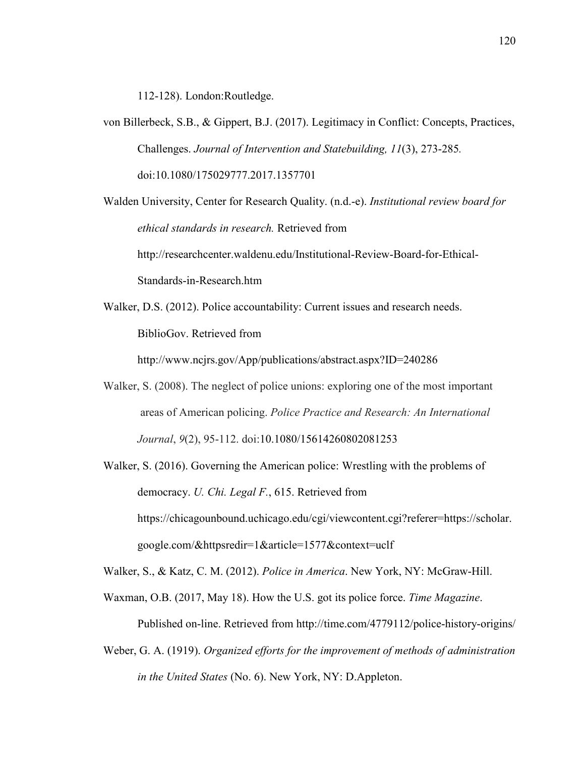112-128). London:Routledge.

von Billerbeck, S.B., & Gippert, B.J. (2017). Legitimacy in Conflict: Concepts, Practices, Challenges. *Journal of Intervention and Statebuilding, 11*(3), 273-285*.*  doi:10.1080/175029777.2017.1357701

Walden University, Center for Research Quality. (n.d.-e). *Institutional review board for ethical standards in research.* Retrieved from http://researchcenter.waldenu.edu/Institutional-Review-Board-for-Ethical-

Standards-in-Research.htm

Walker, D.S. (2012). Police accountability: Current issues and research needs. BiblioGov. Retrieved from

http://www.ncjrs.gov/App/publications/abstract.aspx?ID=240286

- Walker, S. (2008). The neglect of police unions: exploring one of the most important areas of American policing. *Police Practice and Research: An International Journal*, *9*(2), 95-112. doi:10.1080/15614260802081253
- Walker, S. (2016). Governing the American police: Wrestling with the problems of democracy. *U. Chi. Legal F.*, 615. Retrieved from https://chicagounbound.uchicago.edu/cgi/viewcontent.cgi?referer=https://scholar. google.com/&httpsredir=1&article=1577&context=uclf

Walker, S., & Katz, C. M. (2012). *Police in America*. New York, NY: McGraw-Hill.

- Waxman, O.B. (2017, May 18). How the U.S. got its police force. *Time Magazine*. Published on-line. Retrieved from http://time.com/4779112/police-history-origins/
- Weber, G. A. (1919). *Organized efforts for the improvement of methods of administration in the United States* (No. 6). New York, NY: D.Appleton.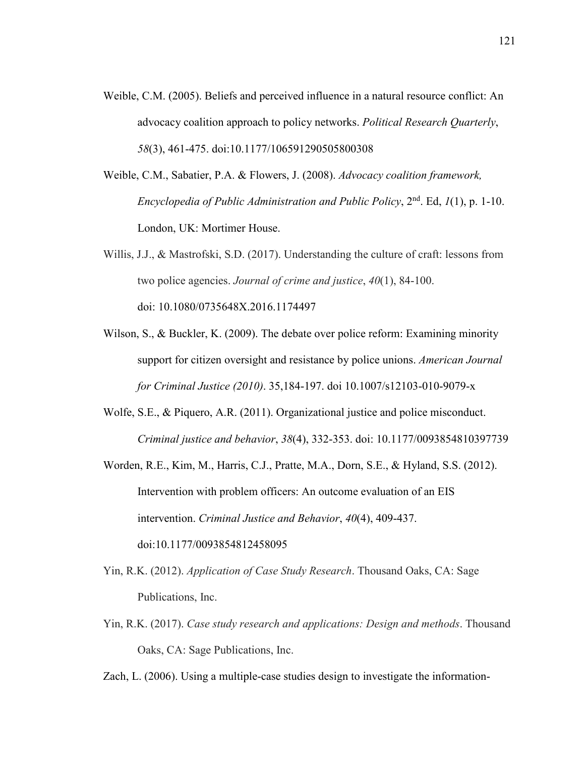- Weible, C.M. (2005). Beliefs and perceived influence in a natural resource conflict: An advocacy coalition approach to policy networks. *Political Research Quarterly*, *58*(3), 461-475. doi:10.1177/106591290505800308
- Weible, C.M., Sabatier, P.A. & Flowers, J. (2008). *Advocacy coalition framework, Encyclopedia of Public Administration and Public Policy*, 2nd. Ed, *1*(1), p. 1-10. London, UK: Mortimer House.
- Willis, J.J., & Mastrofski, S.D. (2017). Understanding the culture of craft: lessons from two police agencies. *Journal of crime and justice*, *40*(1), 84-100. doi: 10.1080/0735648X.2016.1174497
- Wilson, S., & Buckler, K. (2009). The debate over police reform: Examining minority support for citizen oversight and resistance by police unions. *American Journal for Criminal Justice (2010)*. 35,184-197. doi 10.1007/s12103-010-9079-x
- Wolfe, S.E., & Piquero, A.R. (2011). Organizational justice and police misconduct. *Criminal justice and behavior*, *38*(4), 332-353. doi: 10.1177/0093854810397739
- Worden, R.E., Kim, M., Harris, C.J., Pratte, M.A., Dorn, S.E., & Hyland, S.S. (2012). Intervention with problem officers: An outcome evaluation of an EIS intervention. *Criminal Justice and Behavior*, *40*(4), 409-437. doi:10.1177/0093854812458095
- Yin, R.K. (2012). *Application of Case Study Research*. Thousand Oaks, CA: Sage Publications, Inc.
- Yin, R.K. (2017). *Case study research and applications: Design and methods*. Thousand Oaks, CA: Sage Publications, Inc.
- Zach, L. (2006). Using a multiple-case studies design to investigate the information-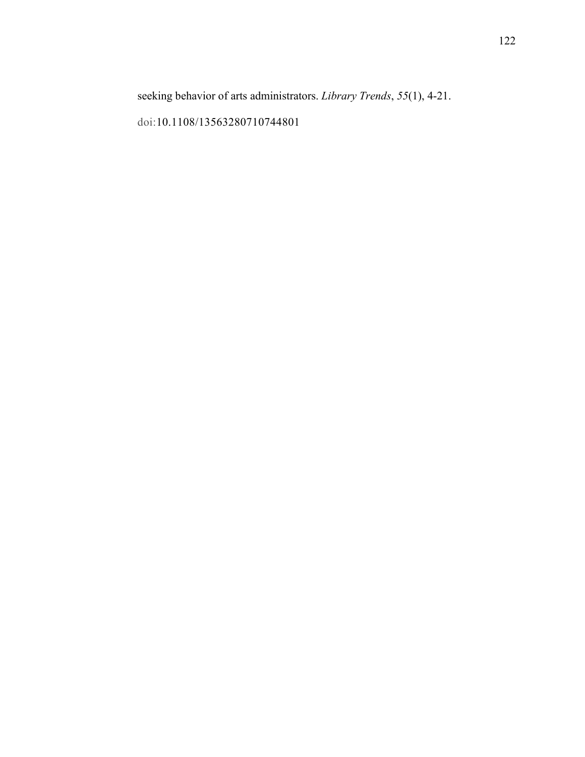seeking behavior of arts administrators. *Library Trends*, *55*(1), 4-21.

doi:10.1108/13563280710744801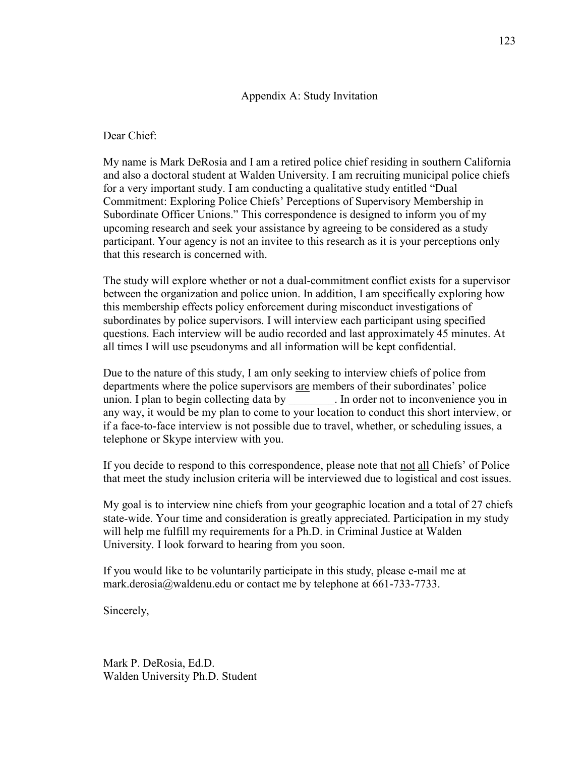#### Appendix A: Study Invitation

Dear Chief:

My name is Mark DeRosia and I am a retired police chief residing in southern California and also a doctoral student at Walden University. I am recruiting municipal police chiefs for a very important study. I am conducting a qualitative study entitled "Dual Commitment: Exploring Police Chiefs' Perceptions of Supervisory Membership in Subordinate Officer Unions." This correspondence is designed to inform you of my upcoming research and seek your assistance by agreeing to be considered as a study participant. Your agency is not an invitee to this research as it is your perceptions only that this research is concerned with.

The study will explore whether or not a dual-commitment conflict exists for a supervisor between the organization and police union. In addition, I am specifically exploring how this membership effects policy enforcement during misconduct investigations of subordinates by police supervisors. I will interview each participant using specified questions. Each interview will be audio recorded and last approximately 45 minutes. At all times I will use pseudonyms and all information will be kept confidential.

Due to the nature of this study, I am only seeking to interview chiefs of police from departments where the police supervisors are members of their subordinates' police union. I plan to begin collecting data by Fig. 1. In order not to inconvenience you in any way, it would be my plan to come to your location to conduct this short interview, or if a face-to-face interview is not possible due to travel, whether, or scheduling issues, a telephone or Skype interview with you.

If you decide to respond to this correspondence, please note that not all Chiefs' of Police that meet the study inclusion criteria will be interviewed due to logistical and cost issues.

My goal is to interview nine chiefs from your geographic location and a total of 27 chiefs state-wide. Your time and consideration is greatly appreciated. Participation in my study will help me fulfill my requirements for a Ph.D. in Criminal Justice at Walden University. I look forward to hearing from you soon.

If you would like to be voluntarily participate in this study, please e-mail me at mark.derosia@waldenu.edu or contact me by telephone at 661-733-7733.

Sincerely,

Mark P. DeRosia, Ed.D. Walden University Ph.D. Student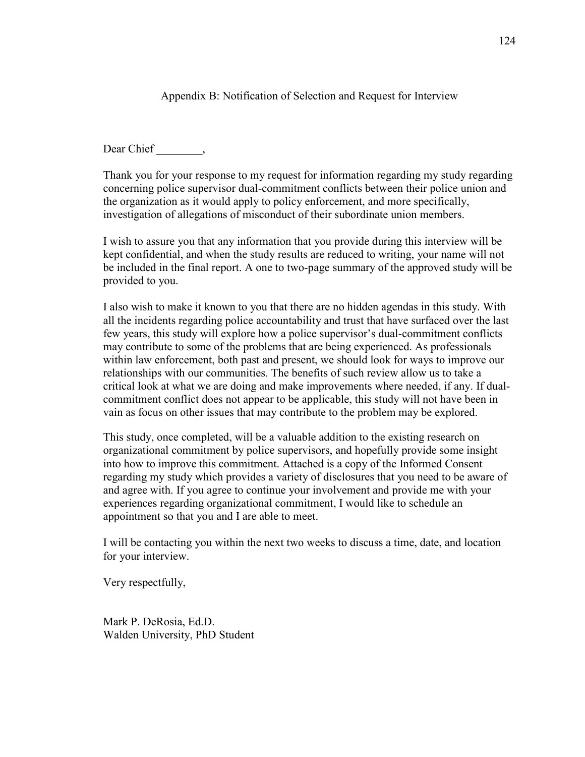Appendix B: Notification of Selection and Request for Interview

Dear Chief \_\_\_\_\_\_\_,

Thank you for your response to my request for information regarding my study regarding concerning police supervisor dual-commitment conflicts between their police union and the organization as it would apply to policy enforcement, and more specifically, investigation of allegations of misconduct of their subordinate union members.

I wish to assure you that any information that you provide during this interview will be kept confidential, and when the study results are reduced to writing, your name will not be included in the final report. A one to two-page summary of the approved study will be provided to you.

I also wish to make it known to you that there are no hidden agendas in this study. With all the incidents regarding police accountability and trust that have surfaced over the last few years, this study will explore how a police supervisor's dual-commitment conflicts may contribute to some of the problems that are being experienced. As professionals within law enforcement, both past and present, we should look for ways to improve our relationships with our communities. The benefits of such review allow us to take a critical look at what we are doing and make improvements where needed, if any. If dualcommitment conflict does not appear to be applicable, this study will not have been in vain as focus on other issues that may contribute to the problem may be explored.

This study, once completed, will be a valuable addition to the existing research on organizational commitment by police supervisors, and hopefully provide some insight into how to improve this commitment. Attached is a copy of the Informed Consent regarding my study which provides a variety of disclosures that you need to be aware of and agree with. If you agree to continue your involvement and provide me with your experiences regarding organizational commitment, I would like to schedule an appointment so that you and I are able to meet.

I will be contacting you within the next two weeks to discuss a time, date, and location for your interview.

Very respectfully,

Mark P. DeRosia, Ed.D. Walden University, PhD Student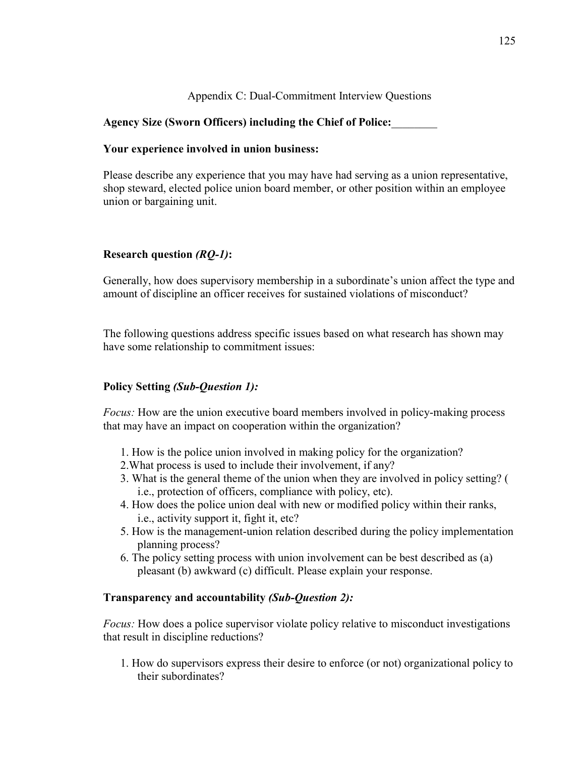Appendix C: Dual-Commitment Interview Questions

# **Agency Size (Sworn Officers) including the Chief of Police:**\_\_\_\_\_\_\_\_

## **Your experience involved in union business:**

Please describe any experience that you may have had serving as a union representative, shop steward, elected police union board member, or other position within an employee union or bargaining unit.

## **Research question** *(RQ-1)***:**

Generally, how does supervisory membership in a subordinate's union affect the type and amount of discipline an officer receives for sustained violations of misconduct?

The following questions address specific issues based on what research has shown may have some relationship to commitment issues:

# **Policy Setting** *(Sub-Question 1):*

*Focus:* How are the union executive board members involved in policy-making process that may have an impact on cooperation within the organization?

- 1. How is the police union involved in making policy for the organization?
- 2.What process is used to include their involvement, if any?
- 3. What is the general theme of the union when they are involved in policy setting? ( i.e., protection of officers, compliance with policy, etc).
- 4. How does the police union deal with new or modified policy within their ranks, i.e., activity support it, fight it, etc?
- 5. How is the management-union relation described during the policy implementation planning process?
- 6. The policy setting process with union involvement can be best described as (a) pleasant (b) awkward (c) difficult. Please explain your response.

#### **Transparency and accountability** *(Sub-Question 2):*

*Focus:* How does a police supervisor violate policy relative to misconduct investigations that result in discipline reductions?

1. How do supervisors express their desire to enforce (or not) organizational policy to their subordinates?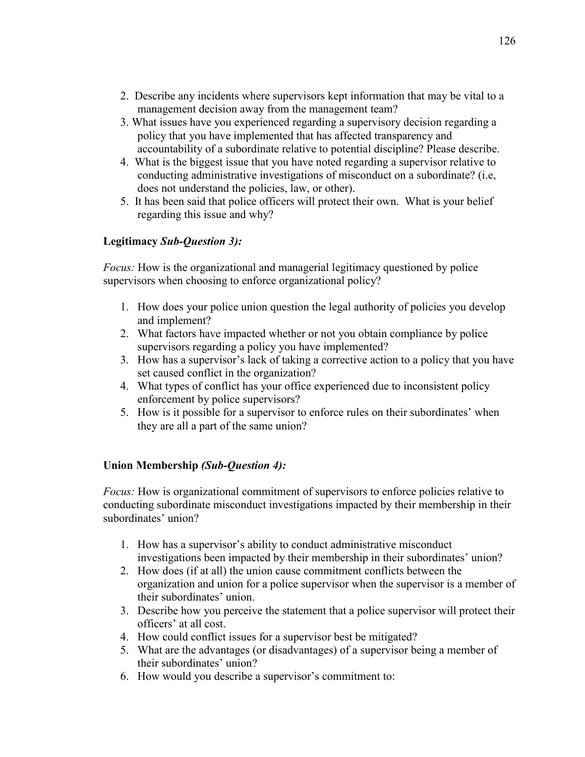- 2. Describe any incidents where supervisors kept information that may be vital to a management decision away from the management team?
- 3. What issues have you experienced regarding a supervisory decision regarding a policy that you have implemented that has affected transparency and accountability of a subordinate relative to potential discipline? Please describe.
- 4. What is the biggest issue that you have noted regarding a supervisor relative to conducting administrative investigations of misconduct on a subordinate? (i.e, does not understand the policies, law, or other).
- 5. It has been said that police officers will protect their own. What is your belief regarding this issue and why?

## **Legitimacy** *Sub-Question 3):*

*Focus:* How is the organizational and managerial legitimacy questioned by police supervisors when choosing to enforce organizational policy?

- 1. How does your police union question the legal authority of policies you develop and implement?
- 2. What factors have impacted whether or not you obtain compliance by police supervisors regarding a policy you have implemented?
- 3. How has a supervisor's lack of taking a corrective action to a policy that you have set caused conflict in the organization?
- 4. What types of conflict has your office experienced due to inconsistent policy enforcement by police supervisors?
- 5. How is it possible for a supervisor to enforce rules on their subordinates' when they are all a part of the same union?

#### **Union Membership** *(Sub-Question 4):*

*Focus:* How is organizational commitment of supervisors to enforce policies relative to conducting subordinate misconduct investigations impacted by their membership in their subordinates' union?

- 1. How has a supervisor's ability to conduct administrative misconduct investigations been impacted by their membership in their subordinates' union?
- 2. How does (if at all) the union cause commitment conflicts between the organization and union for a police supervisor when the supervisor is a member of their subordinates' union.
- 3. Describe how you perceive the statement that a police supervisor will protect their officers' at all cost.
- 4. How could conflict issues for a supervisor best be mitigated?
- 5. What are the advantages (or disadvantages) of a supervisor being a member of their subordinates' union?
- 6. How would you describe a supervisor's commitment to: